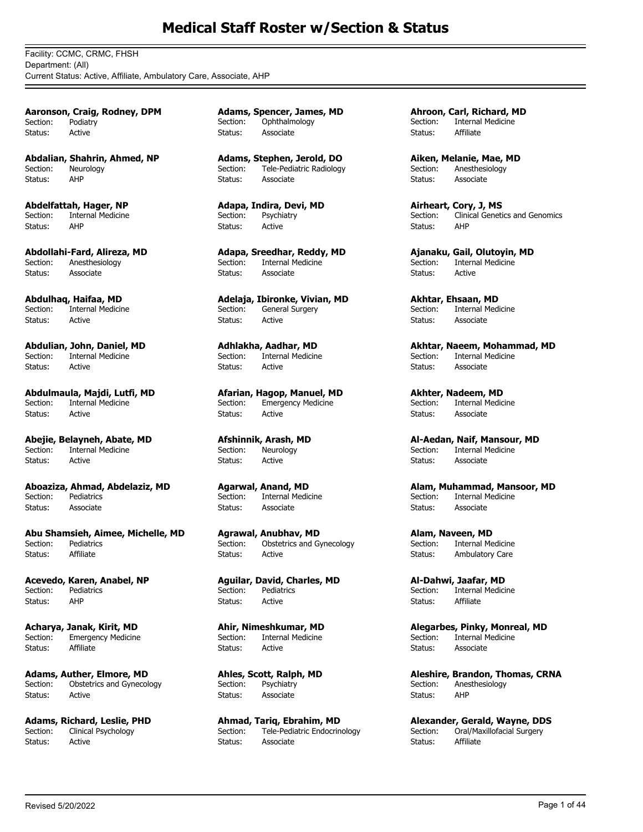Facility: CCMC, CRMC, FHSH Department: (All) Current Status: Active, Affiliate, Ambulatory Care, Associate, AHP

**Aaronson, Craig, Rodney, DPM** Section: Podiatry Status: Active

**Abdalian, Shahrin, Ahmed, NP** Section: Neurology Status: AHP

**Abdelfattah, Hager, NP** Section: Internal Medicine<br>Status: AHP Status:

**Abdollahi-Fard, Alireza, MD** Section: Anesthesiology Status: Associate

**Abdulhaq, Haifaa, MD** Section: Internal Medicine Status: Active

**Abdulian, John, Daniel, MD** Internal Medicine Status: Active

**Abdulmaula, Majdi, Lutfi, MD** Section: Internal Medicine Status: Active

**Abejie, Belayneh, Abate, MD** Internal Medicine Status: Active

**Aboaziza, Ahmad, Abdelaziz, MD** Pediatrics Status: Associate

**Abu Shamsieh, Aimee, Michelle, MD** Pediatrics Status: Affiliate

**Acevedo, Karen, Anabel, NP** Section: Pediatrics Status: AHP

**Acharya, Janak, Kirit, MD** Section: Emergency Medicine Status: Affiliate

**Adams, Auther, Elmore, MD** Section: Obstetrics and Gynecology Status: Active

**Adams, Richard, Leslie, PHD**<br>Section: Clinical Psychology Clinical Psychology Status: Active

**Adams, Spencer, James, MD** Section: Ophthalmology Status: Associate

**Adams, Stephen, Jerold, DO** Section: Tele-Pediatric Radiology Status: Associate

**Adapa, Indira, Devi, MD** Section: Psychiatry Status: Active

**Adapa, Sreedhar, Reddy, MD** Section: Internal Medicine Status: Associate

**Adelaja, Ibironke, Vivian, MD** Section: General Surgery Status: Active

**Adhlakha, Aadhar, MD**<br>Section: Internal Medicine Internal Medicine Status: Active

**Afarian, Hagop, Manuel, MD** Section: Emergency Medicine Status: Active

**Afshinnik, Arash, MD**<br>Section: Neurology Neurology Status: Active

**Agarwal, Anand, MD** Internal Medicine Status: Associate

**Agrawal, Anubhav, MD**<br>Section: Obstetrics and Gy Obstetrics and Gynecology Status: Active

**Aguilar, David, Charles, MD** Section: Pediatrics Status: Active

**Ahir, Nimeshkumar, MD** Section: Internal Medicine Status: Active

**Ahles, Scott, Ralph, MD** Section: Psychiatry Status: Associate

**Ahmad, Tariq, Ebrahim, MD** Section: Tele-Pediatric Endocrinology Status: Associate

**Ahroon, Carl, Richard, MD** Section: Internal Medicine Status: Affiliate

**Aiken, Melanie, Mae, MD** Section: Anesthesiology Status: Associate

**Airheart, Cory, J, MS** Section: Clinical Genetics and Genomics Status: AHP

**Ajanaku, Gail, Olutoyin, MD** Internal Medicine Status: Active

**Akhtar, Ehsaan, MD** Section: Internal Medicine Status: Associate

**Akhtar, Naeem, Mohammad, MD**<br>Section: Internal Medicine Internal Medicine Status: Associate

**Akhter, Nadeem, MD** Section: Internal Medicine Status: Associate

**Al-Aedan, Naif, Mansour, MD** Internal Medicine Status: Associate

**Alam, Muhammad, Mansoor, MD** Internal Medicine Status: Associate

**Alam, Naveen, MD**<br>Section: Internal Me **Internal Medicine** Status: Ambulatory Care

**Al-Dahwi, Jaafar, MD** Section: Internal Medicine Status: Affiliate

**Alegarbes, Pinky, Monreal, MD** Section: Internal Medicine<br>Status: Associate Associate

**Aleshire, Brandon, Thomas, CRNA** Section: Anesthesiology Status: AHP

**Alexander, Gerald, Wayne, DDS** Oral/Maxillofacial Surgery Status: Affiliate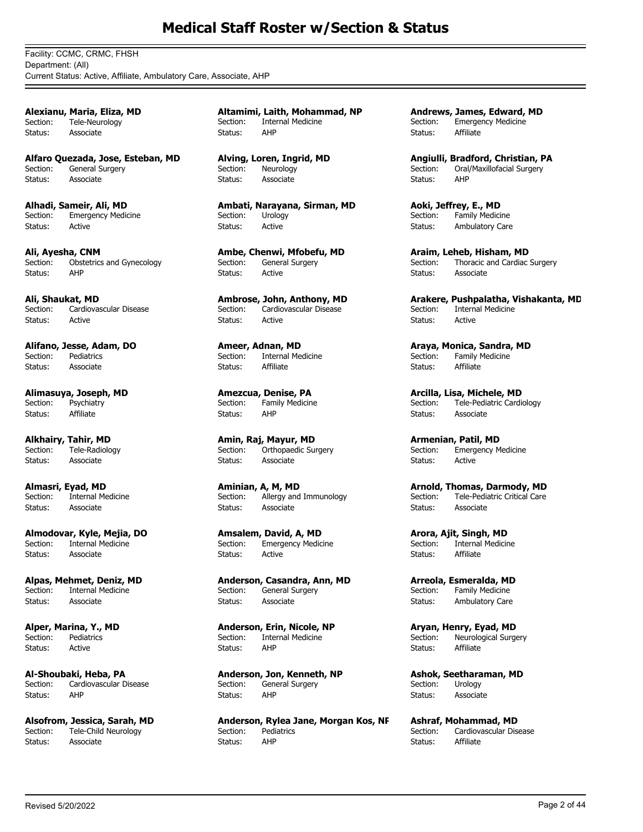Facility: CCMC, CRMC, FHSH Department: (All) Current Status: Active, Affiliate, Ambulatory Care, Associate, AHP

**Alexianu, Maria, Eliza, MD** Section: Tele-Neurology Status: Associate

**Alfaro Quezada, Jose, Esteban, MD** Section: General Surgery Status: Associate

**Alhadi, Sameir, Ali, MD** Section: Emergency Medicine Status: Active

**Ali, Ayesha, CNM**<br>Section: Obstetrics Obstetrics and Gynecology Status: AHP

**Ali, Shaukat, MD** Section: Cardiovascular Disease Status: Active

**Alifano, Jesse, Adam, DO** Pediatrics Status: Associate

**Alimasuya, Joseph, MD** Section: Psychiatry Status: Affiliate

**Alkhairy, Tahir, MD** Tele-Radiology Status: Associate

**Almasri, Eyad, MD**<br>Section: Internal Me Internal Medicine Status: Associate

**Almodovar, Kyle, Mejia, DO Internal Medicine** Status: Associate

**Alpas, Mehmet, Deniz, MD** Section: Internal Medicine Status: Associate

**Alper, Marina, Y., MD** Section: Pediatrics Status: Active

**Al-Shoubaki, Heba, PA** Section: Cardiovascular Disease Status: AHP

**Alsofrom, Jessica, Sarah, MD**<br>Section: Tele-Child Neurology Tele-Child Neurology Status: Associate

**Altamimi, Laith, Mohammad, NP** Section: Internal Medicine Status: AHP

**Alving, Loren, Ingrid, MD** Section: Neurology Status: Associate

**Ambati, Narayana, Sirman, MD** Section: Urology Status: Active

**Ambe, Chenwi, Mfobefu, MD** Section: General Surgery Status: Active

**Ambrose, John, Anthony, MD** Section: Cardiovascular Disease Status: Active

**Ameer, Adnan, MD**<br>Section: Internal Me Internal Medicine Status: Affiliate

**Amezcua, Denise, PA** Section: Family Medicine Status: AHP

**Amin, Raj, Mayur, MD** Orthopaedic Surgery Status: Associate

**Aminian, A, M, MD** Section: Allergy and Immunology Status: Associate

**Amsalem, David, A, MD Emergency Medicine** Status: Active

**Anderson, Casandra, Ann, MD** Section: General Surgery Status: Associate

**Anderson, Erin, Nicole, NP** Section: Internal Medicine Status: AHP

**Anderson, Jon, Kenneth, NP** Section: General Surgery Status: AHP

**Anderson, Rylea Jane, Morgan Kos, NP Pediatrics** Status: AHP

**Andrews, James, Edward, MD** Section: Emergency Medicine Status: Affiliate

**Angiulli, Bradford, Christian, PA** Section: Oral/Maxillofacial Surgery Status: AHP

**Aoki, Jeffrey, E., MD** Section: Family Medicine Status: Ambulatory Care

**Araim, Leheb, Hisham, MD** Section: Thoracic and Cardiac Surgery Status: Associate

**Arakere, Pushpalatha, Vishakanta, MD** Section: Internal Medicine Status: Active

**Araya, Monica, Sandra, MD** Family Medicine Status: Affiliate

**Arcilla, Lisa, Michele, MD** Section: Tele-Pediatric Cardiology Status: Associate

**Armenian, Patil, MD**<br>Section: Emergency M Emergency Medicine Status: Active

**Arnold, Thomas, Darmody, MD** Section: Tele-Pediatric Critical Care Status: Associate

**Arora, Ajit, Singh, MD**<br>Section: Internal Medicir **Internal Medicine** Status: Affiliate

**Arreola, Esmeralda, MD** Section: Family Medicine Status: Ambulatory Care

**Aryan, Henry, Eyad, MD** Section: Neurological Surgery Status: Affiliate

**Ashok, Seetharaman, MD** Section: Urology Status: Associate

**Ashraf, Mohammad, MD**<br>Section: Cardiovascular Dis Cardiovascular Disease Status: Affiliate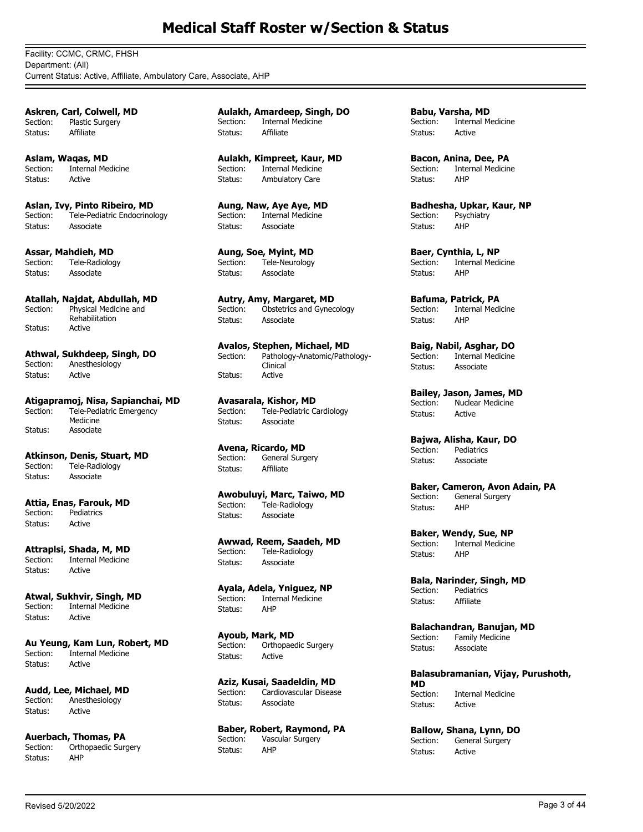Facility: CCMC, CRMC, FHSH Department: (All) Current Status: Active, Affiliate, Ambulatory Care, Associate, AHP

**Askren, Carl, Colwell, MD** Section: Plastic Surgery Status: Affiliate

**Aslam, Waqas, MD** Section: Internal Medicine Status: Active

**Aslan, Ivy, Pinto Ribeiro, MD** Section: Tele-Pediatric Endocrinology Status: Associate

**Assar, Mahdieh, MD**<br>Section: Tele-Radiolog Tele-Radiology Status: Associate

**Atallah, Najdat, Abdullah, MD** Physical Medicine and Rehabilitation<br>Active Section: Status:

**Athwal, Sukhdeep, Singh, DO** Section: Anesthesiology Status: Active

**Atigapramoj, Nisa, Sapianchai, MD** Tele-Pediatric Emergency Medicine Section: Status: Associate

**Atkinson, Denis, Stuart, MD** Section: Tele-Radiology Status: Associate

**Attia, Enas, Farouk, MD** Pediatrics Status: Active

**Attraplsi, Shada, M, MD** Section: Internal Medicine Status: Active

**Atwal, Sukhvir, Singh, MD** Section: Internal Medicine Status: Active

**Au Yeung, Kam Lun, Robert, MD** Section: Internal Medicine Status: Active

**Audd, Lee, Michael, MD**<br>Section: Anesthesiology .<br>Anesthesiology Status: Active

**Auerbach, Thomas, PA** Section: Orthopaedic Surgery Status: AHP

**Aulakh, Amardeep, Singh, DO** Section: Internal Medicine Status: Affiliate

**Aulakh, Kimpreet, Kaur, MD** Section: Internal Medicine Status: Ambulatory Care

**Aung, Naw, Aye Aye, MD** Section: Internal Medicine Status: Associate

**Aung, Soe, Myint, MD** Section: Tele-Neurology Status: Associate

**Autry, Amy, Margaret, MD** Section: Obstetrics and Gynecology Status: Associate

**Avalos, Stephen, Michael, MD** Pathology-Anatomic/Pathology-Clinical<br>Active Section: Status:

**Avasarala, Kishor, MD** .<br>Tele-Pediatric Cardiology Status: Associate

**Avena, Ricardo, MD** Section: General Surgery Status: Affiliate

**Awobuluyi, Marc, Taiwo, MD** Section: Tele-Radiology Status: Associate

**Awwad, Reem, Saadeh, MD** Section: Tele-Radiology Status: Associate

**Ayala, Adela, Yniguez, NP** Section: Internal Medicine<br>Status: AHP Status:

**Ayoub, Mark, MD** Section: Orthopaedic Surgery Status: Active

**Aziz, Kusai, Saadeldin, MD** Section: Cardiovascular Disease Status: Associate

**Baber, Robert, Raymond, PA**<br>Section: Vascular Surgery Vascular Surgery Status: AHP

**Babu, Varsha, MD** Section: Internal Medicine Status: Active

**Bacon, Anina, Dee, PA** Section: Internal Medicine Status: AHP

**Badhesha, Upkar, Kaur, NP** Section: Psychiatry<br>Status: AHP Status:

**Baer, Cynthia, L, NP**<br>Section: Internal Medi **Internal Medicine** Status: AHP

**Bafuma, Patrick, PA** Section: Internal Medicine Status: AHP

**Baig, Nabil, Asghar, DO** Internal Medicine Status: Associate

**Bailey, Jason, James, MD** Section: Nuclear Medicine Status: Active

**Bajwa, Alisha, Kaur, DO** Pediatrics Status: Associate

**Baker, Cameron, Avon Adain, PA** Section: General Surgery Status: AHP

**Baker, Wendy, Sue, NP**<br>Section: Internal Medicine **Internal Medicine** Status: AHP

**Bala, Narinder, Singh, MD** Section: Pediatrics Status: Affiliate

**Balachandran, Banujan, MD** Section: Family Medicine Status: Associate

**Balasubramanian, Vijay, Purushoth, MD Internal Medicine** Status: Active

**Ballow, Shana, Lynn, DO** Section: General Surgery<br>Status: Active Status: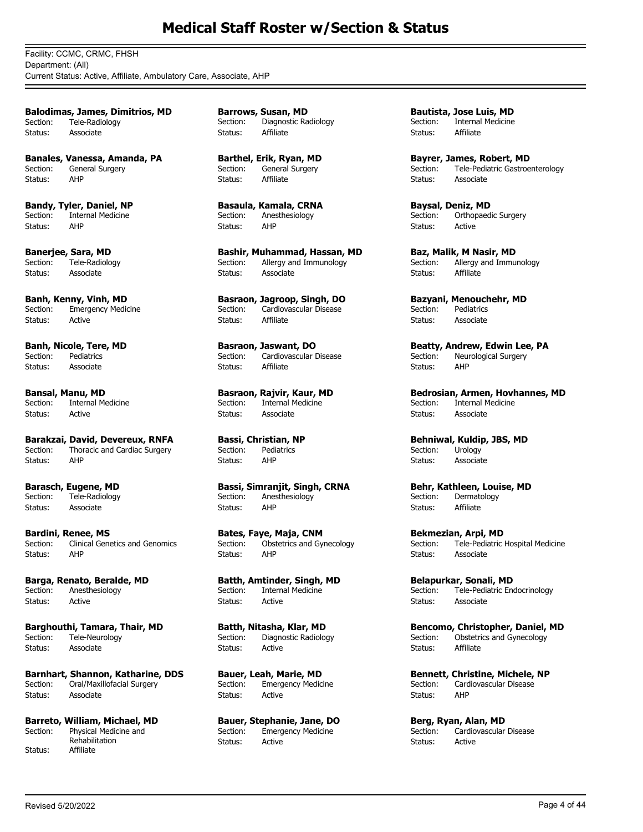Facility: CCMC, CRMC, FHSH Department: (All) Current Status: Active, Affiliate, Ambulatory Care, Associate, AHP

**Balodimas, James, Dimitrios, MD** Section: Tele-Radiology Status: Associate

**Banales, Vanessa, Amanda, PA** Section: General Surgery Status: AHP

**Bandy, Tyler, Daniel, NP** Section: Internal Medicine<br>Status: AHP Status:

**Banerjee, Sara, MD** Section: Tele-Radiology Status: Associate

**Banh, Kenny, Vinh, MD** Section: Emergency Medicine Status: Active

**Banh, Nicole, Tere, MD**<br>Section: Pediatrics Pediatrics Status: Associate

**Bansal, Manu, MD**<br>Section: Internal M **Internal Medicine** Status: Active

**Barakzai, David, Devereux, RNFA**<br>Section: Thoracic and Cardiac Surgery Thoracic and Cardiac Surgery Status: AHP

**Barasch, Eugene, MD** Section: Tele-Radiology Status: Associate

**Bardini, Renee, MS** Clinical Genetics and Genomics Status: AHP

**Barga, Renato, Beralde, MD** Section: Anesthesiology Status: Active

**Barghouthi, Tamara, Thair, MD** Section: Tele-Neurology Status: Associate

**Barnhart, Shannon, Katharine, DDS** Section: Oral/Maxillofacial Surgery Status: Associate

**Barreto, William, Michael, MD** Physical Medicine and Rehabilitation Section: Status: Affiliate

**Barrows, Susan, MD** Section: Diagnostic Radiology Status: Affiliate

**Barthel, Erik, Ryan, MD** Section: General Surgery Status: Affiliate

**Basaula, Kamala, CRNA** Section: Anesthesiology<br>Status: AHP Status:

**Bashir, Muhammad, Hassan, MD** Section: Allergy and Immunology Status: Associate

**Basraon, Jagroop, Singh, DO** Section: Cardiovascular Disease Status: Affiliate

**Basraon, Jaswant, DO**<br>Section: Cardiovascular D Cardiovascular Disease Status: Affiliate

**Basraon, Rajvir, Kaur, MD**<br>Section: Internal Medicine **Internal Medicine** Status: Associate

**Bassi, Christian, NP** Pediatrics Status: AHP

**Bassi, Simranjit, Singh, CRNA** Section: Anesthesiology Status: AHP

**Bates, Faye, Maja, CNM** Section: Obstetrics and Gynecology Status: AHP

**Batth, Amtinder, Singh, MD** Section: Internal Medicine Status: Active

**Batth, Nitasha, Klar, MD** Section: Diagnostic Radiology Status: Active

**Bauer, Leah, Marie, MD** Section: Emergency Medicine Status: Active

**Bauer, Stephanie, Jane, DO** Section: Emergency Medicine Status: Active

**Bautista, Jose Luis, MD** Section: Internal Medicine Status: Affiliate

**Bayrer, James, Robert, MD** Section: Tele-Pediatric Gastroenterology Status: Associate

**Baysal, Deniz, MD** Section: Orthopaedic Surgery Status: Active

**Baz, Malik, M Nasir, MD** Section: Allergy and Immunology Status: Affiliate

**Bazyani, Menouchehr, MD** Section: Pediatrics Status: Associate

**Beatty, Andrew, Edwin Lee, PA**<br>Section: Neurological Surgery Neurological Surgery Status: AHP

**Bedrosian, Armen, Hovhannes, MD**<br>Section: Internal Medicine **Internal Medicine** Status: Associate

**Behniwal, Kuldip, JBS, MD**<br>Section: Urology Urology Status: Associate

**Behr, Kathleen, Louise, MD** Section: Dermatology Status: Affiliate

**Bekmezian, Arpi, MD** Section: Tele-Pediatric Hospital Medicine Status: Associate

**Belapurkar, Sonali, MD** Section: Tele-Pediatric Endocrinology Status: Associate

**Bencomo, Christopher, Daniel, MD** Section: Obstetrics and Gynecology Status: Affiliate

**Bennett, Christine, Michele, NP** Section: Cardiovascular Disease Status: AHP

**Berg, Ryan, Alan, MD**<br>Section: Cardiovascular Cardiovascular Disease Status: Active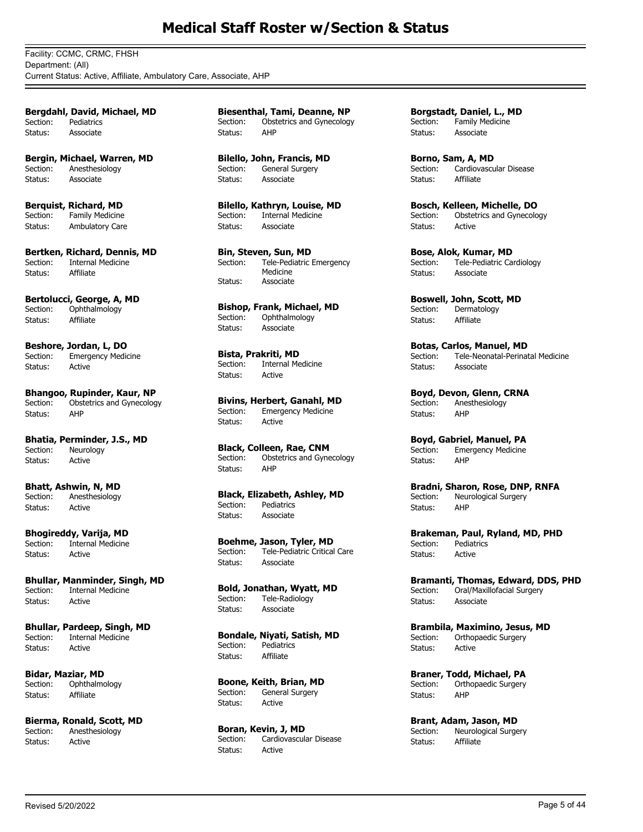Facility: CCMC, CRMC, FHSH Department: (All) Current Status: Active, Affiliate, Ambulatory Care, Associate, AHP

**Bergdahl, David, Michael, MD** Section: Pediatrics Status: Associate

**Bergin, Michael, Warren, MD** Section: Anesthesiology Status: Associate

**Berquist, Richard, MD** Section: Family Medicine Status: Ambulatory Care

**Bertken, Richard, Dennis, MD** Section: Internal Medicine Status: Affiliate

**Bertolucci, George, A, MD** Section: Ophthalmology Status: Affiliate

**Beshore, Jordan, L, DO** Section: Emergency Medicine Status: Active

**Bhangoo, Rupinder, Kaur, NP** Section: Obstetrics and Gynecology Status: AHP

**Bhatia, Perminder, J.S., MD**<br>Section: Neurology Neurology Status: Active

**Bhatt, Ashwin, N, MD** Section: Anesthesiology Status: Active

**Bhogireddy, Varija, MD**<br>Section: Internal Medicine **Internal Medicine** Status: Active

**Bhullar, Manminder, Singh, MD** Section: Internal Medicine Status: Active

**Bhullar, Pardeep, Singh, MD** Section: Internal Medicine Status: Active

**Bidar, Maziar, MD** Section: Ophthalmology Status: Affiliate

**Bierma, Ronald, Scott, MD** Section: Anesthesiology Status: Active

**Biesenthal, Tami, Deanne, NP** Section: Obstetrics and Gynecology Status: AHP

**Bilello, John, Francis, MD** Section: General Surgery Status: Associate

**Bilello, Kathryn, Louise, MD** Section: Internal Medicine Status: Associate

**Bin, Steven, Sun, MD** Tele-Pediatric Emergency Medicine Section: Status: Associate

**Bishop, Frank, Michael, MD**<br>Section: Ophthalmology Ophthalmology Status: Associate

**Bista, Prakriti, MD** Section: Internal Medicine Status: Active

**Bivins, Herbert, Ganahl, MD**<br>Section: Emergency Medicine Emergency Medicine Status: Active

**Black, Colleen, Rae, CNM** Section: Obstetrics and Gynecology Status: AHP

**Black, Elizabeth, Ashley, MD** Section: Pediatrics Status: Associate

**Boehme, Jason, Tyler, MD** Section: Tele-Pediatric Critical Care Status: Associate

**Bold, Jonathan, Wyatt, MD** Section: Tele-Radiology Status: Associate

**Bondale, Niyati, Satish, MD** Section: Pediatrics Status: Affiliate

**Boone, Keith, Brian, MD** Section: General Surgery Status: Active

**Boran, Kevin, J, MD**<br>Section: Cardiovascula Cardiovascular Disease Status: Active

**Borgstadt, Daniel, L., MD** Section: Family Medicine Status: Associate

**Borno, Sam, A, MD** Section: Cardiovascular Disease Status: Affiliate

**Bosch, Kelleen, Michelle, DO** Section: Obstetrics and Gynecology Status: Active

**Bose, Alok, Kumar, MD** Section: Tele-Pediatric Cardiology Status: Associate

**Boswell, John, Scott, MD** Section: Dermatology Status: Affiliate

**Botas, Carlos, Manuel, MD**<br>Section: Tele-Neonatal-Perinat Tele-Neonatal-Perinatal Medicine Status: Associate

**Boyd, Devon, Glenn, CRNA** Section: Anesthesiology Status: AHP

**Boyd, Gabriel, Manuel, PA**<br>Section: Emergency Medicine Emergency Medicine Status: AHP

**Bradni, Sharon, Rose, DNP, RNFA** Section: Neurological Surgery Status: AHP

**Brakeman, Paul, Ryland, MD, PHD** Section: Pediatrics Status: Active

**Bramanti, Thomas, Edward, DDS, PHD** Section: Oral/Maxillofacial Surgery Status: Associate

**Brambila, Maximino, Jesus, MD** Section: Orthopaedic Surgery Status: Active

**Braner, Todd, Michael, PA** Section: Orthopaedic Surgery Status: AHP

**Brant, Adam, Jason, MD**<br>Section: **Meurological Surge** Neurological Surgery Status: Affiliate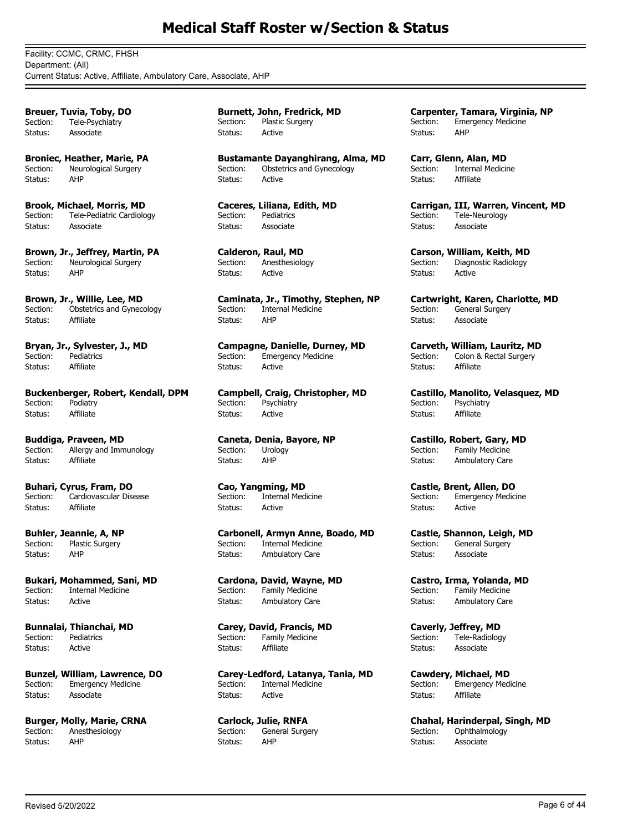Facility: CCMC, CRMC, FHSH Department: (All) Current Status: Active, Affiliate, Ambulatory Care, Associate, AHP

**Breuer, Tuvia, Toby, DO** Section: Tele-Psychiatry Status: Associate

**Broniec, Heather, Marie, PA** Section: Neurological Surgery Status: AHP

**Brook, Michael, Morris, MD** Section: Tele-Pediatric Cardiology Status: Associate

**Brown, Jr., Jeffrey, Martin, PA** Section: Neurological Surgery Status: AHP

**Brown, Jr., Willie, Lee, MD** Section: Obstetrics and Gynecology Status: Affiliate

**Bryan, Jr., Sylvester, J., MD** Section: Pediatrics Status: Affiliate

**Buckenberger, Robert, Kendall, DPM** Section: Podiatry Status: Affiliate

**Buddiga, Praveen, MD**<br>Section: Allergy and Imm Allergy and Immunology Status: Affiliate

**Buhari, Cyrus, Fram, DO** Section: Cardiovascular Disease Status: Affiliate

**Buhler, Jeannie, A, NP** Section: Plastic Surgery Status: AHP

**Bukari, Mohammed, Sani, MD** Section: Internal Medicine Status: Active

**Bunnalai, Thianchai, MD** Section: Pediatrics Status: Active

**Bunzel, William, Lawrence, DO** Section: Emergency Medicine Status: Associate

**Burger, Molly, Marie, CRNA** Section: Anesthesiology Status: AHP

**Burnett, John, Fredrick, MD** Section: Plastic Surgery Status: Active

**Bustamante Dayanghirang, Alma, MD** Section: Obstetrics and Gynecology Status: Active

**Caceres, Liliana, Edith, MD** Section: Pediatrics Status: Associate

**Calderon, Raul, MD** Section: Anesthesiology Status: Active

**Caminata, Jr., Timothy, Stephen, NP** Section: Internal Medicine Status: AHP

**Campagne, Danielle, Durney, MD**<br>Section: Emergency Medicine **Emergency Medicine** Status: Active

**Campbell, Craig, Christopher, MD** Section: Psychiatry Status: Active

**Caneta, Denia, Bayore, NP** Urology Status: AHP

**Cao, Yangming, MD** Section: Internal Medicine Status: Active

**Carbonell, Armyn Anne, Boado, MD** Section: Internal Medicine Status: Ambulatory Care

**Cardona, David, Wayne, MD** Section: Family Medicine Status: Ambulatory Care

**Carey, David, Francis, MD** Section: Family Medicine<br>Status: Affiliate Status:

**Carey-Ledford, Latanya, Tania, MD** Section: Internal Medicine Status: Active

**Carlock, Julie, RNFA** Section: General Surgery Status: AHP

**Carpenter, Tamara, Virginia, NP** Section: Emergency Medicine Status: AHP

**Carr, Glenn, Alan, MD** Section: Internal Medicine Status: Affiliate

**Carrigan, III, Warren, Vincent, MD** Section: Tele-Neurology Status: Associate

**Carson, William, Keith, MD** Section: Diagnostic Radiology Status: Active

**Cartwright, Karen, Charlotte, MD** Section: General Surgery Status: Associate

**Carveth, William, Lauritz, MD**<br>Section: Colon & Rectal Surgery Colon & Rectal Surgery Status: Affiliate

**Castillo, Manolito, Velasquez, MD** Section: Psychiatry Status: Affiliate

**Castillo, Robert, Gary, MD**<br>Section: Family Medicine Family Medicine Status: Ambulatory Care

**Castle, Brent, Allen, DO** Section: Emergency Medicine Status: Active

**Castle, Shannon, Leigh, MD**<br>Section: General Surgery General Surgery Status: Associate

**Castro, Irma, Yolanda, MD** Section: Family Medicine Status: Ambulatory Care

**Caverly, Jeffrey, MD** Section: Tele-Radiology<br>Status: Associate Associate

**Cawdery, Michael, MD** Section: Emergency Medicine Status: Affiliate

**Chahal, Harinderpal, Singh, MD** Section: Ophthalmology Status: Associate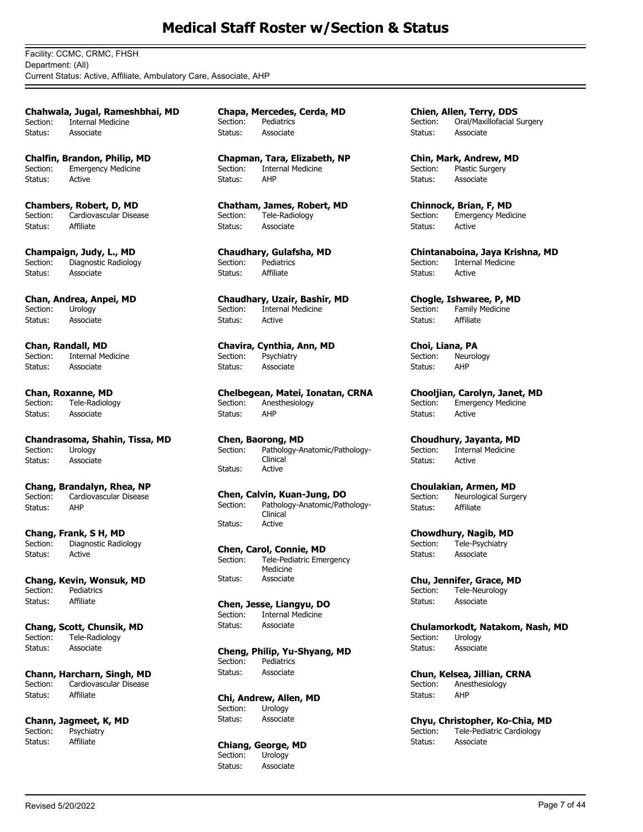Facility: CCMC, CRMC, FHSH Department: (All) Current Status: Active, Affiliate, Ambulatory Care, Associate, AHP

**Chahwala, Jugal, Rameshbhai, MD** Section: Internal Medicine Status: Associate

**Chalfin, Brandon, Philip, MD** Section: Emergency Medicine Status: Active

**Chambers, Robert, D, MD** Section: Cardiovascular Disease Status: Affiliate

**Champaign, Judy, L., MD** Diagnostic Radiology Status: Associate

**Chan, Andrea, Anpei, MD** Section: Urology Status: Associate

**Chan, Randall, MD**<br>Section: Internal Me Internal Medicine Status: Associate

**Chan, Roxanne, MD** Section: Tele-Radiology Status: Associate

**Chandrasoma, Shahin, Tissa, MD**<br>Section: Urology Section: Status: Associate

**Chang, Brandalyn, Rhea, NP** Section: Cardiovascular Disease Status: AHP

**Chang, Frank, S H, MD**<br>Section: Diagnostic Radio Diagnostic Radiology Status: Active

**Chang, Kevin, Wonsuk, MD** Section: Pediatrics Status: Affiliate

**Chang, Scott, Chunsik, MD** Section: Tele-Radiology Status: Associate

**Chann, Harcharn, Singh, MD** Section: Cardiovascular Disease Status: Affiliate

**Chann, Jagmeet, K, MD**<br>Section: **Psychiatry** Psychiatry Status: Affiliate

**Chapa, Mercedes, Cerda, MD** Section: Pediatrics Status: Associate

**Chapman, Tara, Elizabeth, NP** Section: Internal Medicine Status: AHP

**Chatham, James, Robert, MD** Section: Tele-Radiology Status: Associate

**Chaudhary, Gulafsha, MD** Section: Pediatrics Status: Affiliate

**Chaudhary, Uzair, Bashir, MD** Section: Internal Medicine Status: Active

**Chavira, Cynthia, Ann, MD**<br>Section: **Psychiatry** Psychiatry Status: Associate

**Chelbegean, Matei, Ionatan, CRNA** Section: Anesthesiology Status: AHP

**Chen, Baorong, MD** Pathology-Anatomic/Pathology-Clinical Section: Status: Active

**Chen, Calvin, Kuan-Jung, DO** Pathology-Anatomic/Pathology-Clinical<br>Active Section: Status:

**Chen, Carol, Connie, MD** Tele-Pediatric Emergency Medicine Section: Status: Associate

**Chen, Jesse, Liangyu, DO** Section: Internal Medicine Status: Associate

**Cheng, Philip, Yu-Shyang, MD**<br>Section: Pediatrics Pediatrics Status: Associate

**Chi, Andrew, Allen, MD** Section: Urology Status: Associate

**Chiang, George, MD** Section: Urology Status: Associate

**Chien, Allen, Terry, DDS** Section: Oral/Maxillofacial Surgery Status: Associate

**Chin, Mark, Andrew, MD** Section: Plastic Surgery Status: Associate

**Chinnock, Brian, F, MD** Section: Emergency Medicine Status: Active

**Chintanaboina, Jaya Krishna, MD** Section: Internal Medicine Status: Active

**Chogle, Ishwaree, P, MD** Section: Family Medicine Status: Affiliate

**Choi, Liana, PA**<br>Section: Neurol Neurology Status: AHP

**Chooljian, Carolyn, Janet, MD** Section: Emergency Medicine Status: Active

**Choudhury, Jayanta, MD**<br>Section: Internal Medicine Internal Medicine Status: Active

**Choulakian, Armen, MD** Section: Neurological Surgery Status: Affiliate

**Chowdhury, Nagib, MD**<br>Section: Tele-Psychiatry Tele-Psychiatry Status: Associate

**Chu, Jennifer, Grace, MD** Section: Tele-Neurology Status: Associate

**Chulamorkodt, Natakom, Nash, MD** Section: Urology Status: Associate

**Chun, Kelsea, Jillian, CRNA**<br>Section: Anesthesiology Anesthesiology Status: AHP

**Chyu, Christopher, Ko-Chia, MD** Section: Tele-Pediatric Cardiology Status: Associate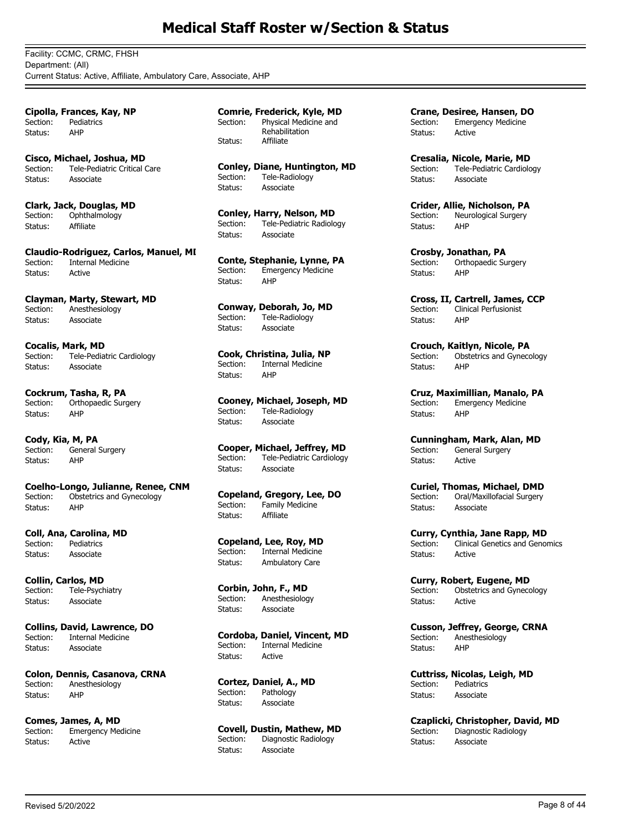Facility: CCMC, CRMC, FHSH Department: (All) Current Status: Active, Affiliate, Ambulatory Care, Associate, AHP

**Cipolla, Frances, Kay, NP** Section: Pediatrics Status: AHP

**Cisco, Michael, Joshua, MD** Section: Tele-Pediatric Critical Care Status: Associate

**Clark, Jack, Douglas, MD** Section: Ophthalmology<br>Status: Affiliate Status:

**Claudio-Rodriguez, Carlos, Manuel, MI** Section: Internal Medicine Status: Active

**Clayman, Marty, Stewart, MD** Section: Anesthesiology Status: Associate

**Cocalis, Mark, MD** Section: Tele-Pediatric Cardiology Status: Associate

**Cockrum, Tasha, R, PA** Section: Orthopaedic Surgery Status: AHP

**Cody, Kia, M, PA** General Surgery Status: AHP

**Coelho-Longo, Julianne, Renee, CNM** Section: Obstetrics and Gynecology Status: AHP

**Coll, Ana, Carolina, MD** Section: Pediatrics Status: Associate

**Collin, Carlos, MD** Section: Tele-Psychiatry Status: Associate

**Collins, David, Lawrence, DO** Section: Internal Medicine Status: Associate

**Colon, Dennis, Casanova, CRNA** Section: Anesthesiology Status: AHP

**Comes, James, A, MD** Section: Emergency Medicine Status: Active

**Comrie, Frederick, Kyle, MD** Physical Medicine and Rehabilitation<br>Affiliate Section: Status:

**Conley, Diane, Huntington, MD** Section: Tele-Radiology Status: Associate

**Conley, Harry, Nelson, MD** Section: Tele-Pediatric Radiology Status: Associate

**Conte, Stephanie, Lynne, PA** Section: Emergency Medicine Status: AHP

**Conway, Deborah, Jo, MD** Tele-Radiology Status: Associate

**Cook, Christina, Julia, NP** Section: Internal Medicine Status: AHP

**Cooney, Michael, Joseph, MD**<br>Section: Tele-Radiology Tele-Radiology Status: Associate

**Cooper, Michael, Jeffrey, MD** Section: Tele-Pediatric Cardiology Status: Associate

**Copeland, Gregory, Lee, DO** Section: Family Medicine Status: Affiliate

**Copeland, Lee, Roy, MD** Section: Internal Medicine Status: Ambulatory Care

**Corbin, John, F., MD** Section: Anesthesiology Status: Associate

**Cordoba, Daniel, Vincent, MD** Section: Internal Medicine Status: Active

**Cortez, Daniel, A., MD** Section: Pathology Status: Associate

**Covell, Dustin, Mathew, MD**<br>Section: Diagnostic Radiology Diagnostic Radiology Status: Associate

**Crane, Desiree, Hansen, DO** Section: Emergency Medicine Status: Active

**Cresalia, Nicole, Marie, MD** Section: Tele-Pediatric Cardiology Status: Associate

**Crider, Allie, Nicholson, PA** Section: Neurological Surgery Status: AHP

**Crosby, Jonathan, PA** Section: Orthopaedic Surgery Status: AHP

**Cross, II, Cartrell, James, CCP** Section: Clinical Perfusionist Status: AHP

**Crouch, Kaitlyn, Nicole, PA**<br>Section: Obstetrics and Gyneco Obstetrics and Gynecology Status: AHP

**Cruz, Maximillian, Manalo, PA** Section: Emergency Medicine Status: AHP

**Cunningham, Mark, Alan, MD**<br>Section: General Surgery General Surgery Status: Active

**Curiel, Thomas, Michael, DMD** Section: Oral/Maxillofacial Surgery Status: Associate

**Curry, Cynthia, Jane Rapp, MD** Section: Clinical Genetics and Genomics Status: Active

**Curry, Robert, Eugene, MD** Section: Obstetrics and Gynecology Status: Active

**Cusson, Jeffrey, George, CRNA** Section: Anesthesiology Status: AHP

**Cuttriss, Nicolas, Leigh, MD** Section: Pediatrics Status: Associate

**Czaplicki, Christopher, David, MD**<br>Section: Diagnostic Radiology Diagnostic Radiology Status: Associate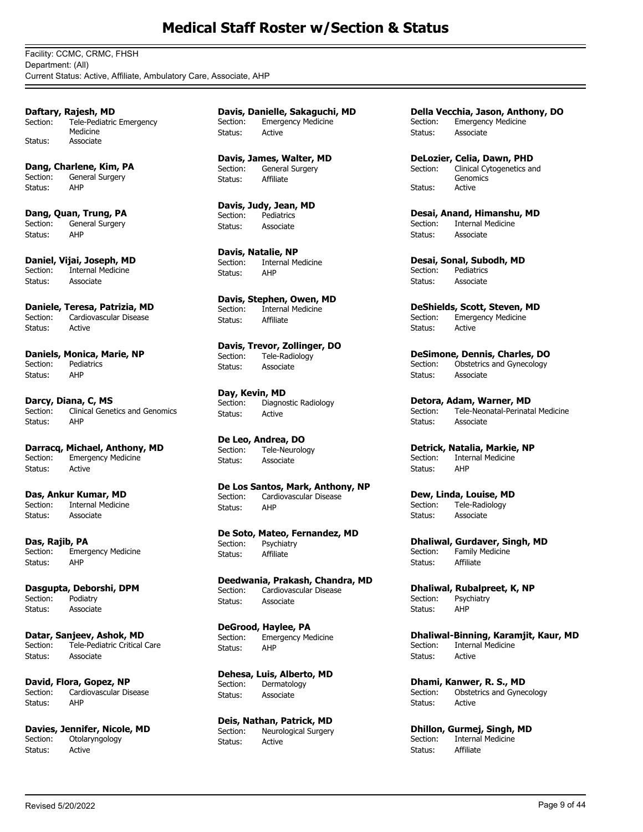Facility: CCMC, CRMC, FHSH Department: (All) Current Status: Active, Affiliate, Ambulatory Care, Associate, AHP

**Daftary, Rajesh, MD** Tele-Pediatric Emergency Medicine Section: Status: Associate

**Dang, Charlene, Kim, PA** Section: General Surgery Status: AHP

**Dang, Quan, Trung, PA** Section: General Surgery Status: AHP

**Daniel, Vijai, Joseph, MD**<br>Section: Internal Medicine **Internal Medicine** Status: Associate

**Daniele, Teresa, Patrizia, MD**<br>Section: Cardiovascular Disease Cardiovascular Disease Status: Active

**Daniels, Monica, Marie, NP** Section: Pediatrics Status: AHP

**Darcy, Diana, C, MS**<br>Section: Clinical Gene Clinical Genetics and Genomics Status: AHP

**Darracq, Michael, Anthony, MD** Section: Emergency Medicine Status: Active

**Das, Ankur Kumar, MD** Section: Internal Medicine Status: Associate

**Das, Rajib, PA** Section: Emergency Medicine Status: AHP

**Dasgupta, Deborshi, DPM** Section: Podiatry Status: Associate

**Datar, Sanjeev, Ashok, MD** Section: Tele-Pediatric Critical Care Status: Associate

**David, Flora, Gopez, NP**<br>Section: Cardiovascular Dis Cardiovascular Disease Status: AHP

**Davies, Jennifer, Nicole, MD**<br>Section: Otolaryngology Otolaryngology Status: Active

**Davis, Danielle, Sakaguchi, MD** Section: Emergency Medicine Status: Active

**Davis, James, Walter, MD** Section: General Surgery Status: Affiliate

**Davis, Judy, Jean, MD** Section: Pediatrics Status: Associate

**Davis, Natalie, NP** Section: Internal Medicine Status: AHP

**Davis, Stephen, Owen, MD** Section: Internal Medicine Status: Affiliate

**Davis, Trevor, Zollinger, DO** Section: Tele-Radiology Status: Associate

**Day, Kevin, MD** Section: Diagnostic Radiology Status: Active

**De Leo, Andrea, DO** Tele-Neurology Status: Associate

**De Los Santos, Mark, Anthony, NP** Section: Cardiovascular Disease Status: AHP

**De Soto, Mateo, Fernandez, MD** Section: Psychiatry Status: Affiliate

**Deedwania, Prakash, Chandra, MD** Section: Cardiovascular Disease Status: Associate

**DeGrood, Haylee, PA** Section: Emergency Medicine Status: AHP

**Dehesa, Luis, Alberto, MD** Section: Dermatology Status: Associate

**Deis, Nathan, Patrick, MD**<br>Section: Neurological Surgery Neurological Surgery Status: Active

**Della Vecchia, Jason, Anthony, DO** Section: Emergency Medicine Status: Associate

**DeLozier, Celia, Dawn, PHD** Clinical Cytogenetics and Genomics Section: Status: Active

**Desai, Anand, Himanshu, MD**<br>Section: Internal Medicine **Internal Medicine** Status: Associate

**Desai, Sonal, Subodh, MD**<br>Section: **Pediatrics Pediatrics** Status: Associate

**DeShields, Scott, Steven, MD**<br>Section: Emergency Medicine Emergency Medicine Status: Active

**DeSimone, Dennis, Charles, DO** Section: Obstetrics and Gynecology Status: Associate

**Detora, Adam, Warner, MD**<br>Section: Tele-Neonatal-Perinata Tele-Neonatal-Perinatal Medicine Status: Associate

**Detrick, Natalia, Markie, NP** Section: Internal Medicine Status: AHP

**Dew, Linda, Louise, MD** Section: Tele-Radiology Status: Associate

**Dhaliwal, Gurdaver, Singh, MD** Section: Family Medicine Status: Affiliate

**Dhaliwal, Rubalpreet, K, NP** Section: Psychiatry Status: AHP

**Dhaliwal-Binning, Karamjit, Kaur, MD** Section: Internal Medicine Status: Active

**Dhami, Kanwer, R. S., MD**<br>Section: **Obstetrics and Gyne** Obstetrics and Gynecology Status: Active

**Dhillon, Gurmej, Singh, MD**<br>Section: Internal Medicine Internal Medicine Status: Affiliate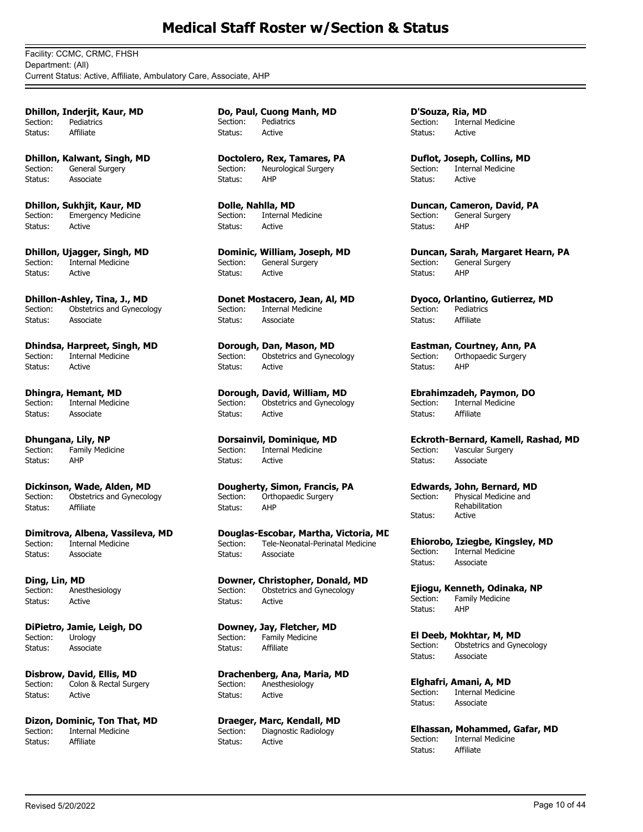Facility: CCMC, CRMC, FHSH Department: (All) Current Status: Active, Affiliate, Ambulatory Care, Associate, AHP

**Dhillon, Inderjit, Kaur, MD** Section: Pediatrics Status: Affiliate

**Dhillon, Kalwant, Singh, MD** Section: General Surgery Status: Associate

**Dhillon, Sukhjit, Kaur, MD** Section: Emergency Medicine Status: Active

**Dhillon, Ujagger, Singh, MD** Section: Internal Medicine Status: Active

**Dhillon-Ashley, Tina, J., MD** Section: Obstetrics and Gynecology Status: Associate

**Dhindsa, Harpreet, Singh, MD**<br>Section: Internal Medicine Internal Medicine Status: Active

**Dhingra, Hemant, MD** Section: Internal Medicine Status: Associate

**Dhungana, Lily, NP**<br>Section: Family Medi Family Medicine Status: AHP

**Dickinson, Wade, Alden, MD** Section: Obstetrics and Gynecology Status: Affiliate

**Dimitrova, Albena, Vassileva, MD** Section: Internal Medicine Status: Associate

**Ding, Lin, MD** Section: Anesthesiology Status: Active

**DiPietro, Jamie, Leigh, DO** Section: Urology Status: Associate

**Disbrow, David, Ellis, MD** Section: Colon & Rectal Surgery Status: Active

**Dizon, Dominic, Ton That, MD**<br>Section: **Internal Medicine** Internal Medicine Status: Affiliate

**Do, Paul, Cuong Manh, MD** Section: Pediatrics Status: Active

**Doctolero, Rex, Tamares, PA** Section: Neurological Surgery Status: AHP

**Dolle, Nahlla, MD** Section: Internal Medicine Status: Active

**Dominic, William, Joseph, MD** Section: General Surgery Status: Active

**Donet Mostacero, Jean, Al, MD** Section: Internal Medicine Status: Associate

**Dorough, Dan, Mason, MD**<br>Section: Obstetrics and Gynec Obstetrics and Gynecology Status: Active

**Dorough, David, William, MD**<br>Section: **Distetrics and Gynecology** Obstetrics and Gynecology Status: Active

**Dorsainvil, Dominique, MD**<br>Section: Internal Medicine Internal Medicine Status: Active

**Dougherty, Simon, Francis, PA** Section: Orthopaedic Surgery Status: AHP

**Douglas-Escobar, Martha, Victoria, MC**<br>Section: Tele-Neonatal-Perinatal Medicine Tele-Neonatal-Perinatal Medicine Status: Associate

**Downer, Christopher, Donald, MD** Section: Obstetrics and Gynecology Status: Active

**Downey, Jay, Fletcher, MD** Section: Family Medicine Status: Affiliate

**Drachenberg, Ana, Maria, MD** Section: Anesthesiology Status: Active

**Draeger, Marc, Kendall, MD**<br>Section: Diagnostic Radiology Diagnostic Radiology Status: Active

**D'Souza, Ria, MD** Section: Internal Medicine Status: Active

**Duflot, Joseph, Collins, MD** Section: Internal Medicine Status: Active

**Duncan, Cameron, David, PA** Section: General Surgery Status: AHP

**Duncan, Sarah, Margaret Hearn, PA** Section: General Surgery Status: AHP

**Dyoco, Orlantino, Gutierrez, MD** Section: Pediatrics Status: Affiliate

**Eastman, Courtney, Ann, PA**<br>Section: Orthopaedic Surgery Orthopaedic Surgery Status: AHP

**Ebrahimzadeh, Paymon, DO** Internal Medicine Status: Affiliate

**Eckroth-Bernard, Kamell, Rashad, MD**<br>Section: Vascular Surgery Vascular Surgery Status: Associate

**Edwards, John, Bernard, MD** Physical Medicine and Rehabilitation Section: Status: Active

**Ehiorobo, Iziegbe, Kingsley, MD** Section: Internal Medicine Status: Associate

**Ejiogu, Kenneth, Odinaka, NP** Section: Family Medicine Status: AHP

**El Deeb, Mokhtar, M, MD** Section: Obstetrics and Gynecology Status: Associate

**Elghafri, Amani, A, MD** Section: Internal Medicine Status: Associate

**Elhassan, Mohammed, Gafar, MD**<br>Section: Internal Medicine Internal Medicine Status: Affiliate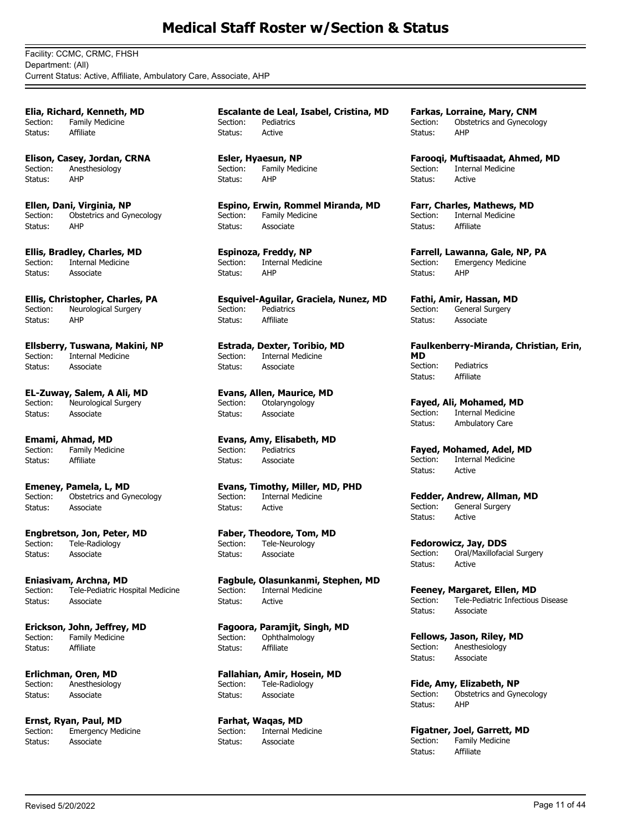Facility: CCMC, CRMC, FHSH Department: (All) Current Status: Active, Affiliate, Ambulatory Care, Associate, AHP

**Elia, Richard, Kenneth, MD** Section: Family Medicine Status: Affiliate

**Elison, Casey, Jordan, CRNA** Section: Anesthesiology Status: AHP

**Ellen, Dani, Virginia, NP** Section: Obstetrics and Gynecology Status: AHP

**Ellis, Bradley, Charles, MD** Section: Internal Medicine Status: Associate

**Ellis, Christopher, Charles, PA** Section: Neurological Surgery Status: AHP

**Ellsberry, Tuswana, Makini, NP** Internal Medicine Status: Associate

**EL-Zuway, Salem, A Ali, MD** Section: Neurological Surgery Status: Associate

**Emami, Ahmad, MD**<br>Section: Family Medic Family Medicine Status: Affiliate

**Emeney, Pamela, L, MD** Section: Obstetrics and Gynecology Status: Associate

**Engbretson, Jon, Peter, MD**<br>Section: Tele-Radiology Tele-Radiology Status: Associate

**Eniasivam, Archna, MD** Section: Tele-Pediatric Hospital Medicine Status: Associate

**Erickson, John, Jeffrey, MD** Section: Family Medicine<br>Status: Affiliate Status:

**Erlichman, Oren, MD** Section: Anesthesiology Status: Associate

**Ernst, Ryan, Paul, MD** Section: Emergency Medicine Status: Associate

**Escalante de Leal, Isabel, Cristina, MD** Section: Pediatrics Status: Active

**Esler, Hyaesun, NP** Section: Family Medicine Status: AHP

**Espino, Erwin, Rommel Miranda, MD** Section: Family Medicine Status: Associate

**Espinoza, Freddy, NP** Section: Internal Medicine Status: AHP

**Esquivel-Aguilar, Graciela, Nunez, MD** Section: Pediatrics Status: Affiliate

**Estrada, Dexter, Toribio, MD**<br>Section: Internal Medicine Internal Medicine Status: Associate

**Evans, Allen, Maurice, MD**<br>Section: Otolaryngology Otolaryngology Status: Associate

**Evans, Amy, Elisabeth, MD**<br>Section: Pediatrics Pediatrics Status: Associate

**Evans, Timothy, Miller, MD, PHD** Section: Internal Medicine Status: Active

**Faber, Theodore, Tom, MD**<br>Section: Tele-Neurology Tele-Neurology Status: Associate

**Fagbule, Olasunkanmi, Stephen, MD** Section: Internal Medicine Status: Active

**Fagoora, Paramjit, Singh, MD** Section: Ophthalmology Status: Affiliate

**Fallahian, Amir, Hosein, MD** Section: Tele-Radiology Status: Associate

**Farhat, Waqas, MD**<br>Section: **Internal Med** Internal Medicine Status: Associate

**Farkas, Lorraine, Mary, CNM** Section: Obstetrics and Gynecology Status: AHP

**Farooqi, Muftisaadat, Ahmed, MD** Section: Internal Medicine Status: Active

**Farr, Charles, Mathews, MD** Section: Internal Medicine Status: Affiliate

**Farrell, Lawanna, Gale, NP, PA** Section: Emergency Medicine Status: AHP

**Fathi, Amir, Hassan, MD** Section: General Surgery Status: Associate

**Faulkenberry-Miranda, Christian, Erin, MD** Section: Pediatrics Status: Affiliate

**Fayed, Ali, Mohamed, MD** Section: Internal Medicine Status: Ambulatory Care

**Fayed, Mohamed, Adel, MD** Section: Internal Medicine Status: Active

**Fedder, Andrew, Allman, MD** Section: General Surgery Status: Active

**Fedorowicz, Jay, DDS**<br>Section: Oral/Maxillofaci Oral/Maxillofacial Surgery Status: Active

**Feeney, Margaret, Ellen, MD**<br>Section: Tele-Pediatric Infectious Tele-Pediatric Infectious Disease Status: Associate

**Fellows, Jason, Riley, MD**<br>Section: Anesthesiology Anesthesiology Status: Associate

**Fide, Amy, Elizabeth, NP** Section: Obstetrics and Gynecology Status: AHP

**Figatner, Joel, Garrett, MD**<br>Section: Family Medicine Family Medicine<br>Affiliate Status: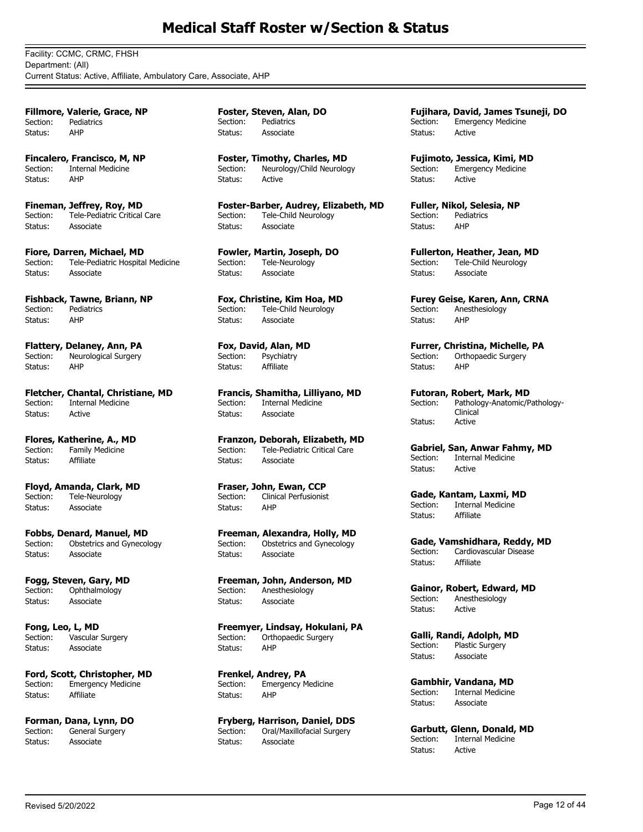Facility: CCMC, CRMC, FHSH Department: (All) Current Status: Active, Affiliate, Ambulatory Care, Associate, AHP

**Fillmore, Valerie, Grace, NP** Section: Pediatrics Status: AHP

**Fincalero, Francisco, M, NP** Section: Internal Medicine Status: AHP

**Fineman, Jeffrey, Roy, MD** Section: Tele-Pediatric Critical Care Status: Associate

**Fiore, Darren, Michael, MD**<br>Section: Tele-Pediatric Hospita Tele-Pediatric Hospital Medicine Status: Associate

**Fishback, Tawne, Briann, NP** Section: Pediatrics Status: AHP

**Flattery, Delaney, Ann, PA**<br>Section: Neurological Surgery Neurological Surgery Status: AHP

**Fletcher, Chantal, Christiane, MD** Section: Internal Medicine Status: Active

**Flores, Katherine, A., MD**<br>Section: Family Medicine Family Medicine Status: Affiliate

**Floyd, Amanda, Clark, MD** Section: Tele-Neurology Status: Associate

**Fobbs, Denard, Manuel, MD** Section: Obstetrics and Gynecology Status: Associate

**Fogg, Steven, Gary, MD** Section: Ophthalmology Status: Associate

**Fong, Leo, L, MD** Section: Vascular Surgery Status: Associate

**Ford, Scott, Christopher, MD** Section: Emergency Medicine Status: Affiliate

**Forman, Dana, Lynn, DO** Section: General Surgery Status: Associate

**Foster, Steven, Alan, DO** Section: Pediatrics Status: Associate

**Foster, Timothy, Charles, MD** Section: Neurology/Child Neurology Status: Active

**Foster-Barber, Audrey, Elizabeth, MD** Section: Tele-Child Neurology Status: Associate

**Fowler, Martin, Joseph, DO**<br>Section: Tele-Neurology Tele-Neurology Status: Associate

**Fox, Christine, Kim Hoa, MD** Section: Tele-Child Neurology Status: Associate

**Fox, David, Alan, MD**<br>Section: **Psychiatry** Psychiatry Status: Affiliate

**Francis, Shamitha, Lilliyano, MD** Section: Internal Medicine Status: Associate

**Franzon, Deborah, Elizabeth, MD**<br>Section: Tele-Pediatric Critical Care Tele-Pediatric Critical Care Status: Associate

**Fraser, John, Ewan, CCP** Section: Clinical Perfusionist Status: AHP

**Freeman, Alexandra, Holly, MD** Section: Obstetrics and Gynecology Status: Associate

**Freeman, John, Anderson, MD** Section: Anesthesiology Status: Associate

**Freemyer, Lindsay, Hokulani, PA** Section: Orthopaedic Surgery Status: AHP

**Frenkel, Andrey, PA** Section: Emergency Medicine Status: AHP

**Fryberg, Harrison, Daniel, DDS** Section: Oral/Maxillofacial Surgery Status: Associate

**Fujihara, David, James Tsuneji, DO** Section: Emergency Medicine Status: Active

**Fujimoto, Jessica, Kimi, MD** Section: Emergency Medicine Status: Active

**Fuller, Nikol, Selesia, NP** Section: Pediatrics<br>Status: AHP Status:

**Fullerton, Heather, Jean, MD** Section: Tele-Child Neurology Status: Associate

**Furey Geise, Karen, Ann, CRNA** Section: Anesthesiology Status: AHP

**Furrer, Christina, Michelle, PA**<br>Section: Orthopaedic Surgery Orthopaedic Surgery Status: AHP

**Futoran, Robert, Mark, MD** Pathology-Anatomic/Pathology-Clinical Section: Status: Active

**Gabriel, San, Anwar Fahmy, MD** Section: Internal Medicine Status: Active

**Gade, Kantam, Laxmi, MD** Section: Internal Medicine Status: Affiliate

**Gade, Vamshidhara, Reddy, MD** Section: Cardiovascular Disease Status: Affiliate

**Gainor, Robert, Edward, MD** Section: Anesthesiology Status: Active

**Galli, Randi, Adolph, MD** Section: Plastic Surgery Status: Associate

**Gambhir, Vandana, MD**<br>Section: **Internal Medicine** Internal Medicine Status: Associate

**Garbutt, Glenn, Donald, MD**<br>Section: Internal Medicine Internal Medicine Status: Active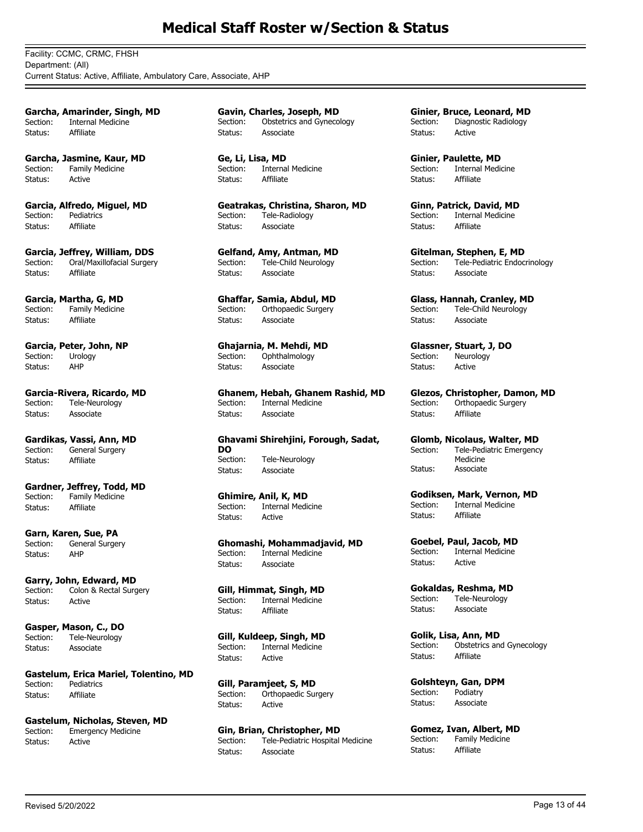Facility: CCMC, CRMC, FHSH Department: (All) Current Status: Active, Affiliate, Ambulatory Care, Associate, AHP

**Garcha, Amarinder, Singh, MD** Section: Internal Medicine Status: Affiliate

**Garcha, Jasmine, Kaur, MD** Section: Family Medicine Status: Active

**Garcia, Alfredo, Miguel, MD** Section: Pediatrics Status: Affiliate

**Garcia, Jeffrey, William, DDS** Section: Oral/Maxillofacial Surgery Status: Affiliate

**Garcia, Martha, G, MD** Section: Family Medicine Status: Affiliate

**Garcia, Peter, John, NP** Section: Urology Status: AHP

**Garcia-Rivera, Ricardo, MD** Section: Tele-Neurology Status: Associate

**Gardikas, Vassi, Ann, MD** General Surgery Status: Affiliate

**Gardner, Jeffrey, Todd, MD** Section: Family Medicine Status: Affiliate

**Garn, Karen, Sue, PA** Section: General Surgery Status: AHP

**Garry, John, Edward, MD** Section: Colon & Rectal Surgery Status: Active

**Gasper, Mason, C., DO** Section: Tele-Neurology Status: Associate

**Gastelum, Erica Mariel, Tolentino, MD** Section: Pediatrics Status: Affiliate

**Gastelum, Nicholas, Steven, MD** Section: Emergency Medicine Status: Active

**Gavin, Charles, Joseph, MD** Section: Obstetrics and Gynecology Status: Associate

**Ge, Li, Lisa, MD** Section: Internal Medicine Status: Affiliate

**Geatrakas, Christina, Sharon, MD** Section: Tele-Radiology Status: Associate

**Gelfand, Amy, Antman, MD** Section: Tele-Child Neurology Status: Associate

**Ghaffar, Samia, Abdul, MD** Section: Orthopaedic Surgery Status: Associate

**Ghajarnia, M. Mehdi, MD** Section: Ophthalmology Status: Associate

**Ghanem, Hebah, Ghanem Rashid, MD** Section: Internal Medicine Status: Associate

**Ghavami Shirehjini, Forough, Sadat, DO** Section: Tele-Neurology Status: Associate

**Ghimire, Anil, K, MD** Section: Internal Medicine Status: Active

**Ghomashi, Mohammadjavid, MD**<br>Section: **Internal Medicine** Section: Internal Medicine Status: Associate

**Gill, Himmat, Singh, MD** Internal Medicine Status: Affiliate

**Gill, Kuldeep, Singh, MD**<br>Section: Internal Medicine Internal Medicine Status: Active

**Gill, Paramjeet, S, MD** Section: Orthopaedic Surgery Status: Active

**Gin, Brian, Christopher, MD** Section: Tele-Pediatric Hospital Medicine Status: Associate

**Ginier, Bruce, Leonard, MD** Section: Diagnostic Radiology Status: Active

**Ginier, Paulette, MD** Section: Internal Medicine Status: Affiliate

**Ginn, Patrick, David, MD** Section: Internal Medicine Status: Affiliate

**Gitelman, Stephen, E, MD** Section: Tele-Pediatric Endocrinology Status: Associate

**Glass, Hannah, Cranley, MD** Section: Tele-Child Neurology Status: Associate

**Glassner, Stuart, J, DO**<br>Section: Neurology Neurology Status: Active

**Glezos, Christopher, Damon, MD** Section: Orthopaedic Surgery Status: Affiliate

**Glomb, Nicolaus, Walter, MD** Tele-Pediatric Emergency Medicine Section: Status: Associate

**Godiksen, Mark, Vernon, MD** Section: Internal Medicine Status: Affiliate

**Goebel, Paul, Jacob, MD** Section: Internal Medicine Status: Active

**Gokaldas, Reshma, MD** Section: Tele-Neurology Status: Associate

**Golik, Lisa, Ann, MD** Section: Obstetrics and Gynecology Status: Affiliate

**Golshteyn, Gan, DPM** Section: Podiatry Status: Associate

**Gomez, Ivan, Albert, MD**<br>Section: Family Medicine Family Medicine Status: Affiliate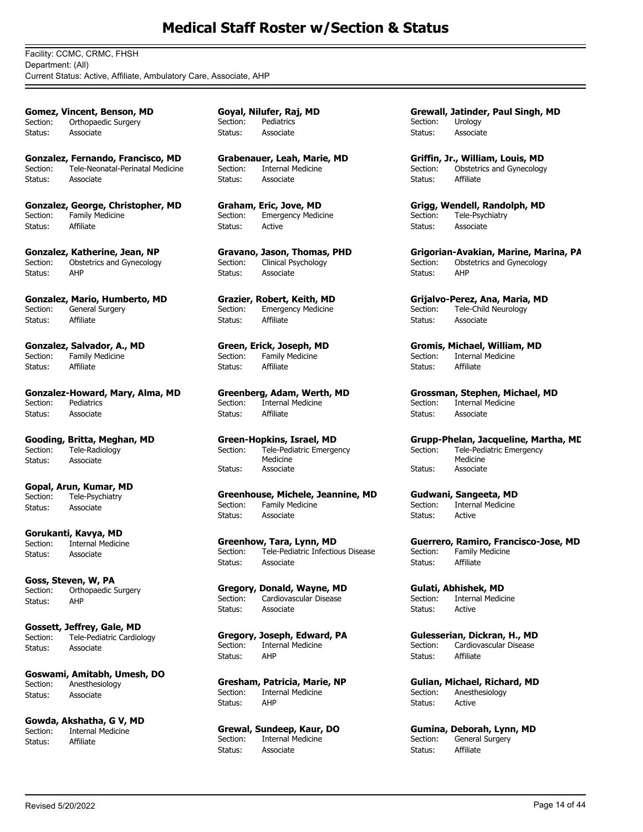Facility: CCMC, CRMC, FHSH Department: (All) Current Status: Active, Affiliate, Ambulatory Care, Associate, AHP

**Gomez, Vincent, Benson, MD** Section: Orthopaedic Surgery Status: Associate

**Gonzalez, Fernando, Francisco, MD** Section: Tele-Neonatal-Perinatal Medicine Status: Associate

**Gonzalez, George, Christopher, MD** Section: Family Medicine<br>Status: Affiliate Status:

**Gonzalez, Katherine, Jean, NP** Section: Obstetrics and Gynecology Status: AHP

**Gonzalez, Mario, Humberto, MD** Section: General Surgery Status: Affiliate

**Gonzalez, Salvador, A., MD** Section: Family Medicine Status: Affiliate

**Gonzalez-Howard, Mary, Alma, MD** Section: Pediatrics Status: Associate

**Gooding, Britta, Meghan, MD**<br>Section: Tele-Radiology Tele-Radiology Status: Associate

**Gopal, Arun, Kumar, MD** Section: Tele-Psychiatry Status: Associate

**Gorukanti, Kavya, MD** Section: Internal Medicine Status: Associate

**Goss, Steven, W, PA** Section: Orthopaedic Surgery Status: AHP

**Gossett, Jeffrey, Gale, MD** Section: Tele-Pediatric Cardiology Status: Associate

**Goswami, Amitabh, Umesh, DO** Section: Anesthesiology Status: Associate

**Gowda, Akshatha, G V, MD**<br>Section: **Internal Medicine** Internal Medicine Status: Affiliate

**Goyal, Nilufer, Raj, MD** Section: Pediatrics Status: Associate

**Grabenauer, Leah, Marie, MD** Section: Internal Medicine Status: Associate

**Graham, Eric, Jove, MD** Section: Emergency Medicine Status: Active

**Gravano, Jason, Thomas, PHD** Section: Clinical Psychology Status: Associate

**Grazier, Robert, Keith, MD** Section: Emergency Medicine Status: Affiliate

**Green, Erick, Joseph, MD**<br>Section: Family Medicine Family Medicine Status: Affiliate

**Greenberg, Adam, Werth, MD** Section: Internal Medicine Status: Affiliate

**Green-Hopkins, Israel, MD** Tele-Pediatric Emergency Medicine Section: Status: Associate

**Greenhouse, Michele, Jeannine, MD** Section: Family Medicine Status: Associate

**Greenhow, Tara, Lynn, MD** Section: Tele-Pediatric Infectious Disease Status: Associate

**Gregory, Donald, Wayne, MD** Section: Cardiovascular Disease Status: Associate

**Gregory, Joseph, Edward, PA** Section: Internal Medicine Status: AHP

**Gresham, Patricia, Marie, NP** Section: Internal Medicine Status: AHP

**Grewal, Sundeep, Kaur, DO** Internal Medicine Status: Associate

**Grewall, Jatinder, Paul Singh, MD** Section: Urology Status: Associate

**Griffin, Jr., William, Louis, MD** Section: Obstetrics and Gynecology Status: Affiliate

**Grigg, Wendell, Randolph, MD** Section: Tele-Psychiatry Status: Associate

**Grigorian-Avakian, Marine, Marina, PA** Section: Obstetrics and Gynecology Status: AHP

**Grijalvo-Perez, Ana, Maria, MD** Section: Tele-Child Neurology Status: Associate

**Gromis, Michael, William, MD**<br>Section: Internal Medicine Internal Medicine Status: Affiliate

**Grossman, Stephen, Michael, MD**<br>Section: Internal Medicine Internal Medicine Status: Associate

**Grupp-Phelan, Jacqueline, Martha, MD** Tele-Pediatric Emergency Medicine Section: Status: Associate

**Gudwani, Sangeeta, MD** Section: Internal Medicine Status: Active

**Guerrero, Ramiro, Francisco-Jose, MD** Section: Family Medicine Status: Affiliate

**Gulati, Abhishek, MD** Section: Internal Medicine Status: Active

**Gulesserian, Dickran, H., MD**<br>Section: Cardiovascular Disease Cardiovascular Disease Status: Affiliate

**Gulian, Michael, Richard, MD**<br>Section: Anesthesiology Anesthesiology Status: Active

**Gumina, Deborah, Lynn, MD**<br>Section: General Surgery General Surgery Status: Affiliate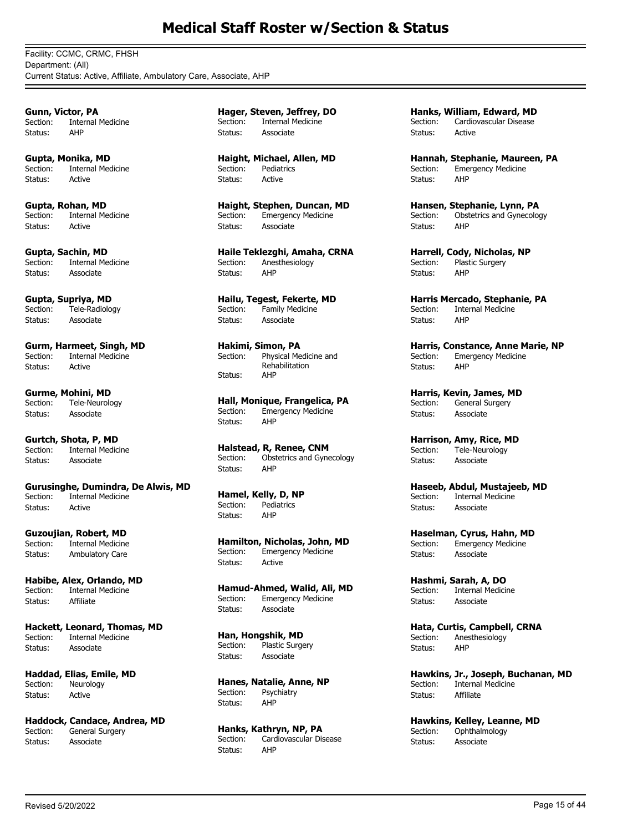Facility: CCMC, CRMC, FHSH Department: (All) Current Status: Active, Affiliate, Ambulatory Care, Associate, AHP

**Gunn, Victor, PA** Section: Internal Medicine Status: AHP

**Gupta, Monika, MD** Section: Internal Medicine Status: Active

**Gupta, Rohan, MD** Section: Internal Medicine Status: Active

**Gupta, Sachin, MD** Section: Internal Medicine Status: Associate

**Gupta, Supriya, MD** Section: Tele-Radiology Status: Associate

**Gurm, Harmeet, Singh, MD**<br>Section: Internal Medicine Internal Medicine Status: Active

**Gurme, Mohini, MD** Section: Tele-Neurology Status: Associate

**Gurtch, Shota, P, MD**<br>Section: Internal Medic Internal Medicine Status: Associate

**Gurusinghe, Dumindra, De Alwis, MD** Section: Internal Medicine Status: Active

**Guzoujian, Robert, MD**<br>Section: Internal Medicine **Internal Medicine** Status: Ambulatory Care

**Habibe, Alex, Orlando, MD** Section: Internal Medicine Status: Affiliate

**Hackett, Leonard, Thomas, MD** Section: Internal Medicine Status: Associate

**Haddad, Elias, Emile, MD** Section: Neurology Status: Active

**Haddock, Candace, Andrea, MD**<br>Section: **General Surgery** General Surgery Status: Associate

**Hager, Steven, Jeffrey, DO** Section: Internal Medicine Status: Associate

**Haight, Michael, Allen, MD** Section: Pediatrics Status: Active

**Haight, Stephen, Duncan, MD** Section: Emergency Medicine Status: Associate

**Haile Teklezghi, Amaha, CRNA** Section: Anesthesiology Status: AHP

**Hailu, Tegest, Fekerte, MD** Section: Family Medicine Status: Associate

**Hakimi, Simon, PA** Physical Medicine and Rehabilitation Section: Status:

**Hall, Monique, Frangelica, PA** Emergency Medicine Status: AHP

**Halstead, R, Renee, CNM** Section: Obstetrics and Gynecology Status: AHP

**Hamel, Kelly, D, NP** Section: Pediatrics Status: AHP

**Hamilton, Nicholas, John, MD** Section: Emergency Medicine Status: Active

**Hamud-Ahmed, Walid, Ali, MD** Section: Emergency Medicine Status: Associate

**Han, Hongshik, MD** Section: Plastic Surgery Status: Associate

**Hanes, Natalie, Anne, NP** Section: Psychiatry Status: AHP

**Hanks, Kathryn, NP, PA** Cardiovascular Disease Status: AHP

**Hanks, William, Edward, MD** Section: Cardiovascular Disease Status: Active

**Hannah, Stephanie, Maureen, PA** Section: Emergency Medicine Status: AHP

**Hansen, Stephanie, Lynn, PA** Section: Obstetrics and Gynecology Status: AHP

**Harrell, Cody, Nicholas, NP** Section: Plastic Surgery Status: AHP

**Harris Mercado, Stephanie, PA** Section: Internal Medicine Status: AHP

**Harris, Constance, Anne Marie, NP**<br>Section: Emergency Medicine Emergency Medicine Status: AHP

**Harris, Kevin, James, MD** Section: General Surgery Status: Associate

**Harrison, Amy, Rice, MD**<br>Section: Tele-Neurology Tele-Neurology Status: Associate

**Haseeb, Abdul, Mustajeeb, MD** Section: Internal Medicine Status: Associate

**Haselman, Cyrus, Hahn, MD** Section: Emergency Medicine Status: Associate

**Hashmi, Sarah, A, DO** Section: Internal Medicine Status: Associate

**Hata, Curtis, Campbell, CRNA** Section: Anesthesiology Status: AHP

**Hawkins, Jr., Joseph, Buchanan, MD** Section: Internal Medicine Status: Affiliate

**Hawkins, Kelley, Leanne, MD**<br>Section: Ophthalmology Ophthalmology Status: Associate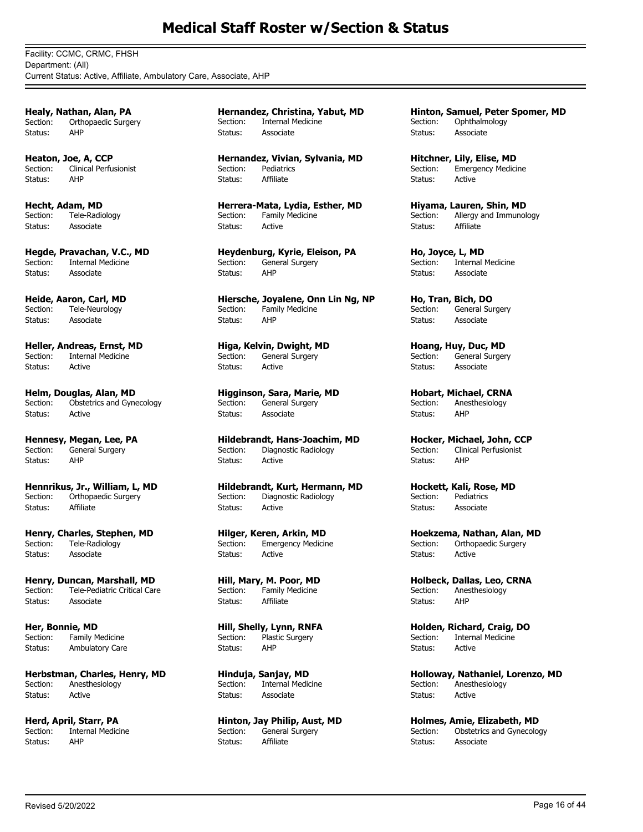Facility: CCMC, CRMC, FHSH Department: (All) Current Status: Active, Affiliate, Ambulatory Care, Associate, AHP

**Healy, Nathan, Alan, PA** Section: Orthopaedic Surgery Status: AHP

**Heaton, Joe, A, CCP** Section: Clinical Perfusionist Status: AHP

**Hecht, Adam, MD** Section: Tele-Radiology Status: Associate

**Hegde, Pravachan, V.C., MD** Section: Internal Medicine Status: Associate

**Heide, Aaron, Carl, MD** Section: Tele-Neurology Status: Associate

**Heller, Andreas, Ernst, MD**<br>Section: Internal Medicine Internal Medicine Status: Active

**Helm, Douglas, Alan, MD** Section: Obstetrics and Gynecology Status: Active

**Hennesy, Megan, Lee, PA**<br>Section: General Surgery General Surgery Status: AHP

**Hennrikus, Jr., William, L, MD** Section: Orthopaedic Surgery Status: Affiliate

**Henry, Charles, Stephen, MD**<br>Section: Tele-Radiology Tele-Radiology Status: Associate

**Henry, Duncan, Marshall, MD** Section: Tele-Pediatric Critical Care Status: Associate

**Her, Bonnie, MD** Section: Family Medicine Status: Ambulatory Care

**Herbstman, Charles, Henry, MD** Section: Anesthesiology Status: Active

**Herd, April, Starr, PA**<br>Section: Internal Medici Internal Medicine Status: AHP

**Hernandez, Christina, Yabut, MD** Section: Internal Medicine Status: Associate

**Hernandez, Vivian, Sylvania, MD** Section: Pediatrics Status: Affiliate

**Herrera-Mata, Lydia, Esther, MD** Section: Family Medicine Status: Active

**Heydenburg, Kyrie, Eleison, PA** General Surgery Status: AHP

**Hiersche, Joyalene, Onn Lin Ng, NP** Section: Family Medicine Status: AHP

**Higa, Kelvin, Dwight, MD**<br>Section: General Surgery General Surgery Status: Active

**Higginson, Sara, Marie, MD** Section: General Surgery Status: Associate

**Hildebrandt, Hans-Joachim, MD**<br>Section: Diagnostic Radiology Diagnostic Radiology Status: Active

**Hildebrandt, Kurt, Hermann, MD** Section: Diagnostic Radiology Status: Active

**Hilger, Keren, Arkin, MD**<br>Section: Emergency Medicir **Emergency Medicine** Status: Active

**Hill, Mary, M. Poor, MD** Section: Family Medicine Status: Affiliate

**Hill, Shelly, Lynn, RNFA** Section: Plastic Surgery Status: AHP

**Hinduja, Sanjay, MD** Section: Internal Medicine Status: Associate

**Hinton, Jay Philip, Aust, MD** Section: General Surgery Status: Affiliate

**Hinton, Samuel, Peter Spomer, MD** Section: Ophthalmology Status: Associate

**Hitchner, Lily, Elise, MD** Section: Emergency Medicine Status: Active

**Hiyama, Lauren, Shin, MD** Section: Allergy and Immunology Status: Affiliate

**Ho, Joyce, L, MD** Section: Internal Medicine Status: Associate

**Ho, Tran, Bich, DO** Section: General Surgery Status: Associate

**Hoang, Huy, Duc, MD**<br>Section: General Surger General Surgery Status: Associate

**Hobart, Michael, CRNA** Section: Anesthesiology Status: AHP

**Hocker, Michael, John, CCP** Clinical Perfusionist Status: AHP

**Hockett, Kali, Rose, MD**<br>Section: Pediatrics Pediatrics Status: Associate

**Hoekzema, Nathan, Alan, MD** Section: Orthopaedic Surgery Status: Active

**Holbeck, Dallas, Leo, CRNA** Section: Anesthesiology Status: AHP

**Holden, Richard, Craig, DO** Section: Internal Medicine Status: Active

**Holloway, Nathaniel, Lorenzo, MD** Section: Anesthesiology Status: Active

**Holmes, Amie, Elizabeth, MD** Section: Obstetrics and Gynecology Status: Associate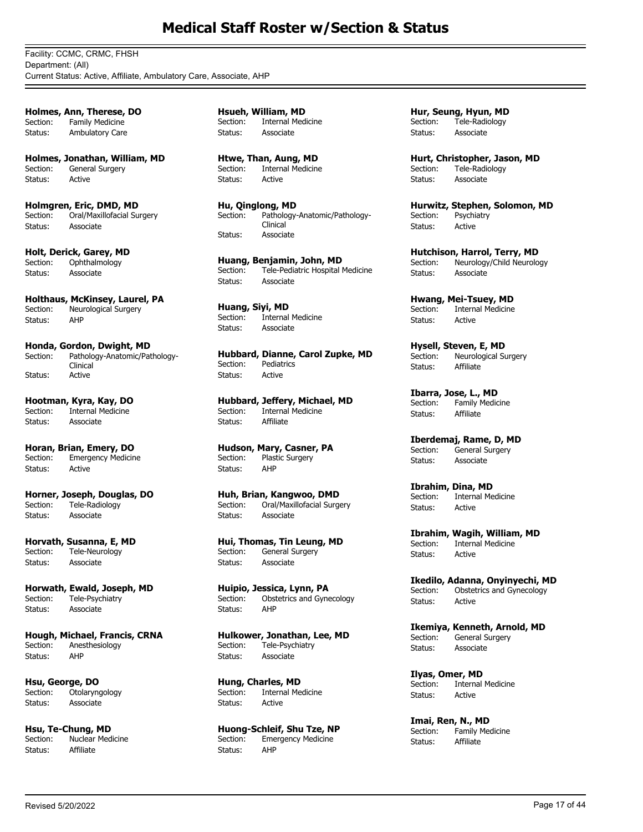Facility: CCMC, CRMC, FHSH Department: (All) Current Status: Active, Affiliate, Ambulatory Care, Associate, AHP

**Holmes, Ann, Therese, DO** Section: Family Medicine Status: Ambulatory Care

**Holmes, Jonathan, William, MD** Section: General Surgery Status: Active

**Holmgren, Eric, DMD, MD** Section: Oral/Maxillofacial Surgery Status: Associate

**Holt, Derick, Garey, MD**<br>Section: Ophthalmology Ophthalmology Status: Associate

**Holthaus, McKinsey, Laurel, PA** Section: Neurological Surgery Status: AHP

**Honda, Gordon, Dwight, MD** Pathology-Anatomic/Pathology-Clinical<br>Active Section: Status:

**Hootman, Kyra, Kay, DO** Internal Medicine Status: Associate

**Horan, Brian, Emery, DO** Section: Emergency Medicine Status: Active

**Horner, Joseph, Douglas, DO** Section: Tele-Radiology Status: Associate

**Horvath, Susanna, E, MD** Section: Tele-Neurology Status: Associate

**Horwath, Ewald, Joseph, MD** Section: Tele-Psychiatry Status: Associate

**Hough, Michael, Francis, CRNA** Section: Anesthesiology Status: AHP

**Hsu, George, DO**<br>Section: Otolange Otolaryngology Status: Associate

**Hsu, Te-Chung, MD**<br>Section: Nuclear Med Nuclear Medicine Status: Affiliate

**Hsueh, William, MD** Section: Internal Medicine Status: Associate

**Htwe, Than, Aung, MD** Section: Internal Medicine Status: Active

**Hu, Qinglong, MD** Pathology-Anatomic/Pathology-Clinical Section: Status: Associate

**Huang, Benjamin, John, MD**<br>Section: Tele-Pediatric Hospital Tele-Pediatric Hospital Medicine Status: Associate

**Huang, Siyi, MD**<br>Section: Internal Internal Medicine Status: Associate

**Hubbard, Dianne, Carol Zupke, MD** Section: Pediatrics Status: Active

**Hubbard, Jeffery, Michael, MD** Internal Medicine Status: Affiliate

**Hudson, Mary, Casner, PA** Section: Plastic Surgery Status: AHP

**Huh, Brian, Kangwoo, DMD** Section: Oral/Maxillofacial Surgery Status: Associate

**Hui, Thomas, Tin Leung, MD** Section: General Surgery Status: Associate

**Huipio, Jessica, Lynn, PA** Section: Obstetrics and Gynecology Status: AHP

**Hulkower, Jonathan, Lee, MD** Section: Tele-Psychiatry Status: Associate

**Hung, Charles, MD**<br>Section: **Internal Me** Internal Medicine Status: Active

**Huong-Schleif, Shu Tze, NP**<br>Section: Emergency Medicine Emergency Medicine Status: AHP

**Hur, Seung, Hyun, MD** Section: Tele-Radiology Status: Associate

**Hurt, Christopher, Jason, MD** Section: Tele-Radiology Status: Associate

**Hurwitz, Stephen, Solomon, MD** Section: Psychiatry Status: Active

**Hutchison, Harrol, Terry, MD** Section: Neurology/Child Neurology Status: Associate

**Hwang, Mei-Tsuey, MD** Section: Internal Medicine Status: Active

**Hysell, Steven, E, MD**<br>Section: Neurological Su Neurological Surgery Status: Affiliate

**Ibarra, Jose, L., MD** Section: Family Medicine Status: Affiliate

**Iberdemaj, Rame, D, MD**<br>Section: General Surgery General Surgery Status: Associate

**Ibrahim, Dina, MD** Section: Internal Medicine Status: Active

**Ibrahim, Wagih, William, MD**<br>Section: Internal Medicine **Internal Medicine** Status: Active

**Ikedilo, Adanna, Onyinyechi, MD** Section: Obstetrics and Gynecology Status: Active

**Ikemiya, Kenneth, Arnold, MD** Section: General Surgery Status: Associate

**Ilyas, Omer, MD** Section: Internal Medicine Status: Active

**Imai, Ren, N., MD**<br>Section: Family Mer .<br>Family Medicine Status: Affiliate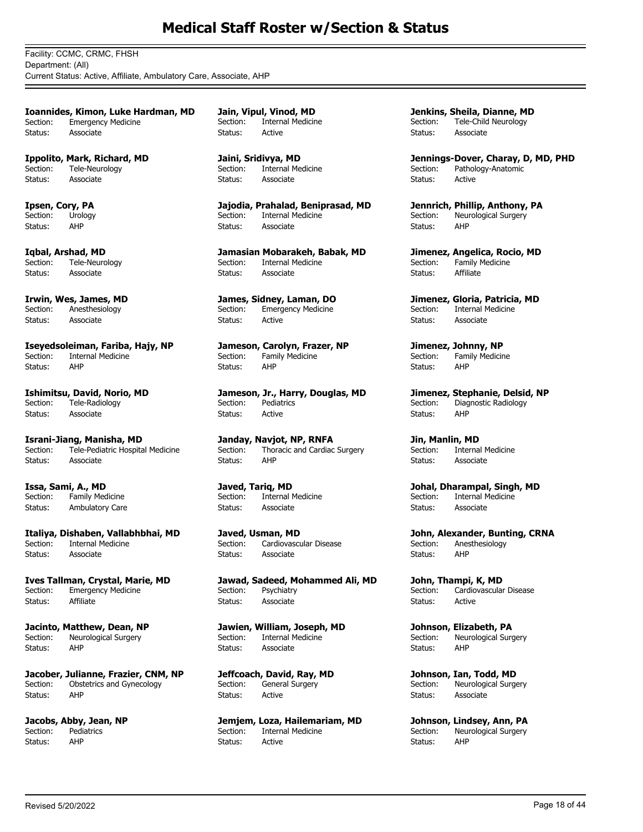Facility: CCMC, CRMC, FHSH Department: (All) Current Status: Active, Affiliate, Ambulatory Care, Associate, AHP

**Ioannides, Kimon, Luke Hardman, MD** Section: Emergency Medicine Status: Associate

**Ippolito, Mark, Richard, MD** Section: Tele-Neurology Status: Associate

**Ipsen, Cory, PA** Section: Urology Status: AHP

**Iqbal, Arshad, MD** Tele-Neurology Status: Associate

**Irwin, Wes, James, MD** Section: Anesthesiology Status: Associate

**Iseyedsoleiman, Fariba, Hajy, NP**<br>Section: Internal Medicine Internal Medicine Status: AHP

**Ishimitsu, David, Norio, MD**<br>Section: Tele-Radiology Tele-Radiology Status: Associate

**Israni-Jiang, Manisha, MD**<br>Section: Tele-Pediatric Hospita Tele-Pediatric Hospital Medicine Status: Associate

**Issa, Sami, A., MD** Section: Family Medicine Status: Ambulatory Care

**Italiya, Dishaben, Vallabhbhai, MD Internal Medicine** Status: Associate

**Ives Tallman, Crystal, Marie, MD** Section: Emergency Medicine Status: Affiliate

**Jacinto, Matthew, Dean, NP** Section: Neurological Surgery Status: AHP

**Jacober, Julianne, Frazier, CNM, NP** Section: Obstetrics and Gynecology Status: AHP

**Jacobs, Abby, Jean, NP**<br>Section: Pediatrics **Pediatrics** Status: AHP

**Jain, Vipul, Vinod, MD** Section: Internal Medicine Status: Active

**Jaini, Sridivya, MD** Section: Internal Medicine Status: Associate

**Jajodia, Prahalad, Beniprasad, MD** Section: Internal Medicine Status: Associate

**Jamasian Mobarakeh, Babak, MD** Section: Internal Medicine Status: Associate

**James, Sidney, Laman, DO** Section: Emergency Medicine Status: Active

**Jameson, Carolyn, Frazer, NP**<br>Section: Family Medicine Family Medicine Status: AHP

**Jameson, Jr., Harry, Douglas, MD** Section: Pediatrics Status: Active

**Janday, Navjot, NP, RNFA**<br>Section: Thoracic and Cardiac Thoracic and Cardiac Surgery Status: AHP

**Javed, Tariq, MD** Section: Internal Medicine Status: Associate

**Javed, Usman, MD**<br>Section: Cardiovascu Cardiovascular Disease Status: Associate

**Jawad, Sadeed, Mohammed Ali, MD** Section: Psychiatry Status: Associate

**Jawien, William, Joseph, MD** Section: Internal Medicine Status: Associate

**Jeffcoach, David, Ray, MD** Section: General Surgery Status: Active

**Jemjem, Loza, Hailemariam, MD**<br>Section: Internal Medicine Internal Medicine Status: Active

**Jenkins, Sheila, Dianne, MD** Section: Tele-Child Neurology Status: Associate

**Jennings-Dover, Charay, D, MD, PHD** Section: Pathology-Anatomic Status: Active

**Jennrich, Phillip, Anthony, PA** Section: Neurological Surgery<br>Status: AHP Status:

**Jimenez, Angelica, Rocio, MD** Section: Family Medicine Status: Affiliate

**Jimenez, Gloria, Patricia, MD** Section: Internal Medicine Status: Associate

**Jimenez, Johnny, NP**<br>Section: Family Medicir Family Medicine Status: AHP

**Jimenez, Stephanie, Delsid, NP** Section: Diagnostic Radiology Status: AHP

**Jin, Manlin, MD**<br>Section: Interna Internal Medicine Status: Associate

**Johal, Dharampal, Singh, MD** Section: Internal Medicine Status: Associate

**John, Alexander, Bunting, CRNA**<br>Section: Anesthesiology Anesthesiology Status: AHP

**John, Thampi, K, MD** Section: Cardiovascular Disease Status: Active

**Johnson, Elizabeth, PA** Section: Neurological Surgery Status: AHP

**Johnson, Ian, Todd, MD** Section: Neurological Surgery Status: Associate

**Johnson, Lindsey, Ann, PA**<br>Section: Neurological Surgery Neurological Surgery Status: AHP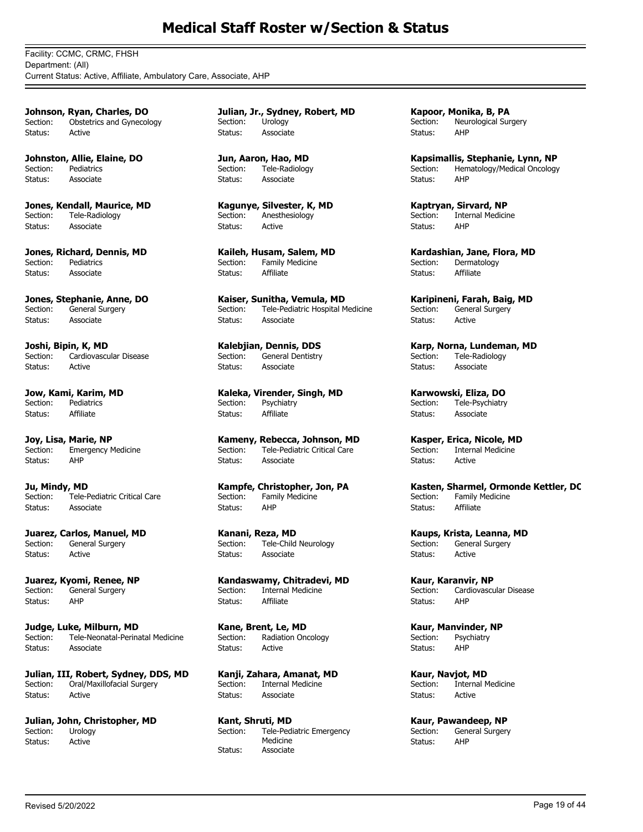Facility: CCMC, CRMC, FHSH Department: (All) Current Status: Active, Affiliate, Ambulatory Care, Associate, AHP

**Johnson, Ryan, Charles, DO** Section: Obstetrics and Gynecology Status: Active

**Johnston, Allie, Elaine, DO** Section: Pediatrics Status: Associate

**Jones, Kendall, Maurice, MD** Section: Tele-Radiology Status: Associate

**Jones, Richard, Dennis, MD** Section: Pediatrics Status: Associate

**Jones, Stephanie, Anne, DO** Section: General Surgery Status: Associate

**Joshi, Bipin, K, MD**<br>Section: Cardiovascu Cardiovascular Disease Status: Active

**Jow, Kami, Karim, MD**<br>Section: Pediatrics Pediatrics Status: Affiliate

**Joy, Lisa, Marie, NP**<br>Section: Emergency M Emergency Medicine Status: AHP

**Ju, Mindy, MD** Section: Tele-Pediatric Critical Care Status: Associate

**Juarez, Carlos, Manuel, MD**<br>Section: General Surgery General Surgery Status: Active

**Juarez, Kyomi, Renee, NP** Section: General Surgery Status: AHP

**Judge, Luke, Milburn, MD** Section: Tele-Neonatal-Perinatal Medicine Status: Associate

**Julian, III, Robert, Sydney, DDS, MD** Section: Oral/Maxillofacial Surgery Status: Active

**Julian, John, Christopher, MD** Section: Urology Status: Active

**Julian, Jr., Sydney, Robert, MD** Section: Urology Status: Associate

**Jun, Aaron, Hao, MD** Section: Tele-Radiology Status: Associate

**Kagunye, Silvester, K, MD** Section: Anesthesiology Status: Active

**Kaileh, Husam, Salem, MD** Section: Family Medicine Status: Affiliate

**Kaiser, Sunitha, Vemula, MD** Section: Tele-Pediatric Hospital Medicine Status: Associate

**Kalebjian, Dennis, DDS** General Dentistry Status: Associate

**Kaleka, Virender, Singh, MD** Section: Psychiatry Status: Affiliate

**Kameny, Rebecca, Johnson, MD** Tele-Pediatric Critical Care Status: Associate

**Kampfe, Christopher, Jon, PA** Section: Family Medicine Status: AHP

**Kanani, Reza, MD** Tele-Child Neurology Status: Associate

**Kandaswamy, Chitradevi, MD** Section: Internal Medicine Status: Affiliate

**Kane, Brent, Le, MD** Section: Radiation Oncology Status: Active

**Kanji, Zahara, Amanat, MD** Section: Internal Medicine Status: Associate

**Kant, Shruti, MD** Tele-Pediatric Emergency Medicine Section: Status: Associate

**Kapoor, Monika, B, PA** Section: Neurological Surgery Status: AHP

**Kapsimallis, Stephanie, Lynn, NP** Section: Hematology/Medical Oncology Status: AHP

**Kaptryan, Sirvard, NP** Section: Internal Medicine<br>Status: AHP Status:

**Kardashian, Jane, Flora, MD** Section: Dermatology Status: Affiliate

**Karipineni, Farah, Baig, MD** Section: General Surgery Status: Active

**Karp, Norna, Lundeman, MD**<br>Section: Tele-Radiology Tele-Radiology Status: Associate

**Karwowski, Eliza, DO** Section: Tele-Psychiatry Status: Associate

**Kasper, Erica, Nicole, MD** Internal Medicine Status: Active

**Kasten, Sharmel, Ormonde Kettler, DO** Section: Family Medicine Status: Affiliate

**Kaups, Krista, Leanna, MD** General Surgery Status: Active

**Kaur, Karanvir, NP** Section: Cardiovascular Disease Status: AHP

**Kaur, Manvinder, NP** Section: Psychiatry Status: AHP

**Kaur, Navjot, MD** Section: Internal Medicine Status: Active

**Kaur, Pawandeep, NP**<br>Section: **General Surger** General Surgery Status: AHP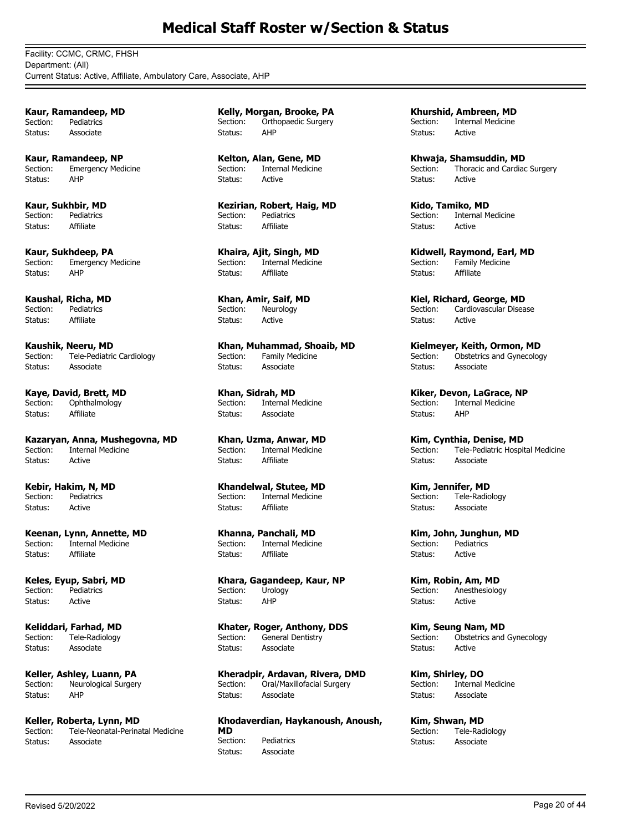Facility: CCMC, CRMC, FHSH Department: (All) Current Status: Active, Affiliate, Ambulatory Care, Associate, AHP

**Kaur, Ramandeep, MD** Section: Pediatrics Status: Associate

**Kaur, Ramandeep, NP** Section: Emergency Medicine Status: AHP

**Kaur, Sukhbir, MD** Section: Pediatrics Status: Affiliate

**Kaur, Sukhdeep, PA**<br>Section: Emergency M **Emergency Medicine** Status: AHP

**Kaushal, Richa, MD** Section: Pediatrics Status: Affiliate

**Kaushik, Neeru, MD**<br>Section: Tele-Pediatric Tele-Pediatric Cardiology Status: Associate

**Kaye, David, Brett, MD** Section: Ophthalmology Status: Affiliate

**Kazaryan, Anna, Mushegovna, MD** .<br>Internal Medicine Status: Active

**Kebir, Hakim, N, MD** Section: Pediatrics Status: Active

**Keenan, Lynn, Annette, MD**<br>Section: Internal Medicine **Internal Medicine** Status: Affiliate

**Keles, Eyup, Sabri, MD** Section: Pediatrics Status: Active

**Keliddari, Farhad, MD** Section: Tele-Radiology Status: Associate

**Keller, Ashley, Luann, PA** Section: Neurological Surgery Status: AHP

**Keller, Roberta, Lynn, MD**<br>Section: Tele-Neonatal-Perina Tele-Neonatal-Perinatal Medicine Status: Associate

**Kelly, Morgan, Brooke, PA** Section: Orthopaedic Surgery Status: AHP

**Kelton, Alan, Gene, MD** Section: Internal Medicine Status: Active

**Kezirian, Robert, Haig, MD** Section: Pediatrics Status: Affiliate

**Khaira, Ajit, Singh, MD** Section: Internal Medicine Status: Affiliate

**Khan, Amir, Saif, MD** Section: Neurology Status: Active

**Khan, Muhammad, Shoaib, MD** Family Medicine Status: Associate

**Khan, Sidrah, MD** Section: Internal Medicine Status: Associate

**Khan, Uzma, Anwar, MD** Internal Medicine Status: Affiliate

**Khandelwal, Stutee, MD** Section: Internal Medicine Status: Affiliate

**Khanna, Panchali, MD Internal Medicine** Status: Affiliate

**Khara, Gagandeep, Kaur, NP** Section: Urology Status: AHP

**Khater, Roger, Anthony, DDS** Section: General Dentistry Status: Associate

**Kheradpir, Ardavan, Rivera, DMD** Section: Oral/Maxillofacial Surgery Status: Associate

**Khodaverdian, Haykanoush, Anoush, MD** Pediatrics Status: Associate

**Khurshid, Ambreen, MD** Section: Internal Medicine Status: Active

**Khwaja, Shamsuddin, MD** Section: Thoracic and Cardiac Surgery Status: Active

**Kido, Tamiko, MD** Section: Internal Medicine Status: Active

**Kidwell, Raymond, Earl, MD** Section: Family Medicine Status: Affiliate

**Kiel, Richard, George, MD** Section: Cardiovascular Disease Status: Active

**Kielmeyer, Keith, Ormon, MD**<br>Section: **Obstetrics and Gynecolog** Obstetrics and Gynecology Status: Associate

**Kiker, Devon, LaGrace, NP** Section: Internal Medicine Status: AHP

**Kim, Cynthia, Denise, MD**<br>Section: Tele-Pediatric Hospit Tele-Pediatric Hospital Medicine Status: Associate

**Kim, Jennifer, MD** Section: Tele-Radiology Status: Associate

**Kim, John, Junghun, MD** Pediatrics Status: Active

**Kim, Robin, Am, MD** Section: Anesthesiology Status: Active

**Kim, Seung Nam, MD** Section: Obstetrics and Gynecology Status: Active

**Kim, Shirley, DO** Section: Internal Medicine Status: Associate

**Kim, Shwan, MD**<br>Section: Tele-Rad Tele-Radiology Status: Associate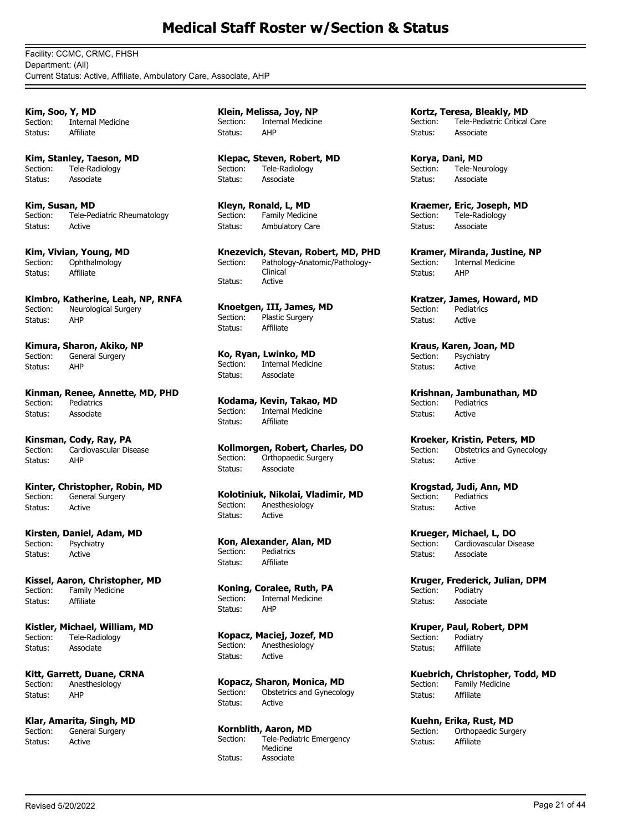Facility: CCMC, CRMC, FHSH Department: (All) Current Status: Active, Affiliate, Ambulatory Care, Associate, AHP

**Kim, Soo, Y, MD** Section: Internal Medicine Status: Affiliate

**Kim, Stanley, Taeson, MD** Section: Tele-Radiology Status: Associate

**Kim, Susan, MD** Section: Tele-Pediatric Rheumatology Status: Active

**Kim, Vivian, Young, MD**<br>Section: Ophthalmology Ophthalmology Status: Affiliate

**Kimbro, Katherine, Leah, NP, RNFA** Section: Neurological Surgery Status: AHP

**Kimura, Sharon, Akiko, NP** General Surgery Status: AHP

**Kinman, Renee, Annette, MD, PHD** Section: Pediatrics Status: Associate

**Kinsman, Cody, Ray, PA** Cardiovascular Disease Status: AHP

**Kinter, Christopher, Robin, MD** Section: General Surgery Status: Active

**Kirsten, Daniel, Adam, MD** Section: Psychiatry Status: Active

**Kissel, Aaron, Christopher, MD** Section: Family Medicine Status: Affiliate

**Kistler, Michael, William, MD** Section: Tele-Radiology Status: Associate

**Kitt, Garrett, Duane, CRNA** Section: Anesthesiology Status: AHP

**Klar, Amarita, Singh, MD**<br>Section: **General Surgery** General Surgery Status: Active

**Klein, Melissa, Joy, NP** Section: Internal Medicine Status: AHP

**Klepac, Steven, Robert, MD** Section: Tele-Radiology Status: Associate

**Kleyn, Ronald, L, MD** Section: Family Medicine Status: Ambulatory Care

**Knezevich, Stevan, Robert, MD, PHD** Pathology-Anatomic/Pathology-Clinical Section: Status: Active

**Knoetgen, III, James, MD** Plastic Surgery Status: Affiliate

**Ko, Ryan, Lwinko, MD** Internal Medicine Status: Associate

**Kodama, Kevin, Takao, MD** Internal Medicine Status: Affiliate

**Kollmorgen, Robert, Charles, DO** Section: Orthopaedic Surgery Status: Associate

**Kolotiniuk, Nikolai, Vladimir, MD** Section: Anesthesiology Status: Active

**Kon, Alexander, Alan, MD** Section: Pediatrics Status: Affiliate

**Koning, Coralee, Ruth, PA** Section: Internal Medicine Status: AHP

**Kopacz, Maciej, Jozef, MD** Section: Anesthesiology Status: Active

**Kopacz, Sharon, Monica, MD** Section: Obstetrics and Gynecology Status: Active

**Kornblith, Aaron, MD** Tele-Pediatric Emergency Medicine Section: Status: Associate

**Kortz, Teresa, Bleakly, MD** Section: Tele-Pediatric Critical Care Status: Associate

**Korya, Dani, MD** Section: Tele-Neurology Status: Associate

**Kraemer, Eric, Joseph, MD** Section: Tele-Radiology Status: Associate

**Kramer, Miranda, Justine, NP** Section: Internal Medicine Status: AHP

**Kratzer, James, Howard, MD** Section: Pediatrics Status: Active

**Kraus, Karen, Joan, MD**<br>Section: **Psychiatry** Psychiatry Status: Active

**Krishnan, Jambunathan, MD** Section: Pediatrics Status: Active

**Kroeker, Kristin, Peters, MD**<br>Section: Obstetrics and Gynecold Obstetrics and Gynecology Status: Active

**Krogstad, Judi, Ann, MD** Section: Pediatrics Status: Active

**Krueger, Michael, L, DO** Cardiovascular Disease Status: Associate

**Kruger, Frederick, Julian, DPM** Section: Podiatry Status: Associate

**Kruper, Paul, Robert, DPM** Section: Podiatry Status: Affiliate

**Kuebrich, Christopher, Todd, MD** Section: Family Medicine Status: Affiliate

**Kuehn, Erika, Rust, MD** Section: Orthopaedic Surgery Status: Affiliate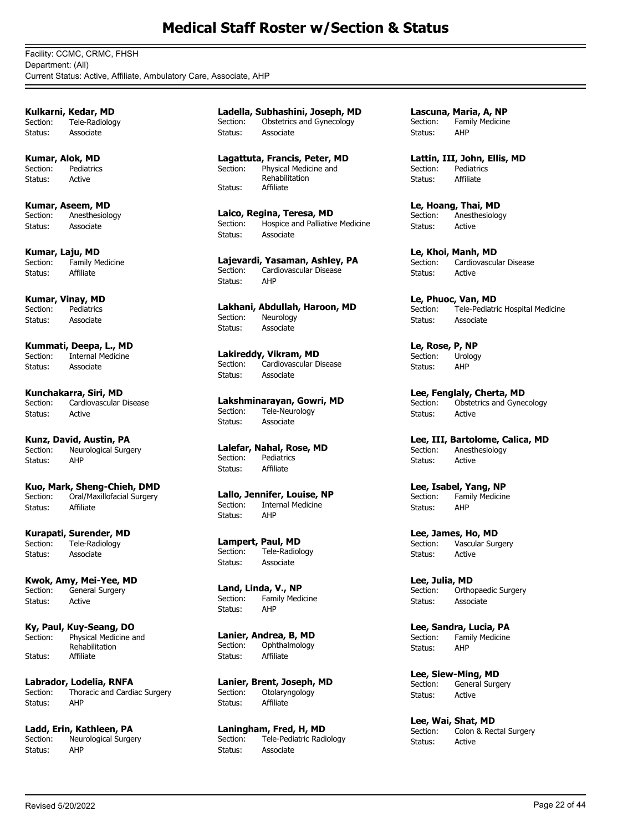Facility: CCMC, CRMC, FHSH Department: (All) Current Status: Active, Affiliate, Ambulatory Care, Associate, AHP

**Kulkarni, Kedar, MD** Section: Tele-Radiology Status: Associate

**Kumar, Alok, MD** Section: Pediatrics Status: Active

**Kumar, Aseem, MD** Section: Anesthesiology Status: Associate

**Kumar, Laju, MD**<br>Section: Family Me Family Medicine Status: Affiliate

**Kumar, Vinay, MD** Section: Pediatrics Status: Associate

**Kummati, Deepa, L., MD** Internal Medicine Status: Associate

**Kunchakarra, Siri, MD** Section: Cardiovascular Disease Status: Active

**Kunz, David, Austin, PA** Neurological Surgery Status: AHP

**Kuo, Mark, Sheng-Chieh, DMD** Oral/Maxillofacial Surgery Status: Affiliate

**Kurapati, Surender, MD**<br>Section: Tele-Radiology Tele-Radiology Status: Associate

**Kwok, Amy, Mei-Yee, MD** Section: General Surgery Status: Active

**Ky, Paul, Kuy-Seang, DO** Physical Medicine and Rehabilitation Section: Status: Affiliate

**Labrador, Lodelia, RNFA**<br>Section: Thoracic and Cardia Thoracic and Cardiac Surgery Status: AHP

**Ladd, Erin, Kathleen, PA** Neurological Surgery Status: AHP

**Ladella, Subhashini, Joseph, MD** Section: Obstetrics and Gynecology Status: Associate

**Lagattuta, Francis, Peter, MD** Physical Medicine and Rehabilitation Section: Status: Affiliate

**Laico, Regina, Teresa, MD** Section: Hospice and Palliative Medicine Status: Associate

**Lajevardi, Yasaman, Ashley, PA** Cardiovascular Disease Status: AHP

**Lakhani, Abdullah, Haroon, MD** Neurology Status: Associate

**Lakireddy, Vikram, MD**<br>Section: Cardiovascular Di Cardiovascular Disease Status: Associate

**Lakshminarayan, Gowri, MD** Tele-Neurology Status: Associate

**Lalefar, Nahal, Rose, MD** Section: Pediatrics Status: Affiliate

**Lallo, Jennifer, Louise, NP** Section: Internal Medicine Status: AHP

**Lampert, Paul, MD** Section: Tele-Radiology Status: Associate

**Land, Linda, V., NP** Section: Family Medicine Status: AHP

**Lanier, Andrea, B, MD** Section: Ophthalmology Status: Affiliate

**Lanier, Brent, Joseph, MD** Section: Otolaryngology Status: Affiliate

**Laningham, Fred, H, MD**<br>Section: Tele-Pediatric Radi Tele-Pediatric Radiology Status: Associate

**Lascuna, Maria, A, NP** Section: Family Medicine Status: AHP

**Lattin, III, John, Ellis, MD** Section: Pediatrics Status: Affiliate

**Le, Hoang, Thai, MD** Section: Anesthesiology Status: Active

**Le, Khoi, Manh, MD** Section: Cardiovascular Disease Status: Active

**Le, Phuoc, Van, MD** Section: Tele-Pediatric Hospital Medicine Status: Associate

**Le, Rose, P, NP** Urology Status: AHP

**Lee, Fenglaly, Cherta, MD** Section: Obstetrics and Gynecology Status: Active

**Lee, III, Bartolome, Calica, MD**<br>Section: Anesthesiology Anesthesiology Status: Active

**Lee, Isabel, Yang, NP** Section: Family Medicine Status: AHP

**Lee, James, Ho, MD**<br>Section: Vascular Surg Vascular Surgery Status: Active

**Lee, Julia, MD** Section: Orthopaedic Surgery Status: Associate

**Lee, Sandra, Lucia, PA** Section: Family Medicine<br>Status: AHP Status:

**Lee, Siew-Ming, MD** Section: General Surgery Status: Active

**Lee, Wai, Shat, MD**<br>Section: Colon & Rec Colon & Rectal Surgery Status: Active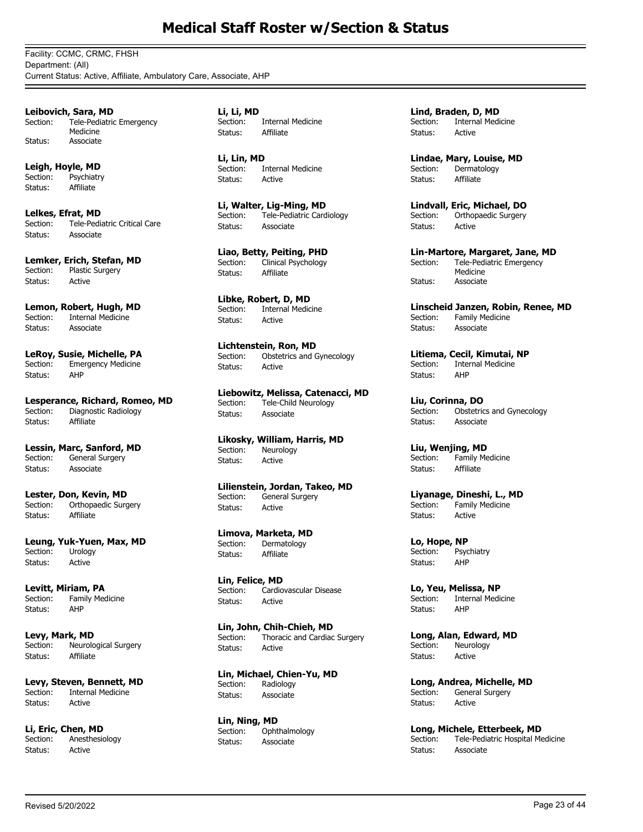Facility: CCMC, CRMC, FHSH Department: (All) Current Status: Active, Affiliate, Ambulatory Care, Associate, AHP

**Leibovich, Sara, MD** Tele-Pediatric Emergency Medicine Section: Status: Associate

**Leigh, Hoyle, MD** Section: Psychiatry Status: Affiliate

**Lelkes, Efrat, MD** Section: Tele-Pediatric Critical Care Status: Associate

**Lemker, Erich, Stefan, MD**<br>Section: Plastic Surgery Plastic Surgery Status: Active

**Lemon, Robert, Hugh, MD**<br>Section: Internal Medicine Internal Medicine Status: Associate

**LeRoy, Susie, Michelle, PA** Section: Emergency Medicine Status: AHP

**Lesperance, Richard, Romeo, MD**<br>Section: Diagnostic Radiology Diagnostic Radiology Status: Affiliate

**Lessin, Marc, Sanford, MD** Section: General Surgery Status: Associate

**Lester, Don, Kevin, MD** Section: Orthopaedic Surgery Status: Affiliate

**Leung, Yuk-Yuen, Max, MD** Section: Urology Status: Active

**Levitt, Miriam, PA** Section: Family Medicine Status: AHP

**Levy, Mark, MD** Section: Neurological Surgery Status: Affiliate

**Levy, Steven, Bennett, MD**<br>Section: **Internal Medicine** Internal Medicine Status: Active

**Li, Eric, Chen, MD Anesthesiology** Status: Active

**Li, Li, MD** Section: Internal Medicine Status: Affiliate

**Li, Lin, MD** Section: Internal Medicine Status: Active

**Li, Walter, Lig-Ming, MD** Section: Tele-Pediatric Cardiology Status: Associate

**Liao, Betty, Peiting, PHD** Section: Clinical Psychology Status: Affiliate

**Libke, Robert, D, MD** Section: Internal Medicine Status: Active

**Lichtenstein, Ron, MD**<br>Section: Obstetrics and G Obstetrics and Gynecology Status: Active

**Liebowitz, Melissa, Catenacci, MD** Section: Tele-Child Neurology Status: Associate

**Likosky, William, Harris, MD**<br>Section: Neurology Neurology Status: Active

**Lilienstein, Jordan, Takeo, MD** Section: General Surgery Status: Active

**Limova, Marketa, MD**<br>Section: Dermatology Dermatology Status: Affiliate

**Lin, Felice, MD** Section: Cardiovascular Disease Status: Active

**Lin, John, Chih-Chieh, MD** Section: Thoracic and Cardiac Surgery Status: Active

**Lin, Michael, Chien-Yu, MD** Section: Radiology Status: Associate

**Lin, Ning, MD** Section: Ophthalmology Status: Associate

**Lind, Braden, D, MD** Section: Internal Medicine Status: Active

**Lindae, Mary, Louise, MD** Section: Dermatology Status: Affiliate

**Lindvall, Eric, Michael, DO** Section: Orthopaedic Surgery Status: Active

**Lin-Martore, Margaret, Jane, MD** Tele-Pediatric Emergency Medicine Section: Status: Associate

**Linscheid Janzen, Robin, Renee, MD**<br>Section: Family Medicine Family Medicine Status: Associate

**Litiema, Cecil, Kimutai, NP** Internal Medicine Status: AHP

**Liu, Corinna, DO** Obstetrics and Gynecology Status: Associate

**Liu, Wenjing, MD** Section: Family Medicine Status: Affiliate

#### **Liyanage, Dineshi, L., MD** Section: Family Medicine

Status: Active

**Lo, Hope, NP** Section: Psychiatry Status: AHP

**Lo, Yeu, Melissa, NP** Section: Internal Medicine Status: AHP

**Long, Alan, Edward, MD** Section: Neurology Status: Active

**Long, Andrea, Michelle, MD**<br>Section: General Surgery General Surgery Status: Active

**Long, Michele, Etterbeek, MD**<br>Section: Tele-Pediatric Hospital Me Tele-Pediatric Hospital Medicine Status: Associate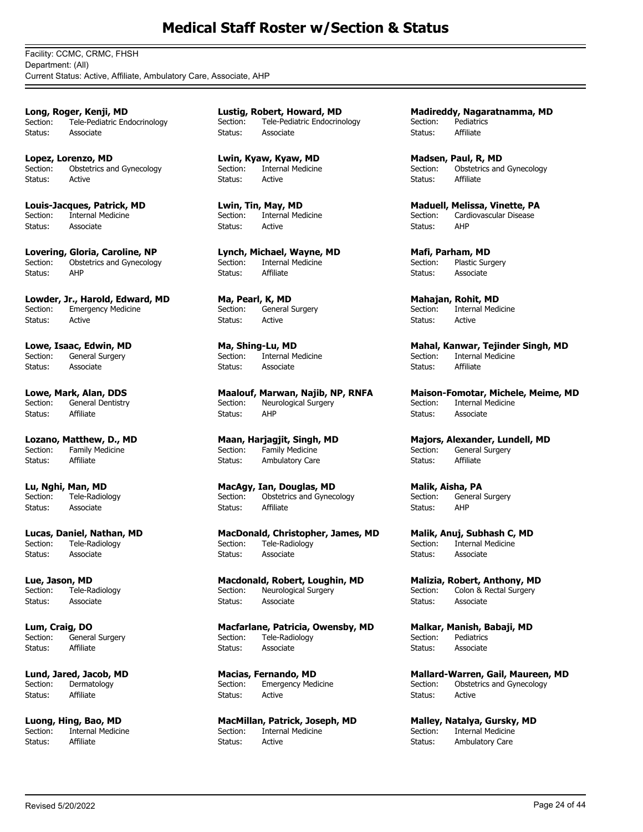Facility: CCMC, CRMC, FHSH Department: (All) Current Status: Active, Affiliate, Ambulatory Care, Associate, AHP

**Long, Roger, Kenji, MD** Section: Tele-Pediatric Endocrinology Status: Associate

**Lopez, Lorenzo, MD** Section: Obstetrics and Gynecology Status: Active

**Louis-Jacques, Patrick, MD** Section: Internal Medicine Status: Associate

**Lovering, Gloria, Caroline, NP** Section: Obstetrics and Gynecology Status: AHP

**Lowder, Jr., Harold, Edward, MD** Section: Emergency Medicine Status: Active

**Lowe, Isaac, Edwin, MD**<br>Section: General Surgery General Surgery Status: Associate

**Lowe, Mark, Alan, DDS** Section: General Dentistry Status: Affiliate

**Lozano, Matthew, D., MD**<br>Section: Family Medicine Family Medicine Status: Affiliate

**Lu, Nghi, Man, MD** Section: Tele-Radiology Status: Associate

**Lucas, Daniel, Nathan, MD**<br>Section: Tele-Radiology Tele-Radiology Status: Associate

**Lue, Jason, MD** Section: Tele-Radiology Status: Associate

**Lum, Craig, DO** Section: General Surgery Status: Affiliate

**Lund, Jared, Jacob, MD** Section: Dermatology Status: Affiliate

**Luong, Hing, Bao, MD**<br>Section: **Internal Medicin** Internal Medicine Status: Affiliate

**Lustig, Robert, Howard, MD** Section: Tele-Pediatric Endocrinology Status: Associate

**Lwin, Kyaw, Kyaw, MD** Section: Internal Medicine Status: Active

**Lwin, Tin, May, MD** Section: Internal Medicine Status: Active

**Lynch, Michael, Wayne, MD** Section: Internal Medicine Status: Affiliate

**Ma, Pearl, K, MD** Section: General Surgery Status: Active

**Ma, Shing-Lu, MD**<br>Section: Internal M Internal Medicine Status: Associate

**Maalouf, Marwan, Najib, NP, RNFA** Section: Neurological Surgery Status: AHP

**Maan, Harjagjit, Singh, MD** Family Medicine Status: Ambulatory Care

**MacAgy, Ian, Douglas, MD** Section: Obstetrics and Gynecology Status: Affiliate

**MacDonald, Christopher, James, MD** Section: Tele-Radiology Status: Associate

**Macdonald, Robert, Loughin, MD** Section: Neurological Surgery Status: Associate

**Macfarlane, Patricia, Owensby, MD** Section: Tele-Radiology Status: Associate

**Macias, Fernando, MD** Section: Emergency Medicine Status: Active

**MacMillan, Patrick, Joseph, MD**<br>Section: **Internal Medicine** Internal Medicine Status: Active

**Madireddy, Nagaratnamma, MD** Section: Pediatrics Status: Affiliate

**Madsen, Paul, R, MD** Section: Obstetrics and Gynecology Status: Affiliate

**Maduell, Melissa, Vinette, PA** Section: Cardiovascular Disease<br>Status: AHP Status:

**Mafi, Parham, MD** Section: Plastic Surgery Status: Associate

**Mahajan, Rohit, MD** Section: Internal Medicine Status: Active

**Mahal, Kanwar, Tejinder Singh, MD**<br>Section: Internal Medicine Internal Medicine Status: Affiliate

**Maison-Fomotar, Michele, Meime, MD** Section: Internal Medicine Status: Associate

**Majors, Alexander, Lundell, MD**<br>Section: General Surgery General Surgery Status: Affiliate

**Malik, Aisha, PA** Section: General Surgery Status: AHP

**Malik, Anuj, Subhash C, MD Internal Medicine** Status: Associate

**Malizia, Robert, Anthony, MD** Section: Colon & Rectal Surgery Status: Associate

**Malkar, Manish, Babaji, MD** Section: Pediatrics<br>Status: Associate Associate

**Mallard-Warren, Gail, Maureen, MD** Section: Obstetrics and Gynecology Status: Active

**Malley, Natalya, Gursky, MD**<br>Section: **Internal Medicine Internal Medicine** Status: Ambulatory Care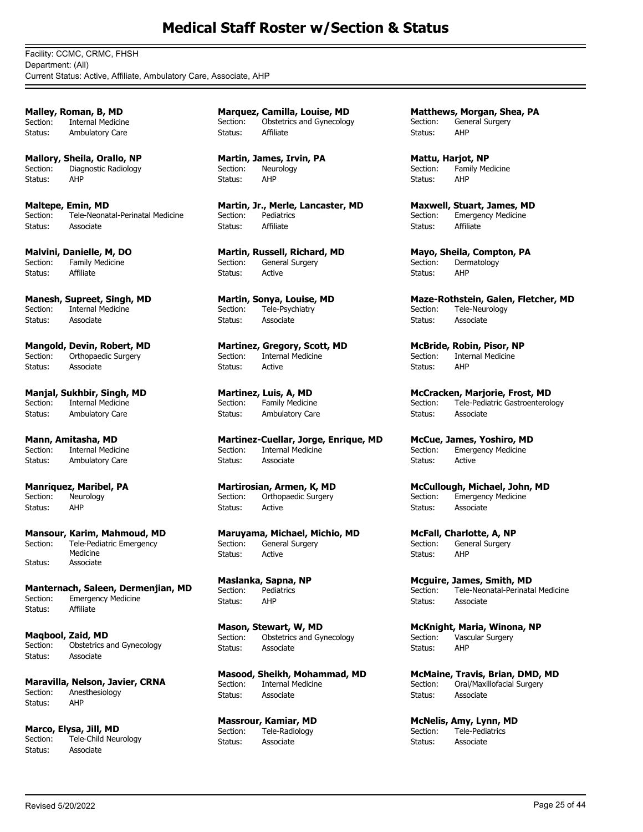Facility: CCMC, CRMC, FHSH Department: (All) Current Status: Active, Affiliate, Ambulatory Care, Associate, AHP

**Malley, Roman, B, MD** Section: Internal Medicine Status: Ambulatory Care

**Mallory, Sheila, Orallo, NP** Section: Diagnostic Radiology Status: AHP

**Maltepe, Emin, MD** Section: Tele-Neonatal-Perinatal Medicine Status: Associate

**Malvini, Danielle, M, DO** Section: Family Medicine Status: Affiliate

**Manesh, Supreet, Singh, MD** Section: Internal Medicine Status: Associate

**Mangold, Devin, Robert, MD**<br>Section: Orthopaedic Surgery Orthopaedic Surgery Status: Associate

**Manjal, Sukhbir, Singh, MD**<br>Section: Internal Medicine **Internal Medicine** Status: Ambulatory Care

**Mann, Amitasha, MD** Internal Medicine Status: Ambulatory Care

**Manriquez, Maribel, PA** Section: Neurology Status: AHP

**Mansour, Karim, Mahmoud, MD** Tele-Pediatric Emergency Medicine Section: Status: Associate

**Manternach, Saleen, Dermenjian, MD** Section: Emergency Medicine Status: Affiliate

**Maqbool, Zaid, MD** Section: Obstetrics and Gynecology Status: Associate

**Maravilla, Nelson, Javier, CRNA**<br>Section: Apesthesiology Anesthesiology Status: AHP

**Marco, Elysa, Jill, MD**<br>Section: Tele-Child Neu Tele-Child Neurology Status: Associate

**Marquez, Camilla, Louise, MD** Section: Obstetrics and Gynecology Status: Affiliate

**Martin, James, Irvin, PA** Section: Neurology Status: AHP

**Martin, Jr., Merle, Lancaster, MD** Section: Pediatrics Status: Affiliate

**Martin, Russell, Richard, MD** Section: General Surgery Status: Active

**Martin, Sonya, Louise, MD** Section: Tele-Psychiatry Status: Associate

**Martinez, Gregory, Scott, MD**<br>Section: Internal Medicine Internal Medicine Status: Active

**Martinez, Luis, A, MD** Section: Family Medicine Status: Ambulatory Care

**Martinez-Cuellar, Jorge, Enrique, MD**<br>Section: Internal Medicine Internal Medicine Status: Associate

**Martirosian, Armen, K, MD** Section: Orthopaedic Surgery Status: Active

**Maruyama, Michael, Michio, MD** General Surgery Status: Active

**Maslanka, Sapna, NP** Section: Pediatrics Status: AHP

**Mason, Stewart, W, MD** Section: Obstetrics and Gynecology Status: Associate

**Masood, Sheikh, Mohammad, MD** Section: Internal Medicine Status: Associate

**Massrour, Kamiar, MD** Section: Tele-Radiology Status: Associate

**Matthews, Morgan, Shea, PA** Section: General Surgery Status: AHP

**Mattu, Harjot, NP** Section: Family Medicine Status: AHP

**Maxwell, Stuart, James, MD** Section: Emergency Medicine Status: Affiliate

**Mayo, Sheila, Compton, PA** Section: Dermatology Status: AHP

**Maze-Rothstein, Galen, Fletcher, MD** Section: Tele-Neurology Status: Associate

**McBride, Robin, Pisor, NP**<br>Section: Internal Medicine Internal Medicine Status: AHP

**McCracken, Marjorie, Frost, MD** Section: Tele-Pediatric Gastroenterology Status: Associate

**McCue, James, Yoshiro, MD**<br>Section: Emergency Medicine Emergency Medicine Status: Active

**McCullough, Michael, John, MD** Section: Emergency Medicine Status: Associate

**McFall, Charlotte, A, NP**<br>Section: General Surgery General Surgery Status: AHP

**Mcguire, James, Smith, MD** Section: Tele-Neonatal-Perinatal Medicine Status: Associate

**McKnight, Maria, Winona, NP** Section: Vascular Surgery Status: AHP

**McMaine, Travis, Brian, DMD, MD** Section: Oral/Maxillofacial Surgery Status: Associate

**McNelis, Amy, Lynn, MD**<br>Section: Tele-Pediatrics Tele-Pediatrics Status: Associate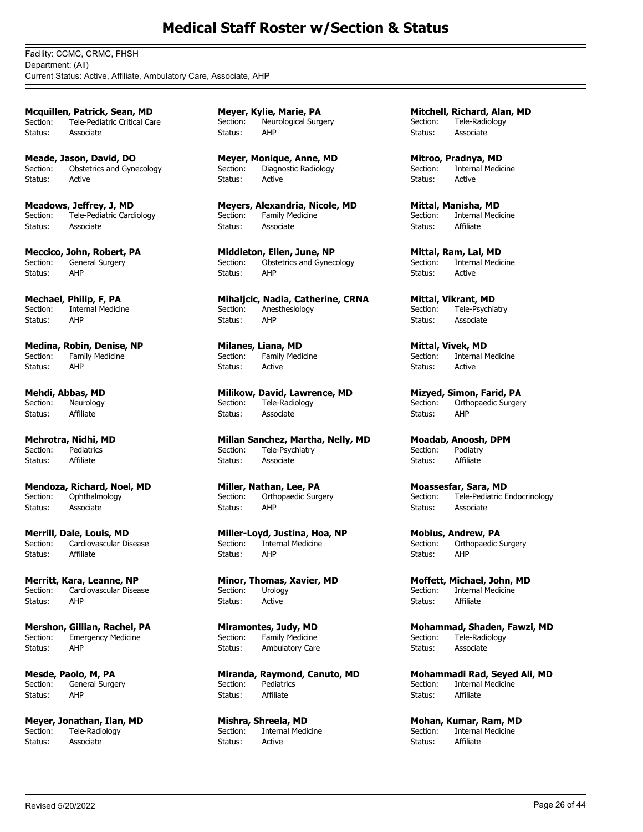Facility: CCMC, CRMC, FHSH Department: (All) Current Status: Active, Affiliate, Ambulatory Care, Associate, AHP

**Mcquillen, Patrick, Sean, MD** Section: Tele-Pediatric Critical Care Status: Associate

**Meade, Jason, David, DO** Section: Obstetrics and Gynecology Status: Active

**Meadows, Jeffrey, J, MD** Section: Tele-Pediatric Cardiology Status: Associate

**Meccico, John, Robert, PA** Section: General Surgery Status: AHP

**Mechael, Philip, F, PA** Section: Internal Medicine Status: AHP

**Medina, Robin, Denise, NP** Family Medicine Status: AHP

**Mehdi, Abbas, MD** Section: Neurology Status: Affiliate

**Mehrotra, Nidhi, MD** Pediatrics Status: Affiliate

**Mendoza, Richard, Noel, MD** Section: Ophthalmology Status: Associate

**Merrill, Dale, Louis, MD**<br>Section: Cardiovascular Di: Cardiovascular Disease Status: Affiliate

**Merritt, Kara, Leanne, NP** Section: Cardiovascular Disease Status: AHP

**Mershon, Gillian, Rachel, PA** Section: Emergency Medicine<br>Status: AHP Status:

**Mesde, Paolo, M, PA** Section: General Surgery Status: AHP

**Meyer, Jonathan, Ilan, MD** Section: Tele-Radiology Status: Associate

**Meyer, Kylie, Marie, PA** Section: Neurological Surgery Status: AHP

**Meyer, Monique, Anne, MD** Section: Diagnostic Radiology Status: Active

**Meyers, Alexandria, Nicole, MD** Section: Family Medicine Status: Associate

**Middleton, Ellen, June, NP** Section: Obstetrics and Gynecology Status: AHP

**Mihaljcic, Nadia, Catherine, CRNA** Section: Anesthesiology Status: AHP

**Milanes, Liana, MD**<br>Section: Family Medi Family Medicine Status: Active

**Milikow, David, Lawrence, MD** Section: Tele-Radiology Status: Associate

**Millan Sanchez, Martha, Nelly, MD**<br>Section: Tele-Psychiatry Tele-Psychiatry Status: Associate

**Miller, Nathan, Lee, PA** Section: Orthopaedic Surgery Status: AHP

**Miller-Loyd, Justina, Hoa, NP** Section: Internal Medicine Status: AHP

**Minor, Thomas, Xavier, MD** Section: Urology Status: Active

**Miramontes, Judy, MD** Section: Family Medicine Status: Ambulatory Care

**Miranda, Raymond, Canuto, MD** Section: Pediatrics Status: Affiliate

**Mishra, Shreela, MD**<br>Section: **Internal Medi** Internal Medicine Status: Active

**Mitchell, Richard, Alan, MD** Section: Tele-Radiology Status: Associate

**Mitroo, Pradnya, MD** Section: Internal Medicine Status: Active

**Mittal, Manisha, MD** Section: Internal Medicine Status: Affiliate

**Mittal, Ram, Lal, MD** Section: Internal Medicine Status: Active

**Mittal, Vikrant, MD** Section: Tele-Psychiatry Status: Associate

**Mittal, Vivek, MD**<br>Section: Internal M Internal Medicine Status: Active

**Mizyed, Simon, Farid, PA** Section: Orthopaedic Surgery Status: AHP

**Moadab, Anoosh, DPM** Podiatry Status: Affiliate

**Moassesfar, Sara, MD** Section: Tele-Pediatric Endocrinology Status: Associate

**Mobius, Andrew, PA**<br>Section: Orthopaedic 9 Orthopaedic Surgery Status: AHP

**Moffett, Michael, John, MD** Section: Internal Medicine Status: Affiliate

**Mohammad, Shaden, Fawzi, MD** Section: Tele-Radiology Status: Associate

**Mohammadi Rad, Seyed Ali, MD** Section: Internal Medicine Status: Affiliate

**Mohan, Kumar, Ram, MD**<br>Section: **Internal Medicine** Internal Medicine Status: Affiliate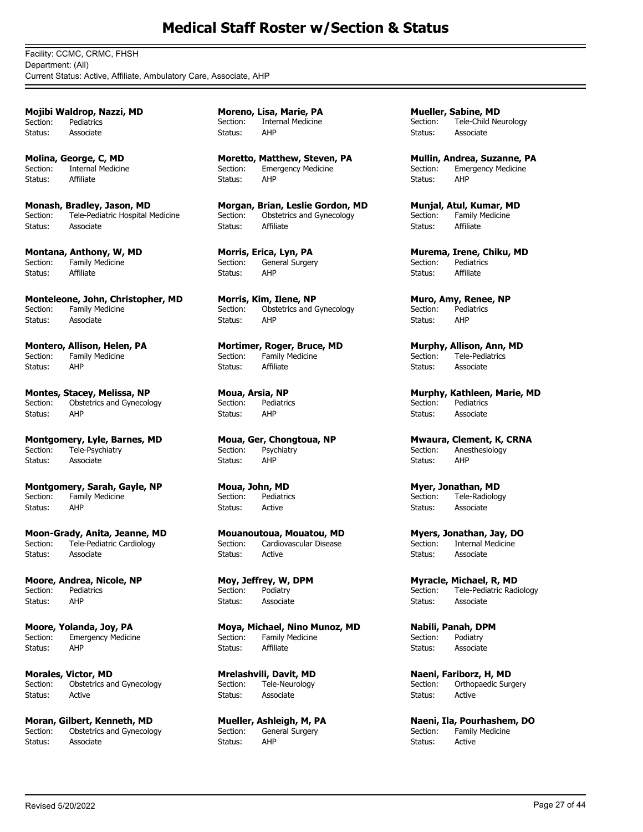Facility: CCMC, CRMC, FHSH Department: (All) Current Status: Active, Affiliate, Ambulatory Care, Associate, AHP

**Mojibi Waldrop, Nazzi, MD** Section: Pediatrics Status: Associate

**Molina, George, C, MD** Section: Internal Medicine Status: Affiliate

**Monash, Bradley, Jason, MD** Section: Tele-Pediatric Hospital Medicine Status: Associate

**Montana, Anthony, W, MD** Section: Family Medicine Status: Affiliate

**Monteleone, John, Christopher, MD** Section: Family Medicine Status: Associate

**Montero, Allison, Helen, PA**<br>Section: Family Medicine Family Medicine Status: AHP

**Montes, Stacey, Melissa, NP** Section: Obstetrics and Gynecology Status: AHP

**Montgomery, Lyle, Barnes, MD**<br>Section: Tele-Psychiatry Tele-Psychiatry Status: Associate

**Montgomery, Sarah, Gayle, NP** Section: Family Medicine Status: AHP

**Moon-Grady, Anita, Jeanne, MD** Section: Tele-Pediatric Cardiology Status: Associate

**Moore, Andrea, Nicole, NP** Section: Pediatrics Status: AHP

**Moore, Yolanda, Joy, PA** Section: Emergency Medicine Status: AHP

**Morales, Victor, MD** Section: Obstetrics and Gynecology Status: Active

**Moran, Gilbert, Kenneth, MD** Section: Obstetrics and Gynecology Status: Associate

**Moreno, Lisa, Marie, PA** Section: Internal Medicine Status: AHP

**Moretto, Matthew, Steven, PA** Section: Emergency Medicine Status: AHP

**Morgan, Brian, Leslie Gordon, MD** Section: Obstetrics and Gynecology Status: Affiliate

**Morris, Erica, Lyn, PA**<br>Section: General Surger General Surgery Status: AHP

**Morris, Kim, Ilene, NP** Section: Obstetrics and Gynecology Status: AHP

**Mortimer, Roger, Bruce, MD**<br>Section: Family Medicine Family Medicine Status: Affiliate

**Moua, Arsia, NP** Section: Pediatrics Status: AHP

**Moua, Ger, Chongtoua, NP**<br>Section: **Psychiatry** Psychiatry Status: AHP

**Moua, John, MD** Section: Pediatrics Status: Active

**Mouanoutoua, Mouatou, MD**<br>Section: Cardiovascular Disease Cardiovascular Disease Status: Active

**Moy, Jeffrey, W, DPM** Section: Podiatry Status: Associate

**Moya, Michael, Nino Munoz, MD** Section: Family Medicine Status: Affiliate

**Mrelashvili, Davit, MD** Section: Tele-Neurology Status: Associate

**Mueller, Ashleigh, M, PA**<br>Section: General Surgery General Surgery Status: AHP

**Mueller, Sabine, MD** Section: Tele-Child Neurology Status: Associate

**Mullin, Andrea, Suzanne, PA** Section: Emergency Medicine Status: AHP

**Munjal, Atul, Kumar, MD** Section: Family Medicine Status: Affiliate

**Murema, Irene, Chiku, MD** Section: Pediatrics Status: Affiliate

**Muro, Amy, Renee, NP** Section: Pediatrics Status: AHP

**Murphy, Allison, Ann, MD**<br>Section: Tele-Pediatrics Tele-Pediatrics Status: Associate

**Murphy, Kathleen, Marie, MD** Section: Pediatrics Status: Associate

**Mwaura, Clement, K, CRNA**<br>Section: Anesthesiology Anesthesiology Status: AHP

**Myer, Jonathan, MD** Section: Tele-Radiology Status: Associate

**Myers, Jonathan, Jay, DO Internal Medicine** Status: Associate

**Myracle, Michael, R, MD** Section: Tele-Pediatric Radiology Status: Associate

**Nabili, Panah, DPM** Section: Podiatry Status: Associate

**Naeni, Fariborz, H, MD** Section: Orthopaedic Surgery Status: Active

**Naeni, Ila, Pourhashem, DO**<br>Section: Family Medicine .<br>Family Medicine Status: Active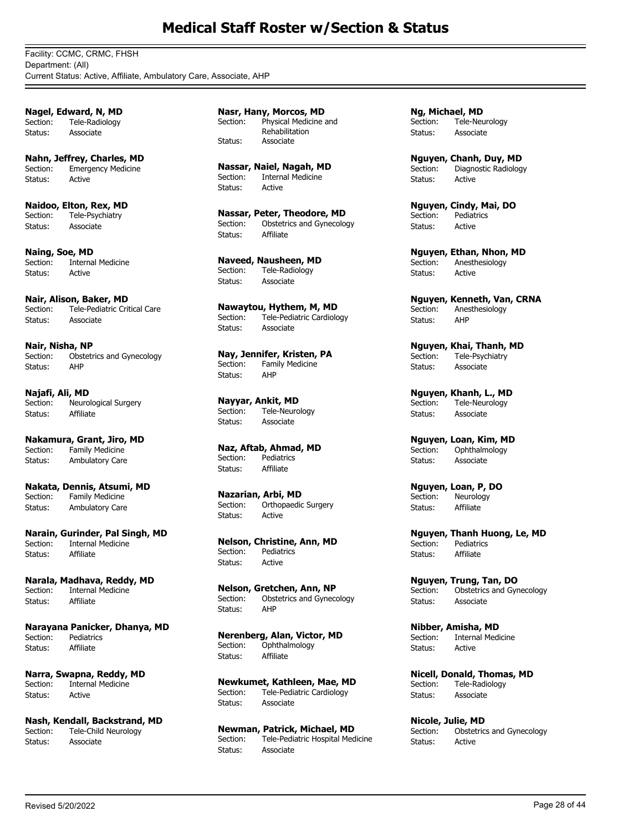Facility: CCMC, CRMC, FHSH Department: (All) Current Status: Active, Affiliate, Ambulatory Care, Associate, AHP

**Nagel, Edward, N, MD** Section: Tele-Radiology Status: Associate

**Nahn, Jeffrey, Charles, MD** Section: Emergency Medicine Status: Active

**Naidoo, Elton, Rex, MD** Section: Tele-Psychiatry Status: Associate

**Naing, Soe, MD**<br>Section: Interna **Internal Medicine** Status: Active

**Nair, Alison, Baker, MD** Section: Tele-Pediatric Critical Care Status: Associate

**Nair, Nisha, NP**<br>Section: Obstetr Obstetrics and Gynecology Status: AHP

**Najafi, Ali, MD** Section: Neurological Surgery Status: Affiliate

**Nakamura, Grant, Jiro, MD** Family Medicine Status: Ambulatory Care

**Nakata, Dennis, Atsumi, MD** Section: Family Medicine Status: Ambulatory Care

**Narain, Gurinder, Pal Singh, MD**<br>Section: Internal Medicine **Internal Medicine** Status: Affiliate

**Narala, Madhava, Reddy, MD** Section: Internal Medicine Status: Affiliate

**Narayana Panicker, Dhanya, MD** Section: Pediatrics Status: Affiliate

**Narra, Swapna, Reddy, MD** Section: Internal Medicine Status: Active

**Nash, Kendall, Backstrand, MD**<br>Section: Tele-Child Neurology Tele-Child Neurology Status: Associate

**Nasr, Hany, Morcos, MD** Physical Medicine and Rehabilitation Section: Status: Associate

**Nassar, Naiel, Nagah, MD** Section: Internal Medicine Status: Active

**Nassar, Peter, Theodore, MD**<br>Section: Obstetrics and Gynecolo Obstetrics and Gynecology Status: Affiliate

**Naveed, Nausheen, MD** Section: Tele-Radiology Status: Associate

**Nawaytou, Hythem, M, MD**<br>Section: Tele-Pediatric Cardiolo Tele-Pediatric Cardiology Status: Associate

**Nay, Jennifer, Kristen, PA** Section: Family Medicine Status: AHP

**Nayyar, Ankit, MD** Tele-Neurology Status: Associate

**Naz, Aftab, Ahmad, MD** Section: Pediatrics Status: Affiliate

**Nazarian, Arbi, MD** Section: Orthopaedic Surgery Status: Active

**Nelson, Christine, Ann, MD** Section: Pediatrics Status: Active

**Nelson, Gretchen, Ann, NP** Section: Obstetrics and Gynecology Status: AHP

**Nerenberg, Alan, Victor, MD** Section: Ophthalmology Status: Affiliate

**Newkumet, Kathleen, Mae, MD** Section: Tele-Pediatric Cardiology Status: Associate

**Newman, Patrick, Michael, MD**<br>Section: Tele-Pediatric Hospital Med Tele-Pediatric Hospital Medicine Status: Associate

**Ng, Michael, MD** Section: Tele-Neurology Status: Associate

**Nguyen, Chanh, Duy, MD** Section: Diagnostic Radiology Status: Active

**Nguyen, Cindy, Mai, DO** Section: Pediatrics Status: Active

**Nguyen, Ethan, Nhon, MD** Section: Anesthesiology Status: Active

**Nguyen, Kenneth, Van, CRNA** Section: Anesthesiology Status: AHP

**Nguyen, Khai, Thanh, MD**<br>Section: Tele-Psychiatry Tele-Psychiatry Status: Associate

**Nguyen, Khanh, L., MD** Section: Tele-Neurology Status: Associate

**Nguyen, Loan, Kim, MD**<br>Section: Ophthalmology Ophthalmology Status: Associate

**Nguyen, Loan, P, DO** Section: Neurology Status: Affiliate

**Nguyen, Thanh Huong, Le, MD**<br>Section: Pediatrics Pediatrics Status: Affiliate

**Nguyen, Trung, Tan, DO** Section: Obstetrics and Gynecology Status: Associate

**Nibber, Amisha, MD** Section: Internal Medicine Status: Active

**Nicell, Donald, Thomas, MD**<br>Section: Tele-Radiology Tele-Radiology Status: Associate

**Nicole, Julie, MD**<br>Section: Obstetric Obstetrics and Gynecology Status: Active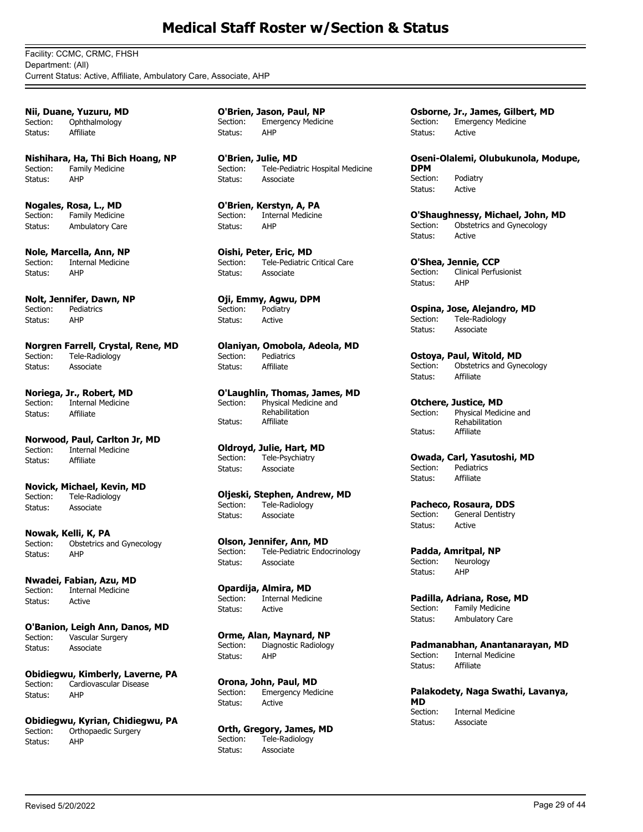Facility: CCMC, CRMC, FHSH Department: (All) Current Status: Active, Affiliate, Ambulatory Care, Associate, AHP

**Nii, Duane, Yuzuru, MD** Section: Ophthalmology Status: Affiliate

**Nishihara, Ha, Thi Bich Hoang, NP** Section: Family Medicine Status: AHP

**Nogales, Rosa, L., MD** Section: Family Medicine Status: Ambulatory Care

**Nole, Marcella, Ann, NP** Section: Internal Medicine Status: AHP

**Nolt, Jennifer, Dawn, NP** Section: Pediatrics Status: AHP

**Norgren Farrell, Crystal, Rene, MD** Section: Tele-Radiology Status: Associate

**Noriega, Jr., Robert, MD** Section: Internal Medicine Status: Affiliate

**Norwood, Paul, Carlton Jr, MD**<br>Section: Internal Medicine Internal Medicine Status: Affiliate

**Novick, Michael, Kevin, MD** Section: Tele-Radiology Status: Associate

**Nowak, Kelli, K, PA** Section: Obstetrics and Gynecology Status: AHP

**Nwadei, Fabian, Azu, MD** Section: Internal Medicine Status: Active

**O'Banion, Leigh Ann, Danos, MD** Section: Vascular Surgery Status: Associate

**Obidiegwu, Kimberly, Laverne, PA** Section: Cardiovascular Disease Status: AHP

**Obidiegwu, Kyrian, Chidiegwu, PA** Section: Orthopaedic Surgery Status: AHP

**O'Brien, Jason, Paul, NP** Section: Emergency Medicine Status: AHP

**O'Brien, Julie, MD** Section: Tele-Pediatric Hospital Medicine Status: Associate

**O'Brien, Kerstyn, A, PA** Section: Internal Medicine<br>Status: AHP Status:

**Oishi, Peter, Eric, MD** Section: Tele-Pediatric Critical Care Status: Associate

**Oji, Emmy, Agwu, DPM** Section: Podiatry Status: Active

**Olaniyan, Omobola, Adeola, MD**<br>Section: Pediatrics Pediatrics Status: Affiliate

**O'Laughlin, Thomas, James, MD** Physical Medicine and Rehabilitation Section: Status: Affiliate

**Oldroyd, Julie, Hart, MD** Section: Tele-Psychiatry Status: Associate

**Oljeski, Stephen, Andrew, MD** Section: Tele-Radiology Status: Associate

**Olson, Jennifer, Ann, MD** Section: Tele-Pediatric Endocrinology Status: Associate

**Opardija, Almira, MD** Section: Internal Medicine Status: Active

**Orme, Alan, Maynard, NP** Section: Diagnostic Radiology Status: AHP

**Orona, John, Paul, MD** Section: Emergency Medicine Status: Active

**Orth, Gregory, James, MD**<br>Section: Tele-Radiology Tele-Radiology Status: Associate

**Osborne, Jr., James, Gilbert, MD** Section: Emergency Medicine Status: Active

**Oseni-Olalemi, Olubukunola, Modupe, DPM**<br>Section: Podiatry Status: Active

**O'Shaughnessy, Michael, John, MD**<br>Section: Obstetrics and Gynecology Obstetrics and Gynecology Status: Active

**O'Shea, Jennie, CCP** Section: Clinical Perfusionist Status: AHP

**Ospina, Jose, Alejandro, MD** Section: Tele-Radiology Status: Associate

**Ostoya, Paul, Witold, MD** Section: Obstetrics and Gynecology Status: Affiliate

**Otchere, Justice, MD** Physical Medicine and Rehabilitation Section: Status: Affiliate

**Owada, Carl, Yasutoshi, MD**<br>Section: **Pediatrics** Section: Pediatrics Status: Affiliate

**Pacheco, Rosaura, DDS**<br>Section: **General Dentistry** General Dentistry Status: Active

**Padda, Amritpal, NP** Neurology Status: AHP

**Padilla, Adriana, Rose, MD**<br>Section: Family Medicine Family Medicine Status: Ambulatory Care

**Padmanabhan, Anantanarayan, MD** Section: Internal Medicine Status: Affiliate

**Palakodety, Naga Swathi, Lavanya, MD Internal Medicine** Status: Associate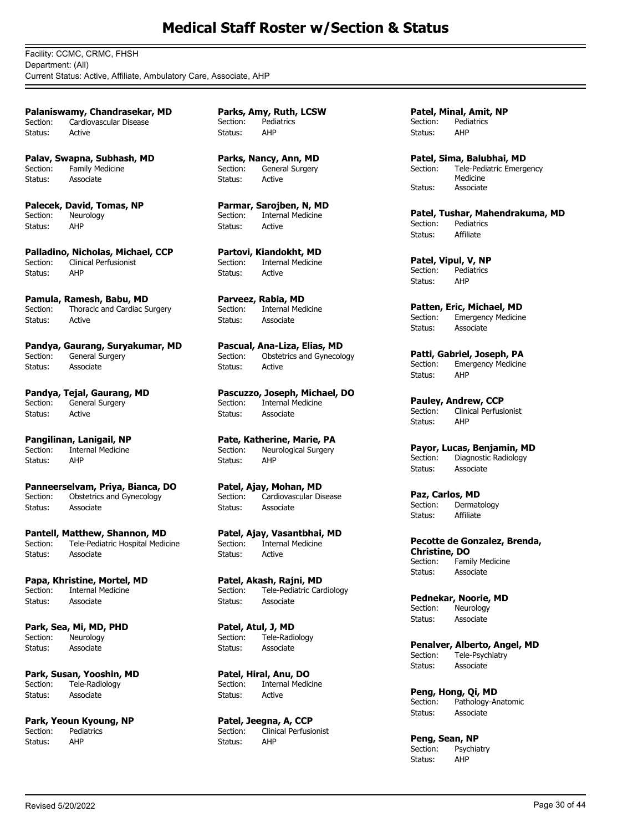Facility: CCMC, CRMC, FHSH Department: (All) Current Status: Active, Affiliate, Ambulatory Care, Associate, AHP

**Palaniswamy, Chandrasekar, MD** Section: Cardiovascular Disease Status: Active

**Palav, Swapna, Subhash, MD** Section: Family Medicine Status: Associate

**Palecek, David, Tomas, NP** Section: Neurology<br>Status: AHP Status:

**Palladino, Nicholas, Michael, CCP** Section: Clinical Perfusionist Status: AHP

**Pamula, Ramesh, Babu, MD** Section: Thoracic and Cardiac Surgery Status: Active

**Pandya, Gaurang, Suryakumar, MD** General Surgery Status: Associate

**Pandya, Tejal, Gaurang, MD** Section: General Surgery Status: Active

**Pangilinan, Lanigail, NP**<br>Section: Internal Medicine Internal Medicine Status: AHP

**Panneerselvam, Priya, Bianca, DO** Section: Obstetrics and Gynecology Status: Associate

**Pantell, Matthew, Shannon, MD**<br>Section: Tele-Pediatric Hospital Medio Tele-Pediatric Hospital Medicine Status: Associate

**Papa, Khristine, Mortel, MD** Section: Internal Medicine Status: Associate

**Park, Sea, Mi, MD, PHD** Section: Neurology Status: Associate

**Park, Susan, Yooshin, MD** Section: Tele-Radiology Status: Associate

**Park, Yeoun Kyoung, NP**<br>Section: Pediatrics Pediatrics Status: AHP

**Parks, Amy, Ruth, LCSW** Section: Pediatrics Status: AHP

**Parks, Nancy, Ann, MD** Section: General Surgery Status: Active

**Parmar, Sarojben, N, MD** Section: Internal Medicine<br>Status: Active Status:

**Partovi, Kiandokht, MD** Section: Internal Medicine Status: Active

**Parveez, Rabia, MD** Section: Internal Medicine Status: Associate

**Pascual, Ana-Liza, Elias, MD**<br>Section: **Obstetrics and Gynecold** Obstetrics and Gynecology Status: Active

**Pascuzzo, Joseph, Michael, DO** Section: Internal Medicine Status: Associate

**Pate, Katherine, Marie, PA**<br>Section: Neurological Surgery Neurological Surgery Status: AHP

**Patel, Ajay, Mohan, MD** Section: Cardiovascular Disease Status: Associate

**Patel, Ajay, Vasantbhai, MD Internal Medicine** Status: Active

**Patel, Akash, Rajni, MD** Section: Tele-Pediatric Cardiology Status: Associate

**Patel, Atul, J, MD** Section: Tele-Radiology<br>Status: Associate Associate

**Patel, Hiral, Anu, DO** Section: Internal Medicine Status: Active

**Patel, Jeegna, A, CCP**<br>Section: Clinical Perfusic Clinical Perfusionist Status: AHP

**Patel, Minal, Amit, NP** Section: Pediatrics Status: AHP

**Patel, Sima, Balubhai, MD** Tele-Pediatric Emergency Medicine Section: Status: Associate

**Patel, Tushar, Mahendrakuma, MD**<br>Section: Pediatrics Pediatrics Status: Affiliate

**Patel, Vipul, V, NP**<br>Section: Pediatrics **Pediatrics** Status: AHP

**Patten, Eric, Michael, MD**<br>Section: Emergency Medicine Emergency Medicine Status: Associate

**Patti, Gabriel, Joseph, PA**<br>Section: Emergency Medicine Emergency Medicine Status: AHP

**Pauley, Andrew, CCP**<br>Section: Clinical Perfusi Clinical Perfusionist Status: AHP

**Payor, Lucas, Benjamin, MD** Section: Diagnostic Radiology Status: Associate

**Paz, Carlos, MD** Section: Dermatology Status: Affiliate

**Pecotte de Gonzalez, Brenda, Christine, DO** Family Medicine Status: Associate

**Pednekar, Noorie, MD**<br>Section: Neurology Neurology Status: Associate

**Penalver, Alberto, Angel, MD** Section: Tele-Psychiatry Status: Associate

**Peng, Hong, Qi, MD** Section: Pathology-Anatomic Status: Associate

**Peng, Sean, NP** Section: Psychiatry Status: AHP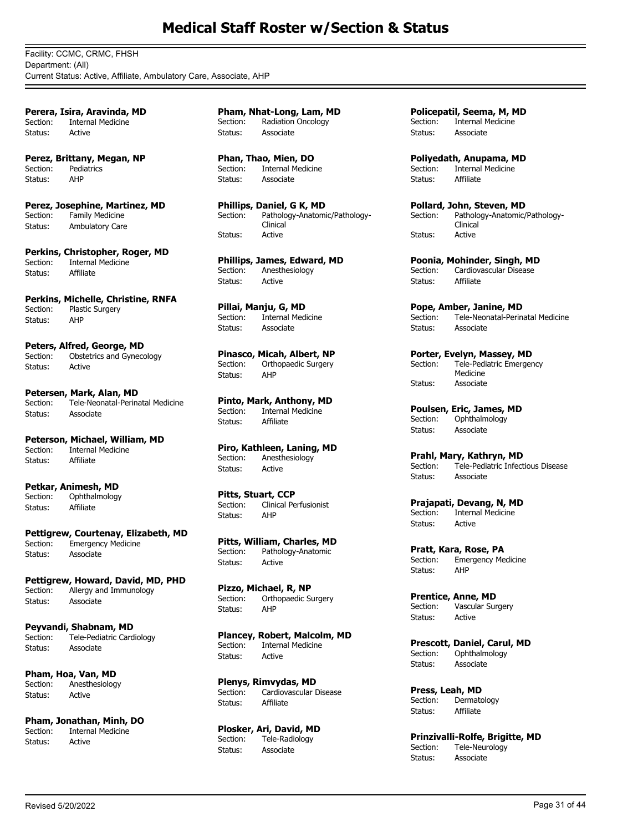Facility: CCMC, CRMC, FHSH Department: (All) Current Status: Active, Affiliate, Ambulatory Care, Associate, AHP

**Perera, Isira, Aravinda, MD** Section: Internal Medicine Status: Active

**Perez, Brittany, Megan, NP** Section: Pediatrics Status: AHP

**Perez, Josephine, Martinez, MD** Section: Family Medicine Status: Ambulatory Care

**Perkins, Christopher, Roger, MD** Section: Internal Medicine Status: Affiliate

**Perkins, Michelle, Christine, RNFA** Section: Plastic Surgery Status: AHP

**Peters, Alfred, George, MD**<br>Section: Obstetrics and Gyneco Obstetrics and Gynecology Status: Active

**Petersen, Mark, Alan, MD**<br>Section: Tele-Neonatal-Perin Tele-Neonatal-Perinatal Medicine Status: Associate

**Peterson, Michael, William, MD**<br>Section: Internal Medicine Internal Medicine Status: Affiliate

**Petkar, Animesh, MD** Section: Ophthalmology Status: Affiliate

**Pettigrew, Courtenay, Elizabeth, MD** Section: Emergency Medicine Status: Associate

**Pettigrew, Howard, David, MD, PHD** Section: Allergy and Immunology Status: Associate

**Peyvandi, Shabnam, MD** Section: Tele-Pediatric Cardiology Status: Associate

**Pham, Hoa, Van, MD** Section: Anesthesiology Status: Active

**Pham, Jonathan, Minh, DO**<br>Section: **Internal Medicine** Internal Medicine Status: Active

**Pham, Nhat-Long, Lam, MD** Section: Radiation Oncology Status: Associate

**Phan, Thao, Mien, DO** Section: Internal Medicine Status: Associate

**Phillips, Daniel, G K, MD** Pathology-Anatomic/Pathology-Clinical<br>Active Section: Status:

**Phillips, James, Edward, MD** Section: Anesthesiology Status: Active

**Pillai, Manju, G, MD** Internal Medicine Status: Associate

**Pinasco, Micah, Albert, NP** Section: Orthopaedic Surgery Status: AHP

**Pinto, Mark, Anthony, MD** Internal Medicine Status: Affiliate

**Piro, Kathleen, Laning, MD** Section: Anesthesiology Status: Active

**Pitts, Stuart, CCP** Section: Clinical Perfusionist Status: AHP

**Pitts, William, Charles, MD** Section: Pathology-Anatomic Status: Active

**Pizzo, Michael, R, NP** Section: Orthopaedic Surgery Status: AHP

**Plancey, Robert, Malcolm, MD** Section: Internal Medicine Status: Active

**Plenys, Rimvydas, MD** Section: Cardiovascular Disease Status: Affiliate

**Plosker, Ari, David, MD**<br>Section: Tele-Radiology Tele-Radiology Status: Associate

**Policepatil, Seema, M, MD** Section: Internal Medicine Status: Associate

**Poliyedath, Anupama, MD** Section: Internal Medicine Status: Affiliate

**Pollard, John, Steven, MD** Pathology-Anatomic/Pathology-Clinical<br>Active Section: Status:

**Poonia, Mohinder, Singh, MD**<br>Section: Cardiovascular Disease Cardiovascular Disease Status: Affiliate

**Pope, Amber, Janine, MD**<br>Section: Tele-Neonatal-Perin Tele-Neonatal-Perinatal Medicine Status: Associate

**Porter, Evelyn, Massey, MD** Tele-Pediatric Emergency Medicine Section: Status: Associate

**Poulsen, Eric, James, MD** Section: Ophthalmology Status: Associate

**Prahl, Mary, Kathryn, MD** Section: Tele-Pediatric Infectious Disease Status: Associate

**Prajapati, Devang, N, MD**<br>Section: Internal Medicine Internal Medicine Status: Active

**Pratt, Kara, Rose, PA** Section: Emergency Medicine Status: AHP

**Prentice, Anne, MD** Section: Vascular Surgery Status: Active

**Prescott, Daniel, Carul, MD** Section: Ophthalmology Status: Associate

**Press, Leah, MD**<br>Section: Dermato Dermatology Status: Affiliate

**Prinzivalli-Rolfe, Brigitte, MD** Section: Tele-Neurology Status: Associate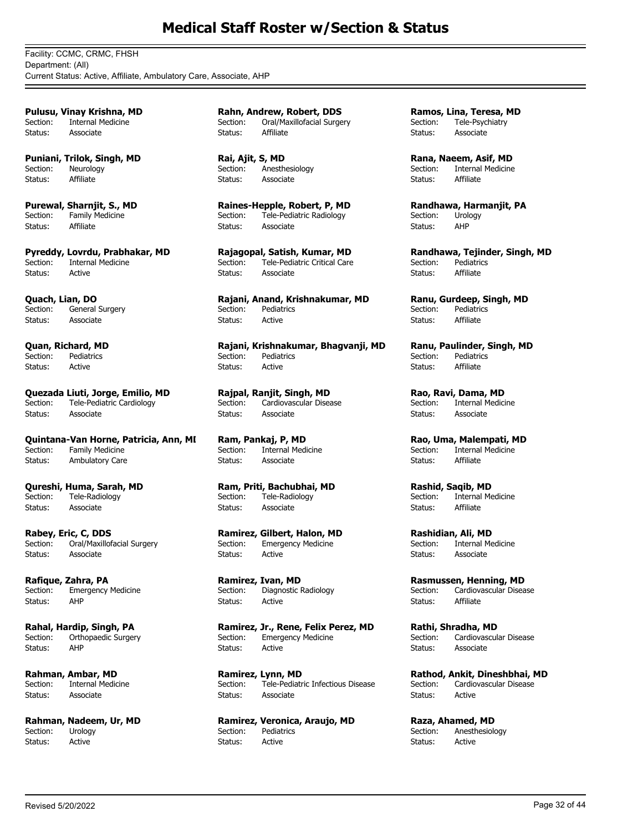Facility: CCMC, CRMC, FHSH Department: (All) Current Status: Active, Affiliate, Ambulatory Care, Associate, AHP

**Pulusu, Vinay Krishna, MD** Section: Internal Medicine Status: Associate

**Puniani, Trilok, Singh, MD** Section: Neurology Status: Affiliate

**Purewal, Sharnjit, S., MD** Section: Family Medicine<br>Status: Affiliate Status:

**Pyreddy, Lovrdu, Prabhakar, MD** Section: Internal Medicine Status: Active

**Quach, Lian, DO** Section: General Surgery Status: Associate

**Quan, Richard, MD**<br>Section: Pediatrics Pediatrics Status: Active

**Quezada Liuti, Jorge, Emilio, MD** Section: Tele-Pediatric Cardiology Status: Associate

**Quintana-Van Horne, Patricia, Ann, MI**<br>Section: Family Medicine Family Medicine Status: Ambulatory Care

**Qureshi, Huma, Sarah, MD** Tele-Radiology Status: Associate

**Rabey, Eric, C, DDS** Oral/Maxillofacial Surgery Status: Associate

**Rafique, Zahra, PA** Section: Emergency Medicine Status: AHP

**Rahal, Hardip, Singh, PA** Section: Orthopaedic Surgery Status: AHP

**Rahman, Ambar, MD** Section: Internal Medicine Status: Associate

**Rahman, Nadeem, Ur, MD**<br>Section: Urology Urology Status: Active

**Rahn, Andrew, Robert, DDS** Section: Oral/Maxillofacial Surgery Status: Affiliate

**Rai, Ajit, S, MD** Section: Anesthesiology Status: Associate

**Raines-Hepple, Robert, P, MD** Section: Tele-Pediatric Radiology Status: Associate

**Rajagopal, Satish, Kumar, MD** Section: Tele-Pediatric Critical Care Status: Associate

**Rajani, Anand, Krishnakumar, MD** Section: Pediatrics Status: Active

**Rajani, Krishnakumar, Bhagvanji, MD** Section: Pediatrics Status: Active

**Rajpal, Ranjit, Singh, MD** Section: Cardiovascular Disease Status: Associate

**Ram, Pankaj, P, MD** Internal Medicine Status: Associate

**Ram, Priti, Bachubhai, MD** Section: Tele-Radiology Status: Associate

**Ramirez, Gilbert, Halon, MD**<br>Section: Emergency Medicine **Emergency Medicine** Status: Active

**Ramirez, Ivan, MD** Section: Diagnostic Radiology Status: Active

**Ramirez, Jr., Rene, Felix Perez, MD** Section: Emergency Medicine Status: Active

**Ramirez, Lynn, MD** Section: Tele-Pediatric Infectious Disease Status: Associate

**Ramirez, Veronica, Araujo, MD** Section: Pediatrics Status: Active

**Ramos, Lina, Teresa, MD** Section: Tele-Psychiatry Status: Associate

**Rana, Naeem, Asif, MD** Section: Internal Medicine Status: Affiliate

**Randhawa, Harmanjit, PA** Section: Urology Status: AHP

**Randhawa, Tejinder, Singh, MD** Section: Pediatrics Status: Affiliate

**Ranu, Gurdeep, Singh, MD** Section: Pediatrics Status: Affiliate

**Ranu, Paulinder, Singh, MD**<br>Section: Pediatrics Pediatrics Status: Affiliate

**Rao, Ravi, Dama, MD Internal Medicine** Status: Associate

**Rao, Uma, Malempati, MD** Internal Medicine Status: Affiliate

**Rashid, Saqib, MD**<br>Section: Internal Me Internal Medicine Status: Affiliate

**Rashidian, Ali, MD**<br>Section: Internal Me **Internal Medicine** Status: Associate

**Rasmussen, Henning, MD** Section: Cardiovascular Disease Status: Affiliate

**Rathi, Shradha, MD** Section: Cardiovascular Disease Status: Associate

**Rathod, Ankit, Dineshbhai, MD** Section: Cardiovascular Disease Status: Active

**Raza, Ahamed, MD**<br>Section: **Anesthesiold** Anesthesiology Status: Active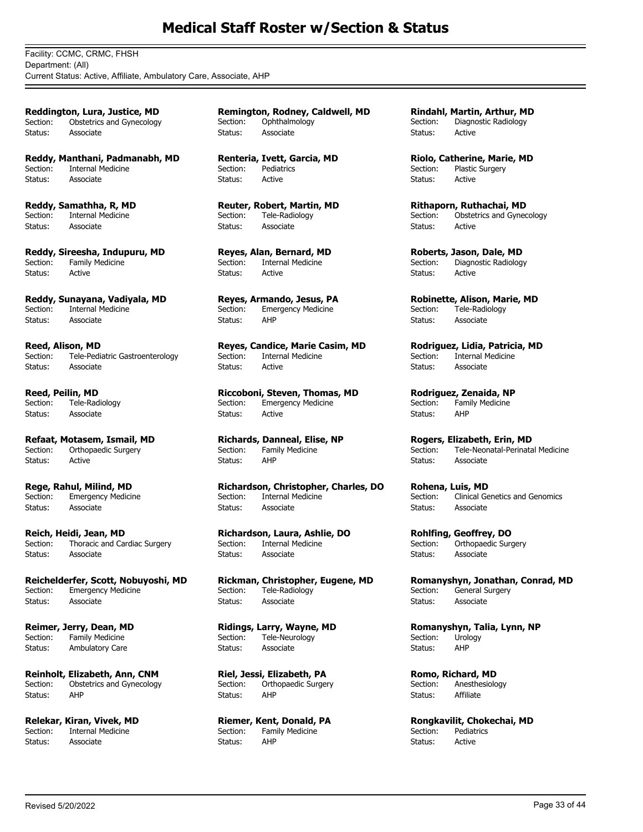Facility: CCMC, CRMC, FHSH Department: (All) Current Status: Active, Affiliate, Ambulatory Care, Associate, AHP

**Reddington, Lura, Justice, MD** Section: Obstetrics and Gynecology Status: Associate

**Reddy, Manthani, Padmanabh, MD** Section: Internal Medicine Status: Associate

**Reddy, Samathha, R, MD** Section: Internal Medicine Status: Associate

**Reddy, Sireesha, Indupuru, MD**<br>Section: Family Medicine Family Medicine Status: Active

**Reddy, Sunayana, Vadiyala, MD** Section: Internal Medicine Status: Associate

**Reed, Alison, MD**<br>Section: Tele-Pedi Tele-Pediatric Gastroenterology Status: Associate

**Reed, Peilin, MD** Section: Tele-Radiology Status: Associate

**Refaat, Motasem, Ismail, MD**<br>Section: Orthopaedic Surgery Orthopaedic Surgery Status: Active

**Rege, Rahul, Milind, MD**<br>Section: Emergency Medicii Emergency Medicine Status: Associate

**Reich, Heidi, Jean, MD** Section: Thoracic and Cardiac Surgery Status: Associate

**Reichelderfer, Scott, Nobuyoshi, MD** Section: Emergency Medicine Status: Associate

**Reimer, Jerry, Dean, MD** Section: Family Medicine Status: Ambulatory Care

**Reinholt, Elizabeth, Ann, CNM** Section: Obstetrics and Gynecology Status: AHP

**Relekar, Kiran, Vivek, MD**<br>Section: Internal Medicine Internal Medicine Status: Associate

**Remington, Rodney, Caldwell, MD** Section: Ophthalmology Status: Associate

**Renteria, Ivett, Garcia, MD** Section: Pediatrics Status: Active

**Reuter, Robert, Martin, MD** Section: Tele-Radiology Status: Associate

**Reyes, Alan, Bernard, MD** Section: Internal Medicine Status: Active

**Reyes, Armando, Jesus, PA** Section: Emergency Medicine Status: AHP

**Reyes, Candice, Marie Casim, MD** Internal Medicine Status: Active

**Riccoboni, Steven, Thomas, MD** Section: Emergency Medicine Status: Active

**Richards, Danneal, Elise, NP** Family Medicine Status: AHP

**Richardson, Christopher, Charles, DO** Section: Internal Medicine Status: Associate

**Richardson, Laura, Ashlie, DO Internal Medicine** Status: Associate

**Rickman, Christopher, Eugene, MD** Section: Tele-Radiology Status: Associate

**Ridings, Larry, Wayne, MD** Section: Tele-Neurology Status: Associate

**Riel, Jessi, Elizabeth, PA** Section: Orthopaedic Surgery Status: AHP

**Riemer, Kent, Donald, PA**<br>Section: Family Medicine Family Medicine Status: AHP

**Rindahl, Martin, Arthur, MD** Section: Diagnostic Radiology Status: Active

**Riolo, Catherine, Marie, MD** Section: Plastic Surgery Status: Active

**Rithaporn, Ruthachai, MD** Section: Obstetrics and Gynecology Status: Active

**Roberts, Jason, Dale, MD** Section: Diagnostic Radiology Status: Active

**Robinette, Alison, Marie, MD** Section: Tele-Radiology Status: Associate

**Rodriguez, Lidia, Patricia, MD** Internal Medicine Status: Associate

**Rodriguez, Zenaida, NP** Section: Family Medicine Status: AHP

**Rogers, Elizabeth, Erin, MD**<br>Section: Tele-Neonatal-Perinata Tele-Neonatal-Perinatal Medicine Status: Associate

**Rohena, Luis, MD** Section: Clinical Genetics and Genomics Status: Associate

**Rohlfing, Geoffrey, DO**<br>Section: Orthopaedic Surg Orthopaedic Surgery Status: Associate

**Romanyshyn, Jonathan, Conrad, MD** Section: General Surgery Status: Associate

**Romanyshyn, Talia, Lynn, NP** Section: Urology Status: AHP

**Romo, Richard, MD** Section: Anesthesiology Status: Affiliate

**Rongkavilit, Chokechai, MD**<br>Section: Pediatrics **Pediatrics** Status: Active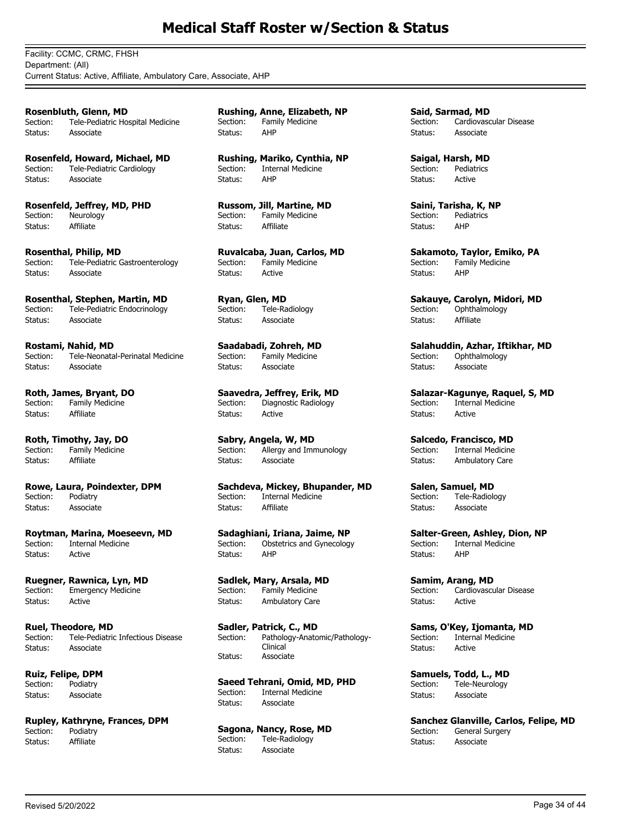Facility: CCMC, CRMC, FHSH Department: (All) Current Status: Active, Affiliate, Ambulatory Care, Associate, AHP

**Rosenbluth, Glenn, MD** Section: Tele-Pediatric Hospital Medicine Status: Associate

**Rosenfeld, Howard, Michael, MD** Section: Tele-Pediatric Cardiology Status: Associate

**Rosenfeld, Jeffrey, MD, PHD** Section: Neurology Status: Affiliate

**Rosenthal, Philip, MD** Section: Tele-Pediatric Gastroenterology Status: Associate

**Rosenthal, Stephen, Martin, MD** Section: Tele-Pediatric Endocrinology Status: Associate

**Rostami, Nahid, MD**<br>Section: Tele-Neonata Tele-Neonatal-Perinatal Medicine Status: Associate

**Roth, James, Bryant, DO** Section: Family Medicine Status: Affiliate

**Roth, Timothy, Jay, DO** Family Medicine Status: Affiliate

**Rowe, Laura, Poindexter, DPM** Section: Status: Associate

**Roytman, Marina, Moeseevn, MD Internal Medicine** Status: Active

**Ruegner, Rawnica, Lyn, MD** Section: Emergency Medicine Status: Active

**Ruel, Theodore, MD** Section: Tele-Pediatric Infectious Disease Status: Associate

**Ruiz, Felipe, DPM** Section: Podiatry Status: Associate

**Rupley, Kathryne, Frances, DPM** Podiatry Status: Affiliate

**Rushing, Anne, Elizabeth, NP** Section: Family Medicine Status: AHP

**Rushing, Mariko, Cynthia, NP** Section: Internal Medicine Status: AHP

**Russom, Jill, Martine, MD** Section: Family Medicine Status: Affiliate

**Ruvalcaba, Juan, Carlos, MD** Section: Family Medicine Status: Active

**Ryan, Glen, MD** Section: Tele-Radiology Status: Associate

**Saadabadi, Zohreh, MD** Family Medicine Status: Associate

**Saavedra, Jeffrey, Erik, MD** Section: Diagnostic Radiology Status: Active

**Sabry, Angela, W, MD**<br>Section: Allergy and Imr Allergy and Immunology Status: Associate

**Sachdeva, Mickey, Bhupander, MD** Section: Internal Medicine Status: Affiliate

**Sadaghiani, Iriana, Jaime, NP** Obstetrics and Gynecology Status: AHP

**Sadlek, Mary, Arsala, MD** Section: Family Medicine Status: Ambulatory Care

**Sadler, Patrick, C., MD** Pathology-Anatomic/Pathology-Clinical Section: Status: Associate

**Saeed Tehrani, Omid, MD, PHD** Internal Medicine Status: Associate

**Sagona, Nancy, Rose, MD**<br>Section: Tele-Radiology Tele-Radiology Status: Associate

**Said, Sarmad, MD** Section: Cardiovascular Disease Status: Associate

**Saigal, Harsh, MD** Section: Pediatrics Status: Active

**Saini, Tarisha, K, NP** Section: Pediatrics Status: AHP

**Sakamoto, Taylor, Emiko, PA** Section: Family Medicine Status: AHP

**Sakauye, Carolyn, Midori, MD** Section: Ophthalmology Status: Affiliate

**Salahuddin, Azhar, Iftikhar, MD**<br>Section: Ophthalmology Ophthalmology Status: Associate

**Salazar-Kagunye, Raquel, S, MD** Section: Internal Medicine Status: Active

**Salcedo, Francisco, MD**<br>Section: Internal Medicine Internal Medicine Status: Ambulatory Care

**Salen, Samuel, MD** Section: Tele-Radiology Status: Associate

**Salter-Green, Ashley, Dion, NP**<br>Section: Internal Medicine **Internal Medicine** Status: AHP

**Samim, Arang, MD** Section: Cardiovascular Disease Status: Active

**Sams, O'Key, Ijomanta, MD** Section: Internal Medicine Status: Active

**Samuels, Todd, L., MD** Section: Tele-Neurology Status: Associate

**Sanchez Glanville, Carlos, Felipe, MD**<br>Section: General Surgery General Surgery Status: Associate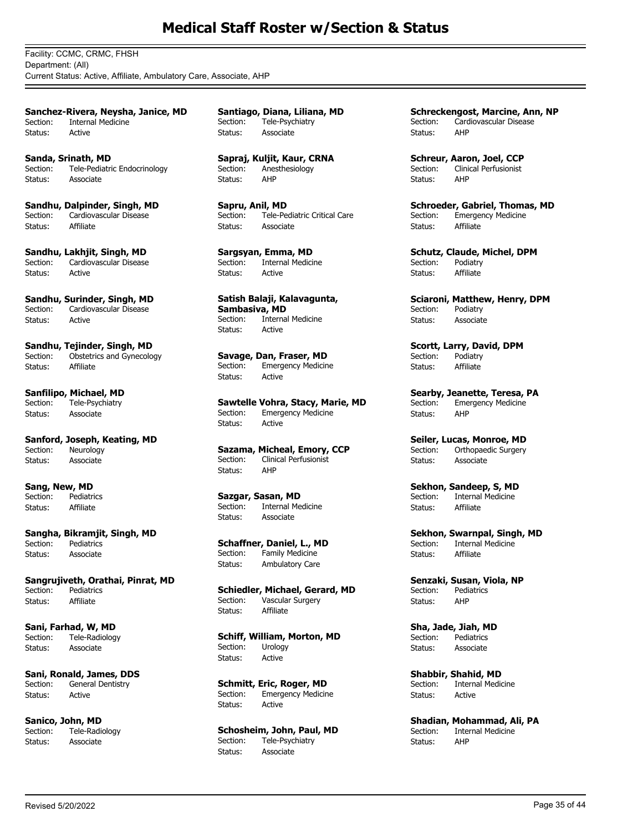Facility: CCMC, CRMC, FHSH Department: (All) Current Status: Active, Affiliate, Ambulatory Care, Associate, AHP

**Sanchez-Rivera, Neysha, Janice, MD** Section: Internal Medicine Status: Active

**Sanda, Srinath, MD** Section: Tele-Pediatric Endocrinology Status: Associate

**Sandhu, Dalpinder, Singh, MD** Section: Cardiovascular Disease Status: Affiliate

**Sandhu, Lakhjit, Singh, MD** Section: Cardiovascular Disease Status: Active

**Sandhu, Surinder, Singh, MD** Section: Cardiovascular Disease Status: Active

**Sandhu, Tejinder, Singh, MD**<br>Section: Obstetrics and Gynecolo Obstetrics and Gynecology Status: Affiliate

**Sanfilipo, Michael, MD** Section: Tele-Psychiatry Status: Associate

**Sanford, Joseph, Keating, MD**<br>Section: Neurology Neurology Status: Associate

**Sang, New, MD** Section: Pediatrics Status: Affiliate

**Sangha, Bikramjit, Singh, MD** Pediatrics Status: Associate

**Sangrujiveth, Orathai, Pinrat, MD** Section: Pediatrics Status: Affiliate

**Sani, Farhad, W, MD** Section: Tele-Radiology Status: Associate

**Sani, Ronald, James, DDS** Section: General Dentistry Status: Active

**Sanico, John, MD**<br>Section: Tele-Radi Tele-Radiology Status: Associate

**Santiago, Diana, Liliana, MD** Section: Tele-Psychiatry Status: Associate

**Sapraj, Kuljit, Kaur, CRNA** Section: Anesthesiology Status: AHP

**Sapru, Anil, MD** Section: Tele-Pediatric Critical Care Status: Associate

**Sargsyan, Emma, MD** Section: Internal Medicine Status: Active

**Satish Balaji, Kalavagunta, Sambasiva, MD** Section: Internal Medicine Status: Active

**Savage, Dan, Fraser, MD** Section: Emergency Medicine Status: Active

**Sawtelle Vohra, Stacy, Marie, MD** Section: Emergency Medicine Status: Active

**Sazama, Micheal, Emory, CCP** Section: Clinical Perfusionist Status: AHP

**Sazgar, Sasan, MD**<br>Section: **Internal Me** Internal Medicine Status: Associate

**Schaffner, Daniel, L., MD**<br>Section: Family Medicine Family Medicine Status: Ambulatory Care

**Schiedler, Michael, Gerard, MD**<br>Section: Vascular Surgery Vascular Surgery Status: Affiliate

**Schiff, William, Morton, MD**<br>Section: Urology Urology Status: Active

**Schmitt, Eric, Roger, MD** Section: Emergency Medicine Status: Active

**Schosheim, John, Paul, MD** Section: Tele-Psychiatry Status: Associate

**Schreckengost, Marcine, Ann, NP** Section: Cardiovascular Disease Status: AHP

**Schreur, Aaron, Joel, CCP** Section: Clinical Perfusionist Status: AHP

**Schroeder, Gabriel, Thomas, MD** Section: Emergency Medicine Status: Affiliate

**Schutz, Claude, Michel, DPM** Section: Podiatry Status: Affiliate

**Sciaroni, Matthew, Henry, DPM** Section: Podiatry Status: Associate

**Scortt, Larry, David, DPM**<br>Section: Podiatry Podiatry Status: Affiliate

**Searby, Jeanette, Teresa, PA** Section: Emergency Medicine Status: AHP

**Seiler, Lucas, Monroe, MD**<br>Section: Orthopaedic Surgery Orthopaedic Surgery Status: Associate

**Sekhon, Sandeep, S, MD** Section: Internal Medicine Status: Affiliate

**Sekhon, Swarnpal, Singh, MD**<br>Section: Internal Medicine **Internal Medicine** Status: Affiliate

**Senzaki, Susan, Viola, NP** Section: Pediatrics Status: AHP

**Sha, Jade, Jiah, MD** Section: Pediatrics Status: Associate

**Shabbir, Shahid, MD** Section: Internal Medicine Status: Active

**Shadian, Mohammad, Ali, PA**<br>Section: Internal Medicine Internal Medicine Status: AHP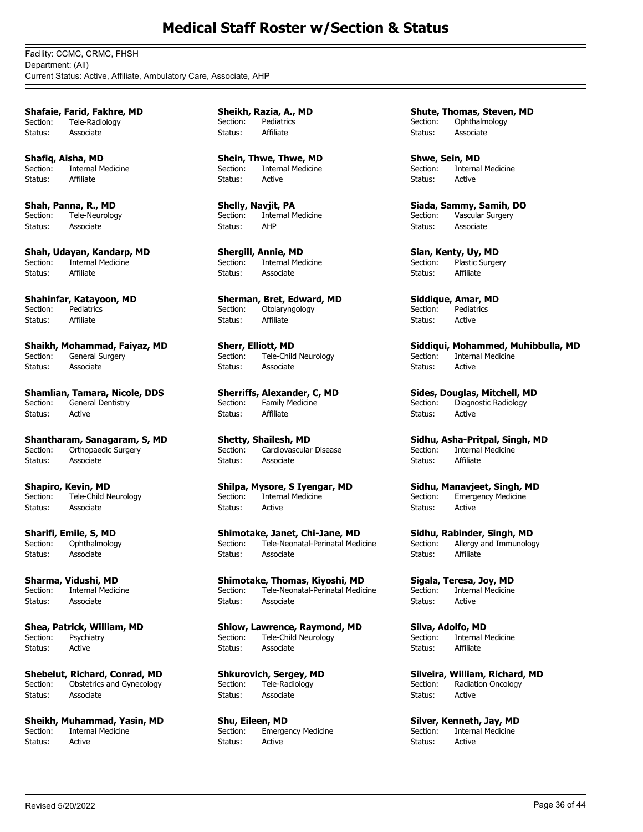Facility: CCMC, CRMC, FHSH Department: (All) Current Status: Active, Affiliate, Ambulatory Care, Associate, AHP

**Shafaie, Farid, Fakhre, MD** Section: Tele-Radiology Status: Associate

**Shafiq, Aisha, MD** Section: Internal Medicine Status: Affiliate

**Shah, Panna, R., MD** Section: Tele-Neurology Status: Associate

**Shah, Udayan, Kandarp, MD** Section: Internal Medicine Status: Affiliate

**Shahinfar, Katayoon, MD** Section: Pediatrics Status: Affiliate

**Shaikh, Mohammad, Faiyaz, MD**<br>Section: General Surgery General Surgery Status: Associate

**Shamlian, Tamara, Nicole, DDS** Section: General Dentistry Status: Active

**Shantharam, Sanagaram, S, MD**<br>Section: Orthopaedic Surgery Orthopaedic Surgery Status: Associate

**Shapiro, Kevin, MD**<br>Section: Tele-Child N Tele-Child Neurology Status: Associate

**Sharifi, Emile, S, MD**<br>Section: Ophthalmolog Ophthalmology Status: Associate

**Sharma, Vidushi, MD** Section: Internal Medicine Status: Associate

**Shea, Patrick, William, MD** Section: Psychiatry Status: Active

**Shebelut, Richard, Conrad, MD** Section: Obstetrics and Gynecology Status: Associate

**Sheikh, Muhammad, Yasin, MD**<br>Section: **Internal Medicine** Internal Medicine Status: Active

**Sheikh, Razia, A., MD** Section: Pediatrics Status: Affiliate

**Shein, Thwe, Thwe, MD** Section: Internal Medicine Status: Active

**Shelly, Navjit, PA** Section: Internal Medicine<br>Status: AHP Status:

**Shergill, Annie, MD**<br>Section: Internal Med **Internal Medicine** Status: Associate

**Sherman, Bret, Edward, MD** Section: Otolaryngology Status: Affiliate

**Sherr, Elliott, MD**<br>Section: Tele-Child Tele-Child Neurology Status: Associate

**Sherriffs, Alexander, C, MD** Section: Family Medicine Status: Affiliate

**Shetty, Shailesh, MD**<br>Section: Cardiovascular Cardiovascular Disease Status: Associate

**Shilpa, Mysore, S Iyengar, MD** Section: Internal Medicine Status: Active

**Shimotake, Janet, Chi-Jane, MD** Section: Tele-Neonatal-Perinatal Medicine Status: Associate

**Shimotake, Thomas, Kiyoshi, MD** Section: Tele-Neonatal-Perinatal Medicine Status: Associate

**Shiow, Lawrence, Raymond, MD** Section: Tele-Child Neurology Status: Associate

**Shkurovich, Sergey, MD** Section: Tele-Radiology Status: Associate

**Shu, Eileen, MD**<br>Section: **Emerge Emergency Medicine** Status: Active

**Shute, Thomas, Steven, MD** Section: Ophthalmology Status: Associate

**Shwe, Sein, MD** Section: Internal Medicine Status: Active

**Siada, Sammy, Samih, DO** Section: Vascular Surgery Status: Associate

**Sian, Kenty, Uy, MD** Section: Plastic Surgery Status: Affiliate

**Siddique, Amar, MD** Section: Pediatrics Status: Active

**Siddiqui, Mohammed, Muhibbulla, MD** Internal Medicine Status: Active

**Sides, Douglas, Mitchell, MD** Section: Diagnostic Radiology Status: Active

**Sidhu, Asha-Pritpal, Singh, MD**<br>Section: Internal Medicine Internal Medicine Status: Affiliate

**Sidhu, Manavjeet, Singh, MD** Section: Emergency Medicine Status: Active

**Sidhu, Rabinder, Singh, MD**<br>Section: Allergy and Immunolog Allergy and Immunology Status: Affiliate

**Sigala, Teresa, Joy, MD** Section: Internal Medicine Status: Active

**Silva, Adolfo, MD** Section: Internal Medicine Status: Affiliate

**Silveira, William, Richard, MD** Section: Radiation Oncology Status: Active

**Silver, Kenneth, Jay, MD**<br>Section: **Internal Medicine** Internal Medicine Status: Active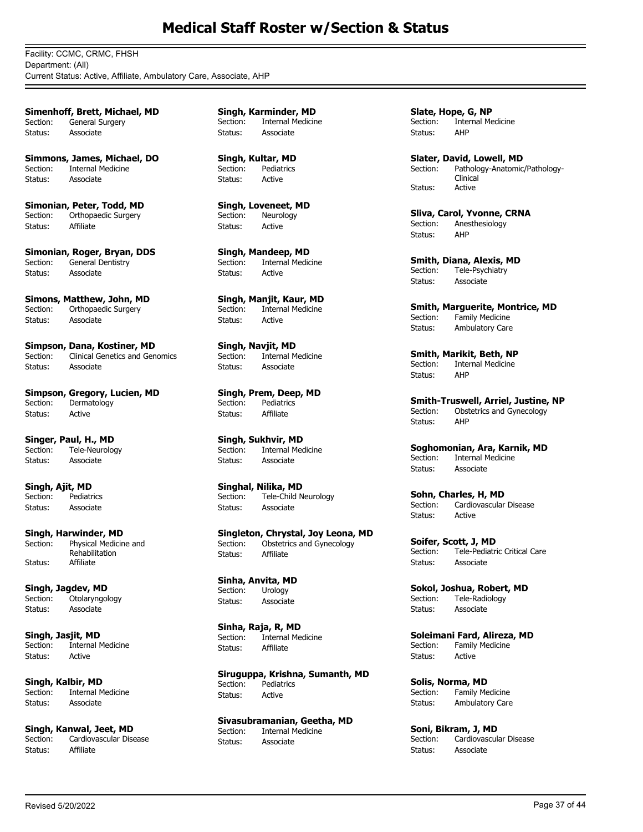Facility: CCMC, CRMC, FHSH Department: (All) Current Status: Active, Affiliate, Ambulatory Care, Associate, AHP

**Simenhoff, Brett, Michael, MD** Section: General Surgery Status: Associate

**Simmons, James, Michael, DO** Section: Internal Medicine Status: Associate

**Simonian, Peter, Todd, MD** Section: Orthopaedic Surgery Status: Affiliate

**Simonian, Roger, Bryan, DDS** Section: General Dentistry Status: Associate

**Simons, Matthew, John, MD** Section: Orthopaedic Surgery Status: Associate

**Simpson, Dana, Kostiner, MD**<br>Section: Clinical Genetics and Gen Clinical Genetics and Genomics Status: Associate

**Simpson, Gregory, Lucien, MD** Section: Dermatology Status: Active

**Singer, Paul, H., MD**<br>Section: Tele-Neurolog Tele-Neurology Status: Associate

**Singh, Ajit, MD**<br>Section: Pediatr Pediatrics Status: Associate

**Singh, Harwinder, MD** Physical Medicine and Rehabilitation Section: Status: Affiliate

**Singh, Jagdev, MD** Section: Otolaryngology Status: Associate

**Singh, Jasjit, MD** Section: Internal Medicine Status: Active

**Singh, Kalbir, MD**<br>Section: **Internal M** Internal Medicine Status: Associate

**Singh, Kanwal, Jeet, MD**<br>Section: Cardiovascular Dise Cardiovascular Disease Status: Affiliate

**Singh, Karminder, MD** Section: Internal Medicine Status: Associate

**Singh, Kultar, MD** Section: Pediatrics Status: Active

**Singh, Loveneet, MD** Section: Neurology Status: Active

**Singh, Mandeep, MD** Section: Internal Medicine Status: Active

**Singh, Manjit, Kaur, MD** Section: Internal Medicine Status: Active

**Singh, Navjit, MD** Section: Internal Medicine Status: Associate

**Singh, Prem, Deep, MD**<br>Section: Pediatrics Pediatrics Status: Affiliate

**Singh, Sukhvir, MD** Internal Medicine Status: Associate

**Singhal, Nilika, MD** Section: Tele-Child Neurology Status: Associate

**Singleton, Chrystal, Joy Leona, MD**<br>Section: Obstetrics and Gynecology Obstetrics and Gynecology Status: Affiliate

**Sinha, Anvita, MD** Section: Urology Status: Associate

**Sinha, Raja, R, MD** Section: Internal Medicine Status: Affiliate

**Siruguppa, Krishna, Sumanth, MD** Section: Pediatrics Status: Active

**Sivasubramanian, Geetha, MD**<br>Section: **Internal Medicine** Internal Medicine Status: Associate

**Slate, Hope, G, NP** Section: Internal Medicine Status: AHP

**Slater, David, Lowell, MD** Pathology-Anatomic/Pathology-Clinical Section: Status: Active

**Sliva, Carol, Yvonne, CRNA**<br>Section: Anesthesiology Anesthesiology Status: AHP

**Smith, Diana, Alexis, MD**<br>Section: Tele-Psychiatry Tele-Psychiatry Status: Associate

**Smith, Marguerite, Montrice, MD**<br>Section: Family Medicine Family Medicine Status: Ambulatory Care

**Smith, Marikit, Beth, NP** Section: Internal Medicine Status: AHP

**Smith-Truswell, Arriel, Justine, NP**<br>Section: Obstetrics and Gynecology Obstetrics and Gynecology Status: AHP

**Soghomonian, Ara, Karnik, MD** Section: Internal Medicine Status: Associate

**Sohn, Charles, H, MD** Section: Cardiovascular Disease Status: Active

**Soifer, Scott, J, MD** Section: Tele-Pediatric Critical Care Status: Associate

**Sokol, Joshua, Robert, MD** Section: Tele-Radiology Status: Associate

**Soleimani Fard, Alireza, MD** Section: Family Medicine Status: Active

**Solis, Norma, MD**<br>Section: Family Me Family Medicine Status: Ambulatory Care

**Soni, Bikram, J, MD**<br>Section: Cardiovascula Cardiovascular Disease Status: Associate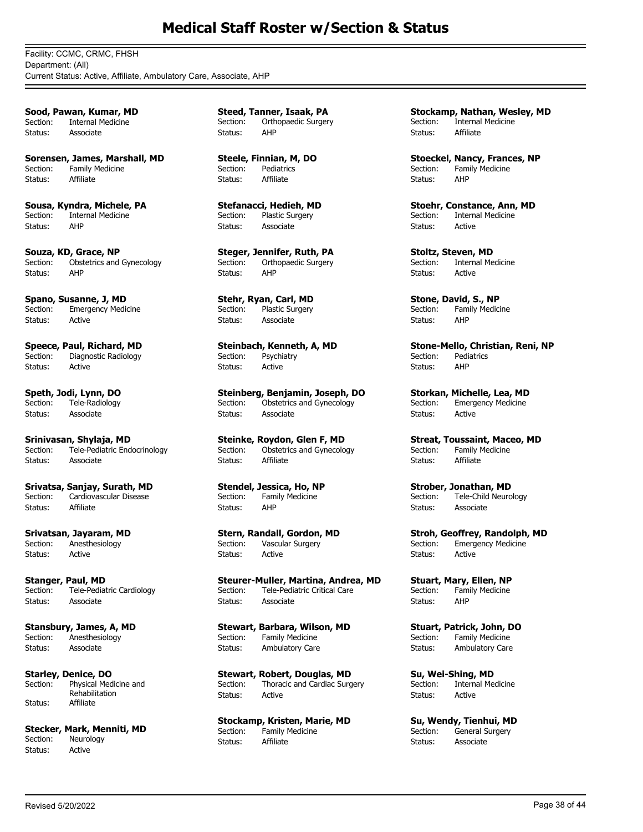Facility: CCMC, CRMC, FHSH Department: (All) Current Status: Active, Affiliate, Ambulatory Care, Associate, AHP

**Sood, Pawan, Kumar, MD** Section: Internal Medicine Status: Associate

**Sorensen, James, Marshall, MD** Section: Family Medicine Status: Affiliate

**Sousa, Kyndra, Michele, PA** Section: Internal Medicine<br>Status: AHP Status:

**Souza, KD, Grace, NP**<br>Section: Obstetrics and Obstetrics and Gynecology Status: AHP

**Spano, Susanne, J, MD** Section: Emergency Medicine Status: Active

**Speece, Paul, Richard, MD**<br>Section: Diagnostic Radiology Diagnostic Radiology Status: Active

**Speth, Jodi, Lynn, DO** Section: Tele-Radiology Status: Associate

**Srinivasan, Shylaja, MD** Tele-Pediatric Endocrinology Status: Associate

**Srivatsa, Sanjay, Surath, MD** Section: Cardiovascular Disease Status: Affiliate

**Srivatsan, Jayaram, MD** Section: Anesthesiology Status: Active

**Stanger, Paul, MD** Section: Tele-Pediatric Cardiology Status: Associate

**Stansbury, James, A, MD** Section: Anesthesiology Status: Associate

**Starley, Denice, DO** Physical Medicine and Rehabilitation Section: Status: Affiliate

**Stecker, Mark, Menniti, MD**<br>Section: Neurology Neurology Status: Active

**Steed, Tanner, Isaak, PA** Section: Orthopaedic Surgery Status: AHP

**Steele, Finnian, M, DO** Section: Pediatrics Status: Affiliate

**Stefanacci, Hedieh, MD** Section: Plastic Surgery Status: Associate

**Steger, Jennifer, Ruth, PA** Section: Orthopaedic Surgery Status: AHP

**Stehr, Ryan, Carl, MD** Section: Plastic Surgery Status: Associate

**Steinbach, Kenneth, A, MD**<br>Section: **Psychiatry Psychiatry** Status: Active

**Steinberg, Benjamin, Joseph, DO** Section: Obstetrics and Gynecology Status: Associate

**Steinke, Roydon, Glen F, MD**<br>Section: Obstetrics and Gynecolo Obstetrics and Gynecology Status: Affiliate

**Stendel, Jessica, Ho, NP** Section: Family Medicine Status: AHP

**Stern, Randall, Gordon, MD** Section: Vascular Surgery Status: Active

**Steurer-Muller, Martina, Andrea, MD** Section: Tele-Pediatric Critical Care Status: Associate

**Stewart, Barbara, Wilson, MD** Section: Family Medicine Status: Ambulatory Care

**Stewart, Robert, Douglas, MD** Section: Thoracic and Cardiac Surgery Status: Active

**Stockamp, Kristen, Marie, MD**<br>Section: Family Medicine Family Medicine Status: Affiliate

**Stockamp, Nathan, Wesley, MD** Section: Internal Medicine Status: Affiliate

**Stoeckel, Nancy, Frances, NP** Section: Family Medicine Status: AHP

**Stoehr, Constance, Ann, MD** Section: Internal Medicine Status: Active

**Stoltz, Steven, MD**<br>Section: Internal Me **Internal Medicine** Status: Active

**Stone, David, S., NP** Section: Family Medicine Status: AHP

**Stone-Mello, Christian, Reni, NP**<br>Section: Pediatrics **Pediatrics** Status: AHP

**Storkan, Michelle, Lea, MD** Section: Emergency Medicine Status: Active

**Streat, Toussaint, Maceo, MD**<br>Section: Family Medicine Family Medicine Status: Affiliate

**Strober, Jonathan, MD** Section: Tele-Child Neurology Status: Associate

**Stroh, Geoffrey, Randolph, MD**<br>Section: Emergency Medicine **Emergency Medicine** Status: Active

**Stuart, Mary, Ellen, NP** Section: Family Medicine Status: AHP

**Stuart, Patrick, John, DO** Section: Family Medicine Status: Ambulatory Care

**Su, Wei-Shing, MD** Section: Internal Medicine Status: Active

**Su, Wendy, Tienhui, MD**<br>Section: General Surgery General Surgery Status: Associate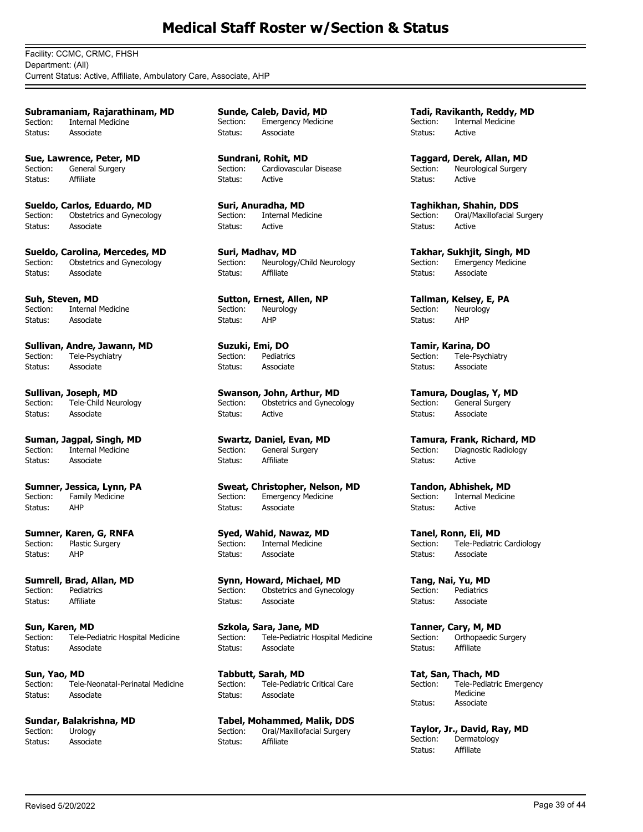Facility: CCMC, CRMC, FHSH Department: (All) Current Status: Active, Affiliate, Ambulatory Care, Associate, AHP

**Subramaniam, Rajarathinam, MD** Section: Internal Medicine Status: Associate

**Sue, Lawrence, Peter, MD** Section: General Surgery Status: Affiliate

**Sueldo, Carlos, Eduardo, MD** Section: Obstetrics and Gynecology Status: Associate

**Sueldo, Carolina, Mercedes, MD** Section: Obstetrics and Gynecology Status: Associate

**Suh, Steven, MD** Section: Internal Medicine Status: Associate

**Sullivan, Andre, Jawann, MD** Section: Tele-Psychiatry Status: Associate

**Sullivan, Joseph, MD** Section: Tele-Child Neurology Status: Associate

**Suman, Jagpal, Singh, MD**<br>Section: Internal Medicine Internal Medicine Status: Associate

**Sumner, Jessica, Lynn, PA** Section: Family Medicine Status: AHP

**Sumner, Karen, G, RNFA**<br>Section: Plastic Surgery Plastic Surgery Status: AHP

**Sumrell, Brad, Allan, MD** Section: Pediatrics Status: Affiliate

**Sun, Karen, MD** Section: Tele-Pediatric Hospital Medicine Status: Associate

**Sun, Yao, MD** Section: Tele-Neonatal-Perinatal Medicine Status: Associate

**Sundar, Balakrishna, MD**<br>Section: Urology Section: Status: Associate

**Sunde, Caleb, David, MD** Section: Emergency Medicine Status: Associate

**Sundrani, Rohit, MD** Section: Cardiovascular Disease Status: Active

**Suri, Anuradha, MD** Section: Internal Medicine Status: Active

**Suri, Madhav, MD** Section: Neurology/Child Neurology Status: Affiliate

**Sutton, Ernest, Allen, NP** Section: Neurology Status: AHP

**Suzuki, Emi, DO**<br>Section: Pediatrio Pediatrics Status: Associate

**Swanson, John, Arthur, MD** Section: Obstetrics and Gynecology Status: Active

**Swartz, Daniel, Evan, MD**<br>Section: General Surgery General Surgery Status: Affiliate

**Sweat, Christopher, Nelson, MD** Section: Emergency Medicine Status: Associate

**Syed, Wahid, Nawaz, MD Internal Medicine** Status: Associate

**Synn, Howard, Michael, MD** Section: Obstetrics and Gynecology Status: Associate

**Szkola, Sara, Jane, MD** Section: Tele-Pediatric Hospital Medicine Status: Associate

**Tabbutt, Sarah, MD** Section: Tele-Pediatric Critical Care Status: Associate

**Tabel, Mohammed, Malik, DDS** Oral/Maxillofacial Surgery Status: Affiliate

**Tadi, Ravikanth, Reddy, MD** Section: Internal Medicine Status: Active

**Taggard, Derek, Allan, MD** Section: Neurological Surgery Status: Active

**Taghikhan, Shahin, DDS** Section: Oral/Maxillofacial Surgery Status: Active

**Takhar, Sukhjit, Singh, MD** Section: Emergency Medicine Status: Associate

**Tallman, Kelsey, E, PA** Section: Neurology Status: AHP

**Tamir, Karina, DO** Tele-Psychiatry Status: Associate

**Tamura, Douglas, Y, MD** Section: General Surgery Status: Associate

**Tamura, Frank, Richard, MD**<br>Section: Diagnostic Radiology Diagnostic Radiology Status: Active

**Tandon, Abhishek, MD** Section: Internal Medicine Status: Active

**Tanel, Ronn, Eli, MD** Tele-Pediatric Cardiology Status: Associate

**Tang, Nai, Yu, MD** Section: Pediatrics Status: Associate

**Tanner, Cary, M, MD** Section: Orthopaedic Surgery Status: Affiliate

**Tat, San, Thach, MD** Tele-Pediatric Emergency Medicine Section: Status: Associate

**Taylor, Jr., David, Ray, MD** Dermatology Status: Affiliate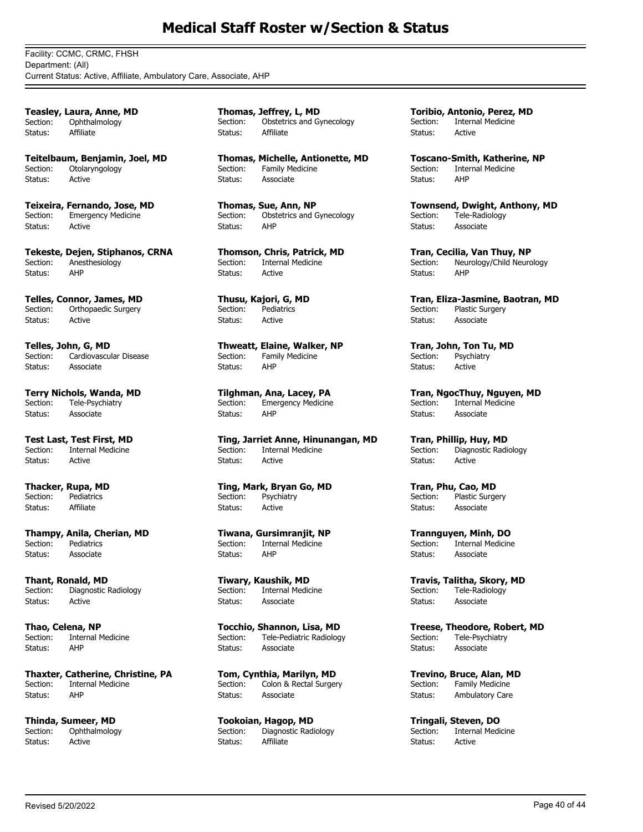Facility: CCMC, CRMC, FHSH Department: (All) Current Status: Active, Affiliate, Ambulatory Care, Associate, AHP

**Teasley, Laura, Anne, MD** Section: Ophthalmology Status: Affiliate

**Teitelbaum, Benjamin, Joel, MD** Section: Otolaryngology Status: Active

**Teixeira, Fernando, Jose, MD** Section: Emergency Medicine Status: Active

**Tekeste, Dejen, Stiphanos, CRNA** Section: Anesthesiology Status: AHP

**Telles, Connor, James, MD** Section: Orthopaedic Surgery Status: Active

**Telles, John, G, MD**<br>Section: Cardiovascul Cardiovascular Disease Status: Associate

**Terry Nichols, Wanda, MD** Section: Tele-Psychiatry Status: Associate

**Test Last, Test First, MD**<br>Section: Internal Medicine Internal Medicine Status: Active

**Thacker, Rupa, MD** Section: Pediatrics Status: Affiliate

**Thampy, Anila, Cherian, MD**<br>Section: Pediatrics Pediatrics Status: Associate

**Thant, Ronald, MD** Section: Diagnostic Radiology Status: Active

**Thao, Celena, NP** Section: Internal Medicine Status: AHP

**Thaxter, Catherine, Christine, PA** Section: Internal Medicine Status: AHP

**Thinda, Sumeer, MD**<br>Section: Ophthalmolog Ophthalmology Status: Active

**Thomas, Jeffrey, L, MD** Section: Obstetrics and Gynecology Status: Affiliate

**Thomas, Michelle, Antionette, MD** Section: Family Medicine Status: Associate

**Thomas, Sue, Ann, NP** Section: Obstetrics and Gynecology Status: AHP

**Thomson, Chris, Patrick, MD** Section: Internal Medicine Status: Active

**Thusu, Kajori, G, MD** Section: Pediatrics Status: Active

**Thweatt, Elaine, Walker, NP**<br>Section: Family Medicine Family Medicine Status: AHP

**Tilghman, Ana, Lacey, PA** Section: Emergency Medicine Status: AHP

**Ting, Jarriet Anne, Hinunangan, MD** Internal Medicine Status: Active

**Ting, Mark, Bryan Go, MD** Section: Psychiatry Status: Active

**Tiwana, Gursimranjit, NP Internal Medicine** Status: AHP

**Tiwary, Kaushik, MD** Section: Internal Medicine Status: Associate

**Tocchio, Shannon, Lisa, MD** Section: Tele-Pediatric Radiology<br>Status: Associate Associate

**Tom, Cynthia, Marilyn, MD** Section: Colon & Rectal Surgery Status: Associate

**Tookoian, Hagop, MD** Section: Diagnostic Radiology Status: Affiliate

**Toribio, Antonio, Perez, MD** Section: Internal Medicine Status: Active

**Toscano-Smith, Katherine, NP** Section: Internal Medicine Status: AHP

**Townsend, Dwight, Anthony, MD** Section: Tele-Radiology Status: Associate

**Tran, Cecilia, Van Thuy, NP** Section: Neurology/Child Neurology Status: AHP

**Tran, Eliza-Jasmine, Baotran, MD** Section: Plastic Surgery Status: Associate

**Tran, John, Ton Tu, MD**<br>Section: **Psychiatry** Psychiatry Status: Active

**Tran, NgocThuy, Nguyen, MD** Section: Internal Medicine Status: Associate

**Tran, Phillip, Huy, MD**<br>Section: Diagnostic Radi Diagnostic Radiology Status: Active

**Tran, Phu, Cao, MD** Section: Plastic Surgery Status: Associate

**Trannguyen, Minh, DO Internal Medicine** Status: Associate

**Travis, Talitha, Skory, MD** Section: Tele-Radiology Status: Associate

**Treese, Theodore, Robert, MD** Section: Tele-Psychiatry Status: Associate

**Trevino, Bruce, Alan, MD** Section: Family Medicine Status: Ambulatory Care

**Tringali, Steven, DO**<br>Section: **Internal Medi** Internal Medicine Status: Active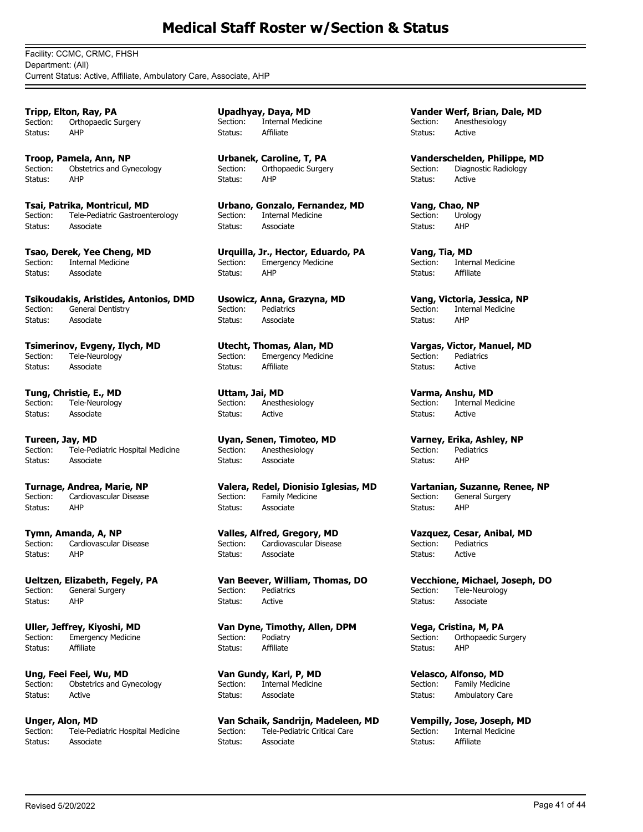Facility: CCMC, CRMC, FHSH Department: (All) Current Status: Active, Affiliate, Ambulatory Care, Associate, AHP

**Tripp, Elton, Ray, PA** Section: Orthopaedic Surgery Status: AHP

**Troop, Pamela, Ann, NP** Section: Obstetrics and Gynecology Status: AHP

**Tsai, Patrika, Montricul, MD** Section: Tele-Pediatric Gastroenterology Status: Associate

**Tsao, Derek, Yee Cheng, MD** Section: Internal Medicine Status: Associate

**Tsikoudakis, Aristides, Antonios, DMD** Section: General Dentistry Status: Associate

**Tsimerinov, Evgeny, Ilych, MD**<br>Section: Tele-Neurology Tele-Neurology Status: Associate

**Tung, Christie, E., MD** Section: Tele-Neurology Status: Associate

**Tureen, Jay, MD** Tele-Pediatric Hospital Medicine Status: Associate

**Turnage, Andrea, Marie, NP** Section: Cardiovascular Disease Status: AHP

**Tymn, Amanda, A, NP** Cardiovascular Disease Status: AHP

**Ueltzen, Elizabeth, Fegely, PA** Section: General Surgery Status: AHP

**Uller, Jeffrey, Kiyoshi, MD** Section: Emergency Medicine<br>Status: Affiliate Status:

**Ung, Feei Feei, Wu, MD** Section: Obstetrics and Gynecology Status: Active

**Unger, Alon, MD**<br>Section: Tele-Ped Tele-Pediatric Hospital Medicine Status: Associate

**Upadhyay, Daya, MD** Section: Internal Medicine Status: Affiliate

**Urbanek, Caroline, T, PA** Section: Orthopaedic Surgery Status: AHP

**Urbano, Gonzalo, Fernandez, MD** Section: Internal Medicine Status: Associate

**Urquilla, Jr., Hector, Eduardo, PA** Section: Emergency Medicine Status: AHP

**Usowicz, Anna, Grazyna, MD** Section: Pediatrics Status: Associate

**Utecht, Thomas, Alan, MD**<br>Section: Emergency Medicine Emergency Medicine Status: Affiliate

**Uttam, Jai, MD** Section: Anesthesiology Status: Active

**Uyan, Senen, Timoteo, MD** Section: Anesthesiology Status: Associate

**Valera, Redel, Dionisio Iglesias, MD** Section: Family Medicine Status: Associate

**Valles, Alfred, Gregory, MD** Cardiovascular Disease Status: Associate

**Van Beever, William, Thomas, DO** Section: Pediatrics Status: Active

**Van Dyne, Timothy, Allen, DPM** Section: Podiatry Status: Affiliate

**Van Gundy, Karl, P, MD** Section: Internal Medicine Status: Associate

**Van Schaik, Sandrijn, Madeleen, MD**<br>Section: Tele-Pediatric Critical Care Tele-Pediatric Critical Care Status: Associate

**Vander Werf, Brian, Dale, MD** Section: Anesthesiology Status: Active

**Vanderschelden, Philippe, MD** Section: Diagnostic Radiology Status: Active

**Vang, Chao, NP** Section: Urology Status: AHP

**Vang, Tia, MD** Section: Internal Medicine Status: Affiliate

**Vang, Victoria, Jessica, NP** Section: Internal Medicine Status: AHP

**Vargas, Victor, Manuel, MD**<br>Section: Pediatrics Pediatrics Status: Active

**Varma, Anshu, MD** Section: Internal Medicine Status: Active

**Varney, Erika, Ashley, NP** Pediatrics Status: AHP

**Vartanian, Suzanne, Renee, NP** Section: General Surgery Status: AHP

**Vazquez, Cesar, Anibal, MD** Pediatrics Status: Active

**Vecchione, Michael, Joseph, DO** Section: Tele-Neurology Status: Associate

**Vega, Cristina, M, PA** Section: Orthopaedic Surgery Status: AHP

**Velasco, Alfonso, MD** Section: Family Medicine Status: Ambulatory Care

**Vempilly, Jose, Joseph, MD**<br>Section: **Internal Medicine** Internal Medicine Status: Affiliate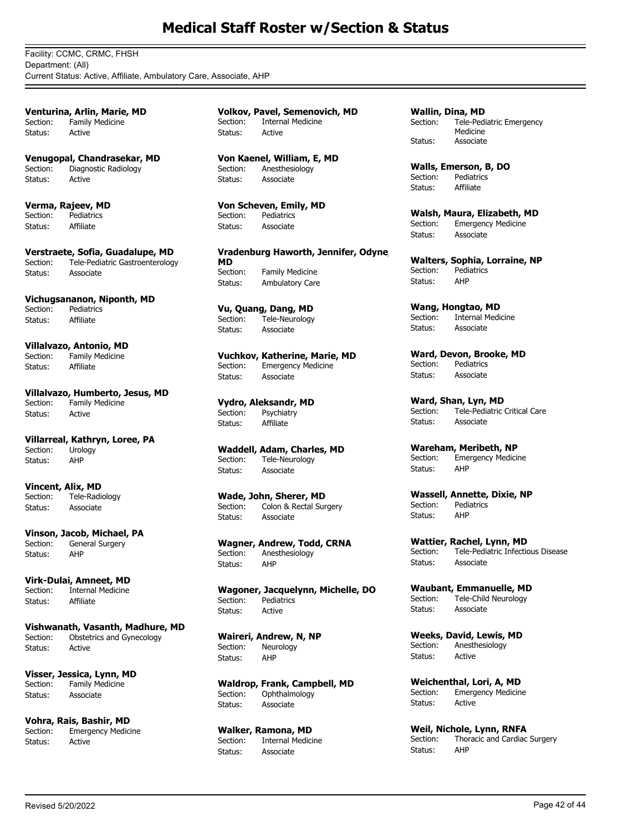Facility: CCMC, CRMC, FHSH Department: (All) Current Status: Active, Affiliate, Ambulatory Care, Associate, AHP

**Venturina, Arlin, Marie, MD** Section: Family Medicine Status: Active

**Venugopal, Chandrasekar, MD** Section: Diagnostic Radiology Status: Active

**Verma, Rajeev, MD** Section: Pediatrics Status: Affiliate

**Verstraete, Sofia, Guadalupe, MD** Section: Tele-Pediatric Gastroenterology Status: Associate

**Vichugsananon, Niponth, MD** Section: Pediatrics Status: Affiliate

**Villalvazo, Antonio, MD**<br>Section: Family Medicine Family Medicine Status: Affiliate

**Villalvazo, Humberto, Jesus, MD** Section: Family Medicine Status: Active

**Villarreal, Kathryn, Loree, PA**<br>Section: Urology Urology Status: AHP

**Vincent, Alix, MD**<br>Section: Tele-Radi Tele-Radiology Status: Associate

**Vinson, Jacob, Michael, PA** General Surgery Status: AHP

**Virk-Dulai, Amneet, MD** Section: Internal Medicine Status: Affiliate

**Vishwanath, Vasanth, Madhure, MD** Section: Obstetrics and Gynecology Status: Active

**Visser, Jessica, Lynn, MD** Section: Family Medicine Status: Associate

**Vohra, Rais, Bashir, MD Emergency Medicine** Status: Active

**Volkov, Pavel, Semenovich, MD** Section: Internal Medicine Status: Active

**Von Kaenel, William, E, MD** Section: Anesthesiology Status: Associate

**Von Scheven, Emily, MD** Section: Pediatrics Status: Associate

**Vradenburg Haworth, Jennifer, Odyne, MD** Family Medicine Status: Ambulatory Care

**Vu, Quang, Dang, MD** Section: Tele-Neurology Status: Associate

**Vuchkov, Katherine, Marie, MD** Section: Emergency Medicine Status: Associate

**Vydro, Aleksandr, MD** Section: Psychiatry Status: Affiliate

**Waddell, Adam, Charles, MD** Section: Tele-Neurology Status: Associate

**Wade, John, Sherer, MD** Section: Colon & Rectal Surgery Status: Associate

**Wagner, Andrew, Todd, CRNA**<br>Section: **Anesthesiology** Anesthesiology Status: AHP

**Wagoner, Jacquelynn, Michelle, DO** Pediatrics Status: Active

**Waireri, Andrew, N, NP** Neurology Status: AHP

**Waldrop, Frank, Campbell, MD** Section: Ophthalmology Status: Associate

**Walker, Ramona, MD** Internal Medicine Status: Associate

**Wallin, Dina, MD** Tele-Pediatric Emergency Medicine Section: Status: Associate

**Walls, Emerson, B, DO** Section: Pediatrics Status: Affiliate

**Walsh, Maura, Elizabeth, MD Emergency Medicine** Status: Associate

**Walters, Sophia, Lorraine, NP** Pediatrics Status: AHP

**Wang, Hongtao, MD**<br>Section: Internal Medi Internal Medicine Status: Associate

**Ward, Devon, Brooke, MD** Section: Pediatrics Status: Associate

**Ward, Shan, Lyn, MD**<br>Section: Tele-Pediatric Tele-Pediatric Critical Care Status: Associate

**Wareham, Meribeth, NP** Section: Emergency Medicine Status: AHP

**Wassell, Annette, Dixie, NP** Section: Pediatrics Status: AHP

**Wattier, Rachel, Lynn, MD** Section: Tele-Pediatric Infectious Disease Status: Associate

**Waubant, Emmanuelle, MD** Section: Tele-Child Neurology Status: Associate

**Weeks, David, Lewis, MD** Section: Anesthesiology Status: Active

**Weichenthal, Lori, A, MD**<br>Section: Emergency Medicin **Emergency Medicine** Status: Active

**Weil, Nichole, Lynn, RNFA**<br>Section: Thoracic and Cardiac Thoracic and Cardiac Surgery Status: AHP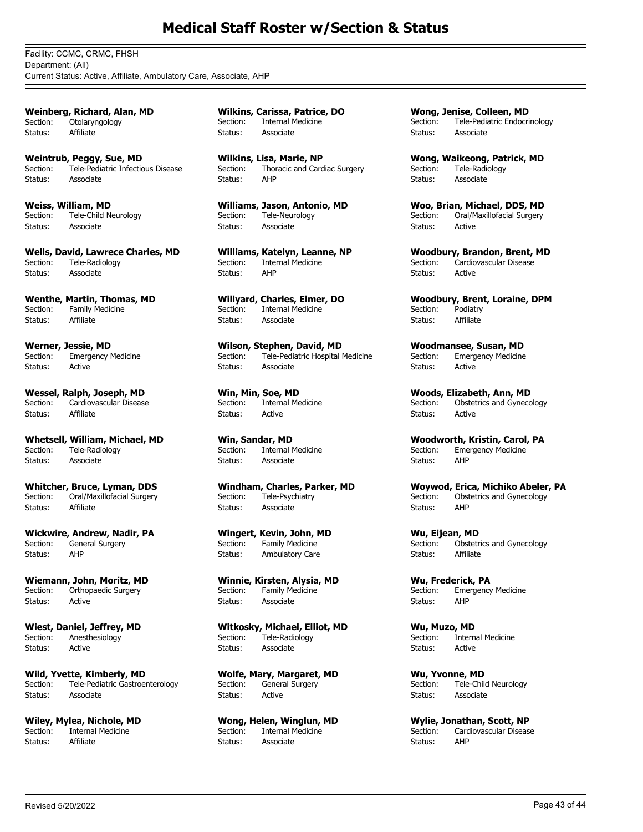Facility: CCMC, CRMC, FHSH Department: (All) Current Status: Active, Affiliate, Ambulatory Care, Associate, AHP

**Weinberg, Richard, Alan, MD** Section: Otolaryngology Status: Affiliate

**Weintrub, Peggy, Sue, MD** Section: Tele-Pediatric Infectious Disease Status: Associate

**Weiss, William, MD** Section: Tele-Child Neurology Status: Associate

**Wells, David, Lawrece Charles, MD** Tele-Radiology Status: Associate

**Wenthe, Martin, Thomas, MD** Section: Family Medicine Status: Affiliate

**Werner, Jessie, MD**<br>Section: Emergency I **Emergency Medicine** Status: Active

**Wessel, Ralph, Joseph, MD** Section: Cardiovascular Disease Status: Affiliate

**Whetsell, William, Michael, MD** Tele-Radiology Status: Associate

**Whitcher, Bruce, Lyman, DDS** Section: Oral/Maxillofacial Surgery Status: Affiliate

**Wickwire, Andrew, Nadir, PA** General Surgery Status: AHP

**Wiemann, John, Moritz, MD** Section: Orthopaedic Surgery Status: Active

**Wiest, Daniel, Jeffrey, MD** Section: Anesthesiology Status: Active

**Wild, Yvette, Kimberly, MD** Section: Tele-Pediatric Gastroenterology Status: Associate

**Wiley, Mylea, Nichole, MD**<br>Section: **Internal Medicine** Internal Medicine Status: Affiliate

**Wilkins, Carissa, Patrice, DO** Section: Internal Medicine Status: Associate

**Wilkins, Lisa, Marie, NP** Section: Thoracic and Cardiac Surgery Status: AHP

**Williams, Jason, Antonio, MD** Section: Tele-Neurology Status: Associate

**Williams, Katelyn, Leanne, NP** Section: Internal Medicine Status: AHP

**Willyard, Charles, Elmer, DO** Section: Internal Medicine Status: Associate

**Wilson, Stephen, David, MD**<br>Section: Tele-Pediatric Hospital Tele-Pediatric Hospital Medicine Status: Associate

**Win, Min, Soe, MD** Section: Internal Medicine Status: Active

**Win, Sandar, MD**<br>Section: Internal M **Internal Medicine** Status: Associate

**Windham, Charles, Parker, MD** Section: Tele-Psychiatry Status: Associate

**Wingert, Kevin, John, MD** Family Medicine Status: Ambulatory Care

**Winnie, Kirsten, Alysia, MD** Section: Family Medicine Status: Associate

**Witkosky, Michael, Elliot, MD** Section: Tele-Radiology Status: Associate

**Wolfe, Mary, Margaret, MD** Section: General Surgery Status: Active

**Wong, Helen, Winglun, MD**<br>Section: Internal Medicine Internal Medicine Status: Associate

**Wong, Jenise, Colleen, MD** Section: Tele-Pediatric Endocrinology Status: Associate

**Wong, Waikeong, Patrick, MD** Section: Tele-Radiology Status: Associate

**Woo, Brian, Michael, DDS, MD** Section: Oral/Maxillofacial Surgery Status: Active

**Woodbury, Brandon, Brent, MD** Section: Cardiovascular Disease Status: Active

**Woodbury, Brent, Loraine, DPM** Section: Podiatry Status: Affiliate

**Woodmansee, Susan, MD**<br>Section: Emergency Medicine Emergency Medicine Status: Active

**Woods, Elizabeth, Ann, MD** Section: Obstetrics and Gynecology Status: Active

**Woodworth, Kristin, Carol, PA** Emergency Medicine<sup>1</sup> Status: AHP

**Woywod, Erica, Michiko Abeler, PA** Section: Obstetrics and Gynecology Status: AHP

**Wu, Eijean, MD** Obstetrics and Gynecology Status: Affiliate

**Wu, Frederick, PA** Section: Emergency Medicine Status: AHP

**Wu, Muzo, MD** Section: Internal Medicine Status: Active

**Wu, Yvonne, MD** Section: Tele-Child Neurology Status: Associate

**Wylie, Jonathan, Scott, NP** Cardiovascular Disease Status: AHP